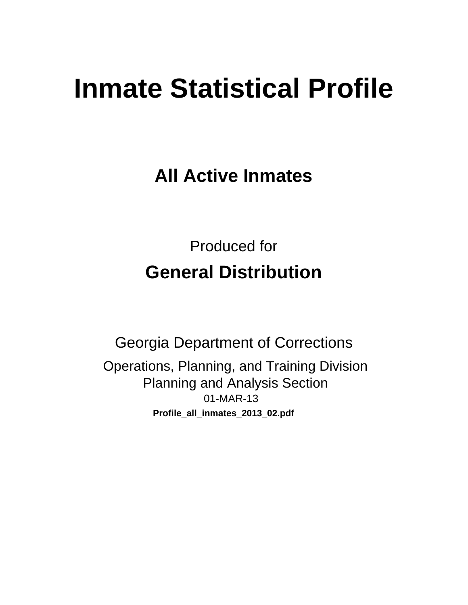# **Inmate Statistical Profile**

**All Active Inmates** 

**Produced for General Distribution** 

**Georgia Department of Corrections** Operations, Planning, and Training Division **Planning and Analysis Section** 01-MAR-13 Profile\_all\_inmates\_2013\_02.pdf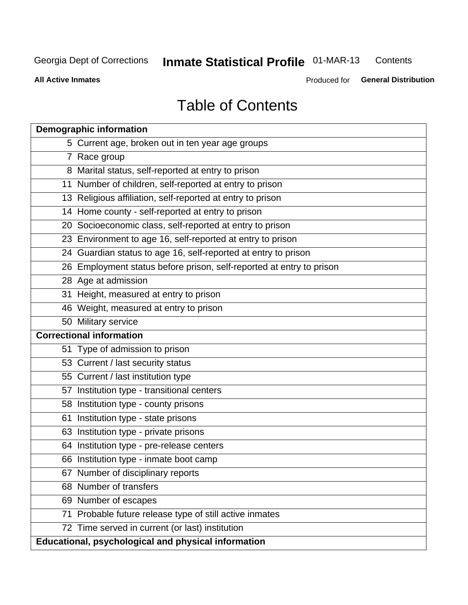#### **Inmate Statistical Profile 01-MAR-13** Contents

**All Active Inmates** 

Produced for General Distribution

# **Table of Contents**

| <b>Demographic information</b>                                       |
|----------------------------------------------------------------------|
| 5 Current age, broken out in ten year age groups                     |
| 7 Race group                                                         |
| 8 Marital status, self-reported at entry to prison                   |
| 11 Number of children, self-reported at entry to prison              |
| 13 Religious affiliation, self-reported at entry to prison           |
| 14 Home county - self-reported at entry to prison                    |
| 20 Socioeconomic class, self-reported at entry to prison             |
| 23 Environment to age 16, self-reported at entry to prison           |
| 24 Guardian status to age 16, self-reported at entry to prison       |
| 26 Employment status before prison, self-reported at entry to prison |
| 28 Age at admission                                                  |
| 31 Height, measured at entry to prison                               |
| 46 Weight, measured at entry to prison                               |
| 50 Military service                                                  |
| <b>Correctional information</b>                                      |
| 51 Type of admission to prison                                       |
| 53 Current / last security status                                    |
| 55 Current / last institution type                                   |
| 57 Institution type - transitional centers                           |
| 58 Institution type - county prisons                                 |
| Institution type - state prisons<br>61                               |
| 63 Institution type - private prisons                                |
| 64 Institution type - pre-release centers                            |
| 66 Institution type - inmate boot camp                               |
| 67 Number of disciplinary reports                                    |
| 68 Number of transfers                                               |
| 69 Number of escapes                                                 |
| Probable future release type of still active inmates<br>71           |
| 72 Time served in current (or last) institution                      |
| Educational, psychological and physical information                  |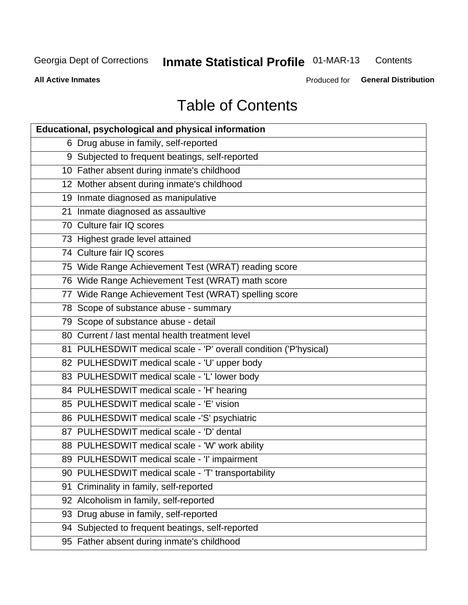#### **Inmate Statistical Profile 01-MAR-13** Contents

**All Active Inmates** 

Produced for General Distribution

# **Table of Contents**

| <b>Educational, psychological and physical information</b>       |
|------------------------------------------------------------------|
| 6 Drug abuse in family, self-reported                            |
| 9 Subjected to frequent beatings, self-reported                  |
| 10 Father absent during inmate's childhood                       |
| 12 Mother absent during inmate's childhood                       |
| 19 Inmate diagnosed as manipulative                              |
| 21 Inmate diagnosed as assaultive                                |
| 70 Culture fair IQ scores                                        |
| 73 Highest grade level attained                                  |
| 74 Culture fair IQ scores                                        |
| 75 Wide Range Achievement Test (WRAT) reading score              |
| 76 Wide Range Achievement Test (WRAT) math score                 |
| 77 Wide Range Achievement Test (WRAT) spelling score             |
| 78 Scope of substance abuse - summary                            |
| 79 Scope of substance abuse - detail                             |
| 80 Current / last mental health treatment level                  |
| 81 PULHESDWIT medical scale - 'P' overall condition ('P'hysical) |
| 82 PULHESDWIT medical scale - 'U' upper body                     |
| 83 PULHESDWIT medical scale - 'L' lower body                     |
| 84 PULHESDWIT medical scale - 'H' hearing                        |
| 85 PULHESDWIT medical scale - 'E' vision                         |
| 86 PULHESDWIT medical scale -'S' psychiatric                     |
| 87 PULHESDWIT medical scale - 'D' dental                         |
| 88 PULHESDWIT medical scale - 'W' work ability                   |
| 89 PULHESDWIT medical scale - 'I' impairment                     |
| 90 PULHESDWIT medical scale - 'T' transportability               |
| Criminality in family, self-reported<br>91                       |
| 92 Alcoholism in family, self-reported                           |
| 93 Drug abuse in family, self-reported                           |
| 94 Subjected to frequent beatings, self-reported                 |
| 95 Father absent during inmate's childhood                       |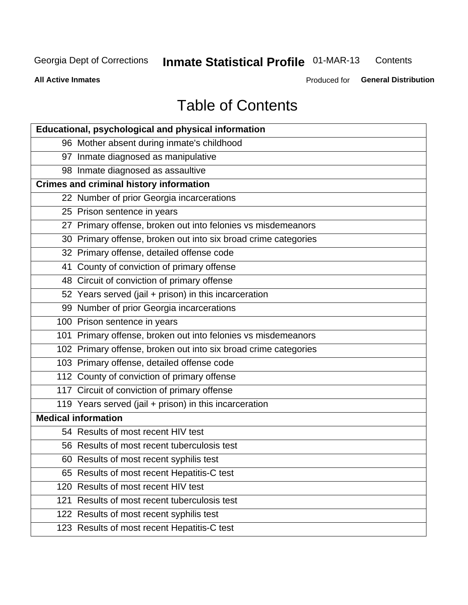#### **Inmate Statistical Profile 01-MAR-13** Contents

**All Active Inmates** 

Produced for General Distribution

# **Table of Contents**

|                            | Educational, psychological and physical information             |
|----------------------------|-----------------------------------------------------------------|
|                            | 96 Mother absent during inmate's childhood                      |
|                            | 97 Inmate diagnosed as manipulative                             |
|                            | 98 Inmate diagnosed as assaultive                               |
|                            | <b>Crimes and criminal history information</b>                  |
|                            | 22 Number of prior Georgia incarcerations                       |
|                            | 25 Prison sentence in years                                     |
|                            | 27 Primary offense, broken out into felonies vs misdemeanors    |
|                            | 30 Primary offense, broken out into six broad crime categories  |
|                            | 32 Primary offense, detailed offense code                       |
|                            | 41 County of conviction of primary offense                      |
|                            | 48 Circuit of conviction of primary offense                     |
|                            | 52 Years served (jail + prison) in this incarceration           |
|                            | 99 Number of prior Georgia incarcerations                       |
|                            | 100 Prison sentence in years                                    |
|                            | 101 Primary offense, broken out into felonies vs misdemeanors   |
|                            | 102 Primary offense, broken out into six broad crime categories |
|                            | 103 Primary offense, detailed offense code                      |
|                            | 112 County of conviction of primary offense                     |
|                            | 117 Circuit of conviction of primary offense                    |
|                            | 119 Years served (jail + prison) in this incarceration          |
| <b>Medical information</b> |                                                                 |
|                            | 54 Results of most recent HIV test                              |
|                            | 56 Results of most recent tuberculosis test                     |
|                            | 60 Results of most recent syphilis test                         |
|                            | 65 Results of most recent Hepatitis-C test                      |
| 120                        | Results of most recent HIV test                                 |
| 121                        | Results of most recent tuberculosis test                        |
|                            | 122 Results of most recent syphilis test                        |
|                            | 123 Results of most recent Hepatitis-C test                     |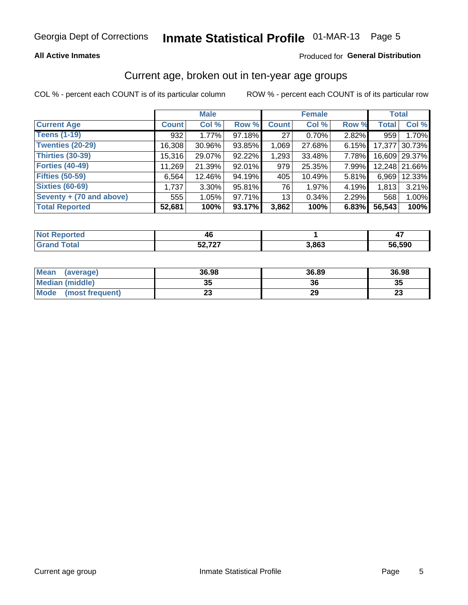### **All Active Inmates**

### Produced for General Distribution

# Current age, broken out in ten-year age groups

COL % - percent each COUNT is of its particular column

|                          |              | <b>Male</b> |        |                 | <b>Female</b> |          | <b>Total</b> |               |
|--------------------------|--------------|-------------|--------|-----------------|---------------|----------|--------------|---------------|
| <b>Current Age</b>       | <b>Count</b> | Col %       | Row %  | <b>Count</b>    | Col %         | Row %    | <b>Total</b> | Col %         |
| <b>Teens (1-19)</b>      | 932          | 1.77%       | 97.18% | 27              | 0.70%         | $2.82\%$ | 959          | 1.70%         |
| <b>Twenties (20-29)</b>  | 16,308       | 30.96%      | 93.85% | 1,069           | 27.68%        | 6.15%    | 17,377       | 30.73%        |
| <b>Thirties (30-39)</b>  | 15,316       | 29.07%      | 92.22% | 1,293           | 33.48%        | 7.78%    |              | 16,609 29.37% |
| <b>Forties (40-49)</b>   | 11,269       | 21.39%      | 92.01% | 979             | 25.35%        | 7.99%    |              | 12,248 21.66% |
| <b>Fifties (50-59)</b>   | 6,564        | 12.46%      | 94.19% | 405             | 10.49%        | 5.81%    | 6.969        | 12.33%        |
| <b>Sixties (60-69)</b>   | 1,737        | $3.30\%$    | 95.81% | 76              | 1.97%         | 4.19%    | 1,813        | 3.21%         |
| Seventy + (70 and above) | 555          | 1.05%       | 97.71% | 13 <sub>1</sub> | 0.34%         | 2.29%    | 568          | 1.00%         |
| <b>Total Reported</b>    | 52,681       | 100%        | 93.17% | 3,862           | 100%          | 6.83%    | 56,543       | 100%          |

| <b>ported</b><br><b>NOT</b> I | 40    |       | $\mathbf{r}$<br>-- |
|-------------------------------|-------|-------|--------------------|
| Total                         | - 707 | 3,863 | 56,590             |

| <b>Mean</b><br>(average) | 36.98    | 36.89 | 36.98    |
|--------------------------|----------|-------|----------|
| Median (middle)          | つん<br>vu | 36    | 35       |
| Mode<br>(most frequent)  | n.<br>w  | 29    | n.<br>∠J |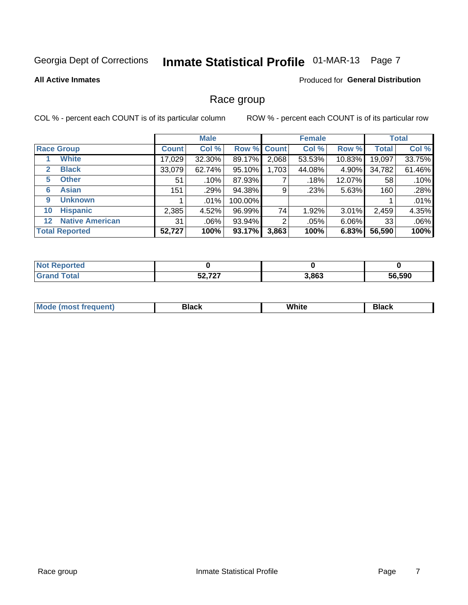# Inmate Statistical Profile 01-MAR-13 Page 7

#### **All Active Inmates**

#### Produced for General Distribution

### Race group

COL % - percent each COUNT is of its particular column

|                       |                        |              | <b>Male</b> |             |       | <b>Female</b> |          |              | <b>Total</b> |
|-----------------------|------------------------|--------------|-------------|-------------|-------|---------------|----------|--------------|--------------|
| <b>Race Group</b>     |                        | <b>Count</b> | Col %       | Row % Count |       | Col %         | Row %    | <b>Total</b> | Col %        |
|                       | <b>White</b>           | 17,029       | 32.30%      | 89.17%      | 2,068 | 53.53%        | 10.83%   | 19,097       | 33.75%       |
| $\mathbf{2}$          | <b>Black</b>           | 33,079       | 62.74%      | 95.10%      | 1,703 | 44.08%        | 4.90%    | 34,782       | 61.46%       |
| 5                     | <b>Other</b>           | 51           | .10%        | 87.93%      |       | .18%          | 12.07%   | 58           | .10%         |
| 6                     | <b>Asian</b>           | 151          | .29%        | 94.38%      | 9     | .23%          | 5.63%    | 160          | .28%         |
| 9                     | <b>Unknown</b>         |              | .01%        | 100.00%     |       |               |          |              | .01%         |
| 10                    | <b>Hispanic</b>        | 2,385        | 4.52%       | 96.99%      | 74    | 1.92%         | 3.01%    | 2,459        | 4.35%        |
| $12 \,$               | <b>Native American</b> | 31           | .06%        | 93.94%      | 2     | $.05\%$       | $6.06\%$ | 33           | .06%         |
| <b>Total Reported</b> |                        | 52,727       | 100%        | 93.17%      | 3,863 | 100%          | 6.83%    | 56,590       | 100%         |

| orted<br>. Nr |         |       |        |
|---------------|---------|-------|--------|
| `otal         | よつ フクフ  | 3,863 | 56,590 |
| "Gra.         | JZ.I ZI |       | nh.    |

| M.<br>____ | . | ------- |
|------------|---|---------|
|            |   |         |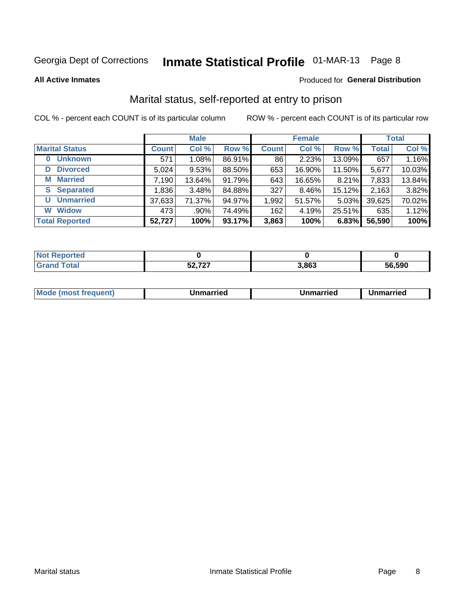# Inmate Statistical Profile 01-MAR-13 Page 8

**All Active Inmates** 

### Produced for General Distribution

# Marital status, self-reported at entry to prison

COL % - percent each COUNT is of its particular column

|                            |              | <b>Male</b> |        |              | <b>Female</b> |        |              | <b>Total</b> |
|----------------------------|--------------|-------------|--------|--------------|---------------|--------|--------------|--------------|
| <b>Marital Status</b>      | <b>Count</b> | Col %       | Row %  | <b>Count</b> | Col %         | Row %  | <b>Total</b> | Col %        |
| <b>Unknown</b><br>$\bf{0}$ | 571          | 1.08%       | 86.91% | 86           | 2.23%         | 13.09% | 657          | 1.16%        |
| <b>Divorced</b><br>D       | 5,024        | 9.53%       | 88.50% | 653          | 16.90%        | 11.50% | 5,677        | 10.03%       |
| <b>Married</b><br>М        | 7,190        | 13.64%      | 91.79% | 643          | 16.65%        | 8.21%  | 7,833        | 13.84%       |
| <b>Separated</b><br>S      | 1,836        | 3.48%       | 84.88% | 327          | 8.46%         | 15.12% | 2,163        | 3.82%        |
| <b>Unmarried</b><br>U      | 37,633       | 71.37%      | 94.97% | 1,992        | 51.57%        | 5.03%  | 39,625       | 70.02%       |
| <b>Widow</b><br>W          | 473          | .90%        | 74.49% | 162          | 4.19%         | 25.51% | 635          | 1.12%        |
| <b>Total Reported</b>      | 52,727       | 100%        | 93.17% | 3,863        | 100%          | 6.83%  | 56,590       | 100%         |

| <b>TEO</b><br>NO |        |       |        |
|------------------|--------|-------|--------|
|                  | 70.727 | 3,863 | 56.590 |

|--|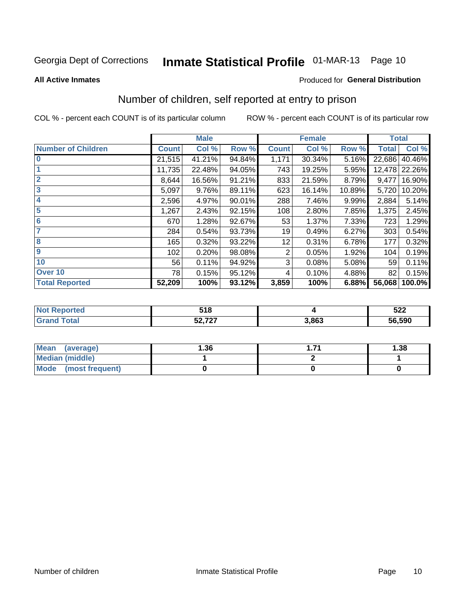# Inmate Statistical Profile 01-MAR-13 Page 10

#### **All Active Inmates**

#### Produced for General Distribution

# Number of children, self reported at entry to prison

COL % - percent each COUNT is of its particular column

|                           |              | <b>Male</b> |        |              | <b>Female</b> |        | <b>Total</b> |        |
|---------------------------|--------------|-------------|--------|--------------|---------------|--------|--------------|--------|
| <b>Number of Children</b> | <b>Count</b> | Col %       | Row %  | <b>Count</b> | Col %         | Row %  | <b>Total</b> | Col %  |
| $\bf{0}$                  | 21,515       | 41.21%      | 94.84% | 1,171        | 30.34%        | 5.16%  | 22,686       | 40.46% |
|                           | 11,735       | 22.48%      | 94.05% | 743          | 19.25%        | 5.95%  | 12,478       | 22.26% |
| $\overline{2}$            | 8,644        | 16.56%      | 91.21% | 833          | 21.59%        | 8.79%  | 9,477        | 16.90% |
| 3                         | 5,097        | 9.76%       | 89.11% | 623          | 16.14%        | 10.89% | 5,720        | 10.20% |
| 4                         | 2,596        | 4.97%       | 90.01% | 288          | 7.46%         | 9.99%  | 2,884        | 5.14%  |
| 5                         | 1,267        | 2.43%       | 92.15% | 108          | 2.80%         | 7.85%  | 1,375        | 2.45%  |
| 6                         | 670          | 1.28%       | 92.67% | 53           | 1.37%         | 7.33%  | 723          | 1.29%  |
| 7                         | 284          | 0.54%       | 93.73% | 19           | 0.49%         | 6.27%  | 303          | 0.54%  |
| 8                         | 165          | 0.32%       | 93.22% | 12           | 0.31%         | 6.78%  | 177          | 0.32%  |
| $\boldsymbol{9}$          | 102          | 0.20%       | 98.08% | 2            | 0.05%         | 1.92%  | 104          | 0.19%  |
| 10                        | 56           | 0.11%       | 94.92% | 3            | 0.08%         | 5.08%  | 59           | 0.11%  |
| Over 10                   | 78           | 0.15%       | 95.12% | 4            | 0.10%         | 4.88%  | 82           | 0.15%  |
| <b>Total Reported</b>     | 52,209       | 100%        | 93.12% | 3,859        | 100%          | 6.88%  | 56,068       | 100.0% |

| <i>ca c</i><br>. . |       | E00<br>JZZ<br>$\sim$ $\sim$ $\sim$ $\sim$ $\sim$ $\sim$ |
|--------------------|-------|---------------------------------------------------------|
| $F^{\alpha}$ 707   | 3.863 | 56,590                                                  |

| <b>Mean</b><br>(average)       | .36 | 1.38 |
|--------------------------------|-----|------|
| <b>Median (middle)</b>         |     |      |
| <b>Mode</b><br>(most frequent) |     |      |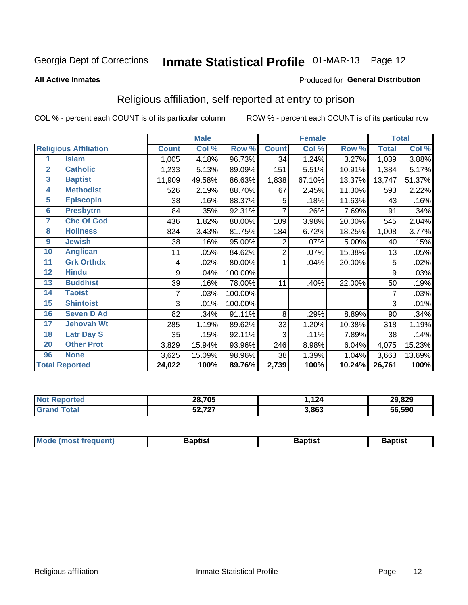# Inmate Statistical Profile 01-MAR-13 Page 12

#### **All Active Inmates**

#### Produced for General Distribution

# Religious affiliation, self-reported at entry to prison

COL % - percent each COUNT is of its particular column

|                         |                              |              | <b>Male</b> |         |              | <b>Female</b> |        |              | <b>Total</b> |
|-------------------------|------------------------------|--------------|-------------|---------|--------------|---------------|--------|--------------|--------------|
|                         | <b>Religious Affiliation</b> | <b>Count</b> | Col %       | Row %   | <b>Count</b> | Col %         | Row %  | <b>Total</b> | Col %        |
| 1                       | <b>Islam</b>                 | 1,005        | 4.18%       | 96.73%  | 34           | 1.24%         | 3.27%  | 1,039        | 3.88%        |
| $\overline{2}$          | <b>Catholic</b>              | 1,233        | 5.13%       | 89.09%  | 151          | 5.51%         | 10.91% | 1,384        | 5.17%        |
| $\overline{\mathbf{3}}$ | <b>Baptist</b>               | 11,909       | 49.58%      | 86.63%  | 1,838        | 67.10%        | 13.37% | 13,747       | 51.37%       |
| $\overline{\mathbf{4}}$ | <b>Methodist</b>             | 526          | 2.19%       | 88.70%  | 67           | 2.45%         | 11.30% | 593          | 2.22%        |
| $\overline{5}$          | <b>EpiscopIn</b>             | 38           | .16%        | 88.37%  | 5            | .18%          | 11.63% | 43           | .16%         |
| $6\overline{6}$         | <b>Presbytrn</b>             | 84           | .35%        | 92.31%  | 7            | .26%          | 7.69%  | 91           | .34%         |
| 7                       | <b>Chc Of God</b>            | 436          | 1.82%       | 80.00%  | 109          | 3.98%         | 20.00% | 545          | 2.04%        |
| 8                       | <b>Holiness</b>              | 824          | 3.43%       | 81.75%  | 184          | 6.72%         | 18.25% | 1,008        | 3.77%        |
| $\boldsymbol{9}$        | <b>Jewish</b>                | 38           | .16%        | 95.00%  | 2            | .07%          | 5.00%  | 40           | .15%         |
| 10                      | <b>Anglican</b>              | 11           | .05%        | 84.62%  | 2            | .07%          | 15.38% | 13           | .05%         |
| 11                      | <b>Grk Orthdx</b>            | 4            | .02%        | 80.00%  | 1            | .04%          | 20.00% | 5            | .02%         |
| 12                      | <b>Hindu</b>                 | 9            | .04%        | 100.00% |              |               |        | 9            | .03%         |
| 13                      | <b>Buddhist</b>              | 39           | .16%        | 78.00%  | 11           | .40%          | 22.00% | 50           | .19%         |
| 14                      | <b>Taoist</b>                | 7            | .03%        | 100.00% |              |               |        | 7            | .03%         |
| 15                      | <b>Shintoist</b>             | 3            | .01%        | 100.00% |              |               |        | 3            | .01%         |
| 16                      | <b>Seven D Ad</b>            | 82           | .34%        | 91.11%  | 8            | .29%          | 8.89%  | 90           | .34%         |
| 17                      | <b>Jehovah Wt</b>            | 285          | 1.19%       | 89.62%  | 33           | 1.20%         | 10.38% | 318          | 1.19%        |
| 18                      | <b>Latr Day S</b>            | 35           | .15%        | 92.11%  | 3            | .11%          | 7.89%  | 38           | .14%         |
| 20                      | <b>Other Prot</b>            | 3,829        | 15.94%      | 93.96%  | 246          | 8.98%         | 6.04%  | 4,075        | 15.23%       |
| 96                      | <b>None</b>                  | 3,625        | 15.09%      | 98.96%  | 38           | 1.39%         | 1.04%  | 3,663        | 13.69%       |
|                         | <b>Total Reported</b>        | 24,022       | 100%        | 89.76%  | 2,739        | 100%          | 10.24% | 26,761       | 100%         |

| 28,705       | 124   | 29,829     |
|--------------|-------|------------|
| ヒヘ フヘフ<br>JZ | 3,863 | ,590<br>56 |

| Mode (most frequent) | <b>3aptist</b> | 3aptist | <b>Baptist</b> |
|----------------------|----------------|---------|----------------|
|                      |                |         |                |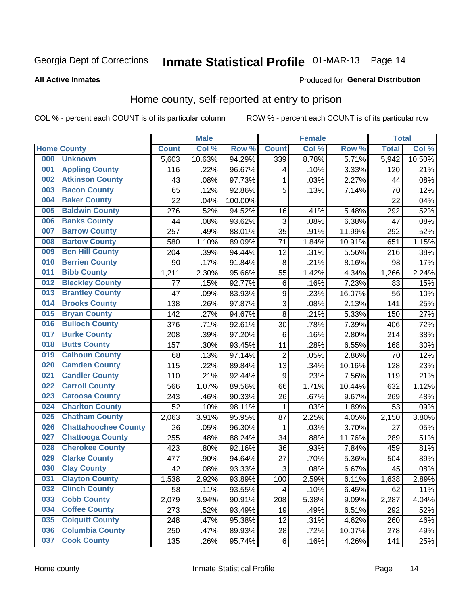# Inmate Statistical Profile 01-MAR-13 Page 14

#### **All Active Inmates**

#### Produced for General Distribution

### Home county, self-reported at entry to prison

COL % - percent each COUNT is of its particular column

|     |                             |              | <b>Male</b> |                  |                  | <b>Female</b> |        | <b>Total</b> |        |
|-----|-----------------------------|--------------|-------------|------------------|------------------|---------------|--------|--------------|--------|
|     | <b>Home County</b>          | <b>Count</b> | Col %       | Row <sup>%</sup> | <b>Count</b>     | Col %         | Row %  | <b>Total</b> | Col %  |
| 000 | <b>Unknown</b>              | 5,603        | 10.63%      | 94.29%           | 339              | 8.78%         | 5.71%  | 5,942        | 10.50% |
| 001 | <b>Appling County</b>       | 116          | .22%        | 96.67%           | 4                | .10%          | 3.33%  | 120          | .21%   |
| 002 | <b>Atkinson County</b>      | 43           | .08%        | 97.73%           | 1                | .03%          | 2.27%  | 44           | .08%   |
| 003 | <b>Bacon County</b>         | 65           | .12%        | 92.86%           | 5                | .13%          | 7.14%  | 70           | .12%   |
| 004 | <b>Baker County</b>         | 22           | .04%        | 100.00%          |                  |               |        | 22           | .04%   |
| 005 | <b>Baldwin County</b>       | 276          | .52%        | 94.52%           | 16               | .41%          | 5.48%  | 292          | .52%   |
| 006 | <b>Banks County</b>         | 44           | .08%        | 93.62%           | 3                | .08%          | 6.38%  | 47           | .08%   |
| 007 | <b>Barrow County</b>        | 257          | .49%        | 88.01%           | 35               | .91%          | 11.99% | 292          | .52%   |
| 008 | <b>Bartow County</b>        | 580          | 1.10%       | 89.09%           | 71               | 1.84%         | 10.91% | 651          | 1.15%  |
| 009 | <b>Ben Hill County</b>      | 204          | .39%        | 94.44%           | 12               | .31%          | 5.56%  | 216          | .38%   |
| 010 | <b>Berrien County</b>       | 90           | .17%        | 91.84%           | 8                | .21%          | 8.16%  | 98           | .17%   |
| 011 | <b>Bibb County</b>          | 1,211        | 2.30%       | 95.66%           | 55               | 1.42%         | 4.34%  | 1,266        | 2.24%  |
| 012 | <b>Bleckley County</b>      | 77           | .15%        | 92.77%           | $\,6$            | .16%          | 7.23%  | 83           | .15%   |
| 013 | <b>Brantley County</b>      | 47           | .09%        | 83.93%           | $\boldsymbol{9}$ | .23%          | 16.07% | 56           | .10%   |
| 014 | <b>Brooks County</b>        | 138          | .26%        | 97.87%           | 3                | .08%          | 2.13%  | 141          | .25%   |
| 015 | <b>Bryan County</b>         | 142          | .27%        | 94.67%           | 8                | .21%          | 5.33%  | 150          | .27%   |
| 016 | <b>Bulloch County</b>       | 376          | .71%        | 92.61%           | 30               | .78%          | 7.39%  | 406          | .72%   |
| 017 | <b>Burke County</b>         | 208          | .39%        | 97.20%           | 6                | .16%          | 2.80%  | 214          | .38%   |
| 018 | <b>Butts County</b>         | 157          | .30%        | 93.45%           | 11               | .28%          | 6.55%  | 168          | .30%   |
| 019 | <b>Calhoun County</b>       | 68           | .13%        | 97.14%           | $\overline{2}$   | .05%          | 2.86%  | 70           | .12%   |
| 020 | <b>Camden County</b>        | 115          | .22%        | 89.84%           | 13               | .34%          | 10.16% | 128          | .23%   |
| 021 | <b>Candler County</b>       | 110          | .21%        | 92.44%           | 9                | .23%          | 7.56%  | 119          | .21%   |
| 022 | <b>Carroll County</b>       | 566          | 1.07%       | 89.56%           | 66               | 1.71%         | 10.44% | 632          | 1.12%  |
| 023 | <b>Catoosa County</b>       | 243          | .46%        | 90.33%           | 26               | .67%          | 9.67%  | 269          | .48%   |
| 024 | <b>Charlton County</b>      | 52           | .10%        | 98.11%           | 1                | .03%          | 1.89%  | 53           | .09%   |
| 025 | <b>Chatham County</b>       | 2,063        | 3.91%       | 95.95%           | 87               | 2.25%         | 4.05%  | 2,150        | 3.80%  |
| 026 | <b>Chattahoochee County</b> | 26           | .05%        | 96.30%           | 1                | .03%          | 3.70%  | 27           | .05%   |
| 027 | <b>Chattooga County</b>     | 255          | .48%        | 88.24%           | 34               | .88%          | 11.76% | 289          | .51%   |
| 028 | <b>Cherokee County</b>      | 423          | .80%        | 92.16%           | 36               | .93%          | 7.84%  | 459          | .81%   |
| 029 | <b>Clarke County</b>        | 477          | .90%        | 94.64%           | 27               | .70%          | 5.36%  | 504          | .89%   |
| 030 | <b>Clay County</b>          | 42           | .08%        | 93.33%           | $\overline{3}$   | .08%          | 6.67%  | 45           | .08%   |
| 031 | <b>Clayton County</b>       | 1,538        | 2.92%       | 93.89%           | 100              | 2.59%         | 6.11%  | 1,638        | 2.89%  |
| 032 | <b>Clinch County</b>        | 58           | .11%        | 93.55%           | 4                | .10%          | 6.45%  | 62           | .11%   |
| 033 | <b>Cobb County</b>          | 2,079        | 3.94%       | 90.91%           | 208              | 5.38%         | 9.09%  | 2,287        | 4.04%  |
| 034 | <b>Coffee County</b>        | 273          | .52%        | 93.49%           | 19               | .49%          | 6.51%  | 292          | .52%   |
| 035 | <b>Colquitt County</b>      | 248          | .47%        | 95.38%           | 12               | .31%          | 4.62%  | 260          | .46%   |
| 036 | <b>Columbia County</b>      | 250          | .47%        | 89.93%           | 28               | .72%          | 10.07% | 278          | .49%   |
| 037 | <b>Cook County</b>          | 135          | .26%        | 95.74%           | $\,6\,$          | .16%          | 4.26%  | 141          | .25%   |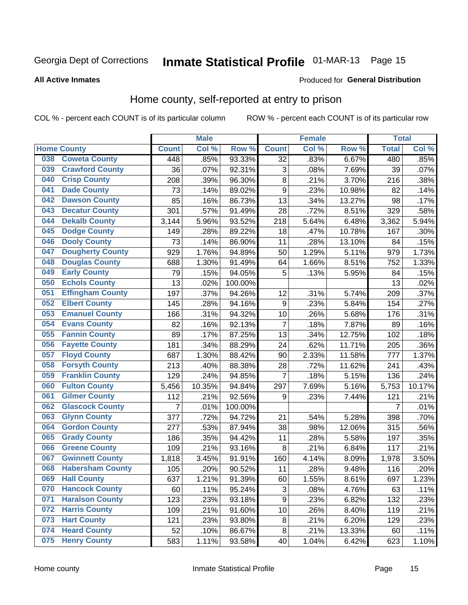# Inmate Statistical Profile 01-MAR-13 Page 15

#### **All Active Inmates**

### **Produced for General Distribution**

# Home county, self-reported at entry to prison

COL % - percent each COUNT is of its particular column

|     |                         |              | <b>Male</b> |                  |                  | <b>Female</b> |        | <b>Total</b>   |        |
|-----|-------------------------|--------------|-------------|------------------|------------------|---------------|--------|----------------|--------|
|     | <b>Home County</b>      | <b>Count</b> | Col %       | Row <sup>%</sup> | <b>Count</b>     | Col %         | Row %  | <b>Total</b>   | Col %  |
| 038 | <b>Coweta County</b>    | 448          | .85%        | 93.33%           | 32               | .83%          | 6.67%  | 480            | .85%   |
| 039 | <b>Crawford County</b>  | 36           | .07%        | 92.31%           | 3                | .08%          | 7.69%  | 39             | .07%   |
| 040 | <b>Crisp County</b>     | 208          | .39%        | 96.30%           | $\bf 8$          | .21%          | 3.70%  | 216            | .38%   |
| 041 | <b>Dade County</b>      | 73           | .14%        | 89.02%           | 9                | .23%          | 10.98% | 82             | .14%   |
| 042 | <b>Dawson County</b>    | 85           | .16%        | 86.73%           | 13               | .34%          | 13.27% | 98             | .17%   |
| 043 | <b>Decatur County</b>   | 301          | .57%        | 91.49%           | 28               | .72%          | 8.51%  | 329            | .58%   |
| 044 | <b>Dekalb County</b>    | 3,144        | 5.96%       | 93.52%           | 218              | 5.64%         | 6.48%  | 3,362          | 5.94%  |
| 045 | <b>Dodge County</b>     | 149          | .28%        | 89.22%           | 18               | .47%          | 10.78% | 167            | .30%   |
| 046 | <b>Dooly County</b>     | 73           | .14%        | 86.90%           | 11               | .28%          | 13.10% | 84             | .15%   |
| 047 | <b>Dougherty County</b> | 929          | 1.76%       | 94.89%           | 50               | 1.29%         | 5.11%  | 979            | 1.73%  |
| 048 | <b>Douglas County</b>   | 688          | 1.30%       | 91.49%           | 64               | 1.66%         | 8.51%  | 752            | 1.33%  |
| 049 | <b>Early County</b>     | 79           | .15%        | 94.05%           | 5                | .13%          | 5.95%  | 84             | .15%   |
| 050 | <b>Echols County</b>    | 13           | .02%        | 100.00%          |                  |               |        | 13             | .02%   |
| 051 | <b>Effingham County</b> | 197          | .37%        | 94.26%           | 12               | .31%          | 5.74%  | 209            | .37%   |
| 052 | <b>Elbert County</b>    | 145          | .28%        | 94.16%           | $\boldsymbol{9}$ | .23%          | 5.84%  | 154            | .27%   |
| 053 | <b>Emanuel County</b>   | 166          | .31%        | 94.32%           | 10               | .26%          | 5.68%  | 176            | .31%   |
| 054 | <b>Evans County</b>     | 82           | .16%        | 92.13%           | 7                | .18%          | 7.87%  | 89             | .16%   |
| 055 | <b>Fannin County</b>    | 89           | .17%        | 87.25%           | 13               | .34%          | 12.75% | 102            | .18%   |
| 056 | <b>Fayette County</b>   | 181          | .34%        | 88.29%           | 24               | .62%          | 11.71% | 205            | .36%   |
| 057 | <b>Floyd County</b>     | 687          | 1.30%       | 88.42%           | 90               | 2.33%         | 11.58% | 777            | 1.37%  |
| 058 | <b>Forsyth County</b>   | 213          | .40%        | 88.38%           | 28               | .72%          | 11.62% | 241            | .43%   |
| 059 | <b>Franklin County</b>  | 129          | .24%        | 94.85%           | $\overline{7}$   | .18%          | 5.15%  | 136            | .24%   |
| 060 | <b>Fulton County</b>    | 5,456        | 10.35%      | 94.84%           | 297              | 7.69%         | 5.16%  | 5,753          | 10.17% |
| 061 | <b>Gilmer County</b>    | 112          | .21%        | 92.56%           | 9                | .23%          | 7.44%  | 121            | .21%   |
| 062 | <b>Glascock County</b>  | 7            | .01%        | 100.00%          |                  |               |        | $\overline{7}$ | .01%   |
| 063 | <b>Glynn County</b>     | 377          | .72%        | 94.72%           | 21               | .54%          | 5.28%  | 398            | .70%   |
| 064 | <b>Gordon County</b>    | 277          | .53%        | 87.94%           | 38               | .98%          | 12.06% | 315            | .56%   |
| 065 | <b>Grady County</b>     | 186          | .35%        | 94.42%           | 11               | .28%          | 5.58%  | 197            | .35%   |
| 066 | <b>Greene County</b>    | 109          | .21%        | 93.16%           | 8                | .21%          | 6.84%  | 117            | .21%   |
| 067 | <b>Gwinnett County</b>  | 1,818        | 3.45%       | 91.91%           | 160              | 4.14%         | 8.09%  | 1,978          | 3.50%  |
| 068 | <b>Habersham County</b> | 105          | .20%        | 90.52%           | 11               | .28%          | 9.48%  | 116            | .20%   |
| 069 | <b>Hall County</b>      | 637          | 1.21%       | 91.39%           | 60               | 1.55%         | 8.61%  | 697            | 1.23%  |
| 070 | <b>Hancock County</b>   | 60           | .11%        | 95.24%           | 3                | .08%          | 4.76%  | 63             | .11%   |
| 071 | <b>Haralson County</b>  | 123          | .23%        | 93.18%           | $\boldsymbol{9}$ | .23%          | 6.82%  | 132            | .23%   |
| 072 | <b>Harris County</b>    | 109          | .21%        | 91.60%           | 10               | .26%          | 8.40%  | 119            | .21%   |
| 073 | <b>Hart County</b>      | 121          | .23%        | 93.80%           | 8                | .21%          | 6.20%  | 129            | .23%   |
| 074 | <b>Heard County</b>     | 52           | .10%        | 86.67%           | $\bf 8$          | .21%          | 13.33% | 60             | .11%   |
| 075 | <b>Henry County</b>     | 583          | 1.11%       | 93.58%           | 40               | 1.04%         | 6.42%  | 623            | 1.10%  |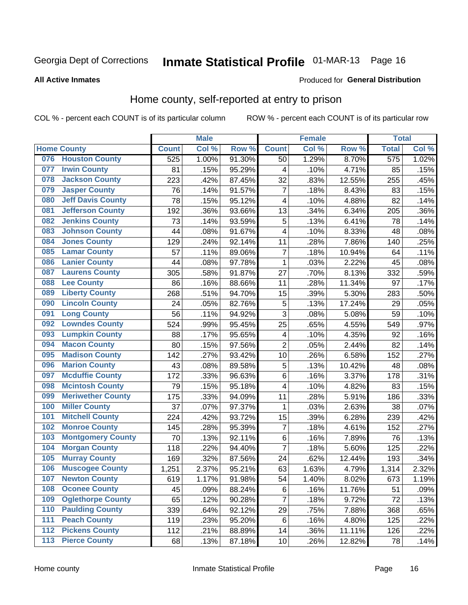# Inmate Statistical Profile 01-MAR-13 Page 16

#### **All Active Inmates**

### Produced for General Distribution

### Home county, self-reported at entry to prison

COL % - percent each COUNT is of its particular column

|                  |                          |              | <b>Male</b> |                  |                         | <b>Female</b> |        | <b>Total</b> |       |
|------------------|--------------------------|--------------|-------------|------------------|-------------------------|---------------|--------|--------------|-------|
|                  | <b>Home County</b>       | <b>Count</b> | Col %       | Row <sup>%</sup> | <b>Count</b>            | Col %         | Row %  | <b>Total</b> | Col % |
| 076              | <b>Houston County</b>    | 525          | 1.00%       | 91.30%           | 50                      | 1.29%         | 8.70%  | 575          | 1.02% |
| 077              | <b>Irwin County</b>      | 81           | .15%        | 95.29%           | 4                       | .10%          | 4.71%  | 85           | .15%  |
| 078              | <b>Jackson County</b>    | 223          | .42%        | 87.45%           | 32                      | .83%          | 12.55% | 255          | .45%  |
| 079              | <b>Jasper County</b>     | 76           | .14%        | 91.57%           | $\overline{7}$          | .18%          | 8.43%  | 83           | .15%  |
| 080              | <b>Jeff Davis County</b> | 78           | .15%        | 95.12%           | $\overline{\mathbf{4}}$ | .10%          | 4.88%  | 82           | .14%  |
| 081              | <b>Jefferson County</b>  | 192          | .36%        | 93.66%           | 13                      | .34%          | 6.34%  | 205          | .36%  |
| 082              | <b>Jenkins County</b>    | 73           | .14%        | 93.59%           | 5                       | .13%          | 6.41%  | 78           | .14%  |
| 083              | <b>Johnson County</b>    | 44           | .08%        | 91.67%           | $\overline{\mathbf{4}}$ | .10%          | 8.33%  | 48           | .08%  |
| 084              | <b>Jones County</b>      | 129          | .24%        | 92.14%           | 11                      | .28%          | 7.86%  | 140          | .25%  |
| 085              | <b>Lamar County</b>      | 57           | .11%        | 89.06%           | $\overline{7}$          | .18%          | 10.94% | 64           | .11%  |
| 086              | <b>Lanier County</b>     | 44           | .08%        | 97.78%           | 1                       | .03%          | 2.22%  | 45           | .08%  |
| 087              | <b>Laurens County</b>    | 305          | .58%        | 91.87%           | 27                      | .70%          | 8.13%  | 332          | .59%  |
| 088              | <b>Lee County</b>        | 86           | .16%        | 88.66%           | 11                      | .28%          | 11.34% | 97           | .17%  |
| 089              | <b>Liberty County</b>    | 268          | .51%        | 94.70%           | 15                      | .39%          | 5.30%  | 283          | .50%  |
| 090              | <b>Lincoln County</b>    | 24           | .05%        | 82.76%           | 5                       | .13%          | 17.24% | 29           | .05%  |
| 091              | <b>Long County</b>       | 56           | .11%        | 94.92%           | 3                       | .08%          | 5.08%  | 59           | .10%  |
| 092              | <b>Lowndes County</b>    | 524          | .99%        | 95.45%           | 25                      | .65%          | 4.55%  | 549          | .97%  |
| 093              | <b>Lumpkin County</b>    | 88           | .17%        | 95.65%           | 4                       | .10%          | 4.35%  | 92           | .16%  |
| 094              | <b>Macon County</b>      | 80           | .15%        | 97.56%           | $\overline{2}$          | .05%          | 2.44%  | 82           | .14%  |
| 095              | <b>Madison County</b>    | 142          | .27%        | 93.42%           | 10                      | .26%          | 6.58%  | 152          | .27%  |
| 096              | <b>Marion County</b>     | 43           | .08%        | 89.58%           | 5                       | .13%          | 10.42% | 48           | .08%  |
| 097              | <b>Mcduffie County</b>   | 172          | .33%        | 96.63%           | 6                       | .16%          | 3.37%  | 178          | .31%  |
| 098              | <b>Mcintosh County</b>   | 79           | .15%        | 95.18%           | $\overline{\mathbf{4}}$ | .10%          | 4.82%  | 83           | .15%  |
| 099              | <b>Meriwether County</b> | 175          | .33%        | 94.09%           | 11                      | .28%          | 5.91%  | 186          | .33%  |
| 100              | <b>Miller County</b>     | 37           | .07%        | 97.37%           | 1                       | .03%          | 2.63%  | 38           | .07%  |
| 101              | <b>Mitchell County</b>   | 224          | .42%        | 93.72%           | 15                      | .39%          | 6.28%  | 239          | .42%  |
| 102              | <b>Monroe County</b>     | 145          | .28%        | 95.39%           | $\overline{7}$          | .18%          | 4.61%  | 152          | .27%  |
| 103              | <b>Montgomery County</b> | 70           | .13%        | 92.11%           | 6                       | .16%          | 7.89%  | 76           | .13%  |
| 104              | <b>Morgan County</b>     | 118          | .22%        | 94.40%           | $\overline{7}$          | .18%          | 5.60%  | 125          | .22%  |
| 105              | <b>Murray County</b>     | 169          | .32%        | 87.56%           | 24                      | .62%          | 12.44% | 193          | .34%  |
| 106              | <b>Muscogee County</b>   | 1,251        | 2.37%       | 95.21%           | 63                      | 1.63%         | 4.79%  | 1,314        | 2.32% |
| 107              | <b>Newton County</b>     | 619          | 1.17%       | 91.98%           | 54                      | 1.40%         | 8.02%  | 673          | 1.19% |
| 108              | <b>Oconee County</b>     | 45           | .09%        | 88.24%           | 6                       | .16%          | 11.76% | 51           | .09%  |
| 109              | <b>Oglethorpe County</b> | 65           | .12%        | 90.28%           | 7                       | .18%          | 9.72%  | 72           | .13%  |
| 110              | <b>Paulding County</b>   | 339          | .64%        | 92.12%           | 29                      | .75%          | 7.88%  | 368          | .65%  |
| 111              | <b>Peach County</b>      | 119          | .23%        | 95.20%           | 6                       | .16%          | 4.80%  | 125          | .22%  |
| $\overline{112}$ | <b>Pickens County</b>    | 112          | .21%        | 88.89%           | 14                      | .36%          | 11.11% | 126          | .22%  |
| 113              | <b>Pierce County</b>     | 68           | .13%        | 87.18%           | 10                      | .26%          | 12.82% | 78           | .14%  |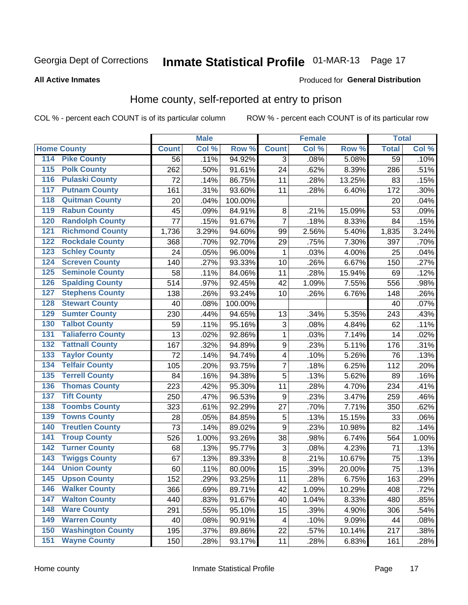# Inmate Statistical Profile 01-MAR-13 Page 17

#### **All Active Inmates**

### **Produced for General Distribution**

# Home county, self-reported at entry to prison

COL % - percent each COUNT is of its particular column

|     |                          |              | <b>Male</b> |         |                         | <b>Female</b> |        | <b>Total</b> |       |
|-----|--------------------------|--------------|-------------|---------|-------------------------|---------------|--------|--------------|-------|
|     | <b>Home County</b>       | <b>Count</b> | Col %       | Row %   | <b>Count</b>            | Col %         | Row %  | <b>Total</b> | Col % |
| 114 | <b>Pike County</b>       | 56           | .11%        | 94.92%  | 3                       | .08%          | 5.08%  | 59           | .10%  |
| 115 | <b>Polk County</b>       | 262          | .50%        | 91.61%  | 24                      | .62%          | 8.39%  | 286          | .51%  |
| 116 | <b>Pulaski County</b>    | 72           | .14%        | 86.75%  | 11                      | .28%          | 13.25% | 83           | .15%  |
| 117 | <b>Putnam County</b>     | 161          | .31%        | 93.60%  | 11                      | .28%          | 6.40%  | 172          | .30%  |
| 118 | <b>Quitman County</b>    | 20           | .04%        | 100.00% |                         |               |        | 20           | .04%  |
| 119 | <b>Rabun County</b>      | 45           | .09%        | 84.91%  | 8                       | .21%          | 15.09% | 53           | .09%  |
| 120 | <b>Randolph County</b>   | 77           | .15%        | 91.67%  | $\overline{7}$          | .18%          | 8.33%  | 84           | .15%  |
| 121 | <b>Richmond County</b>   | 1,736        | 3.29%       | 94.60%  | 99                      | 2.56%         | 5.40%  | 1,835        | 3.24% |
| 122 | <b>Rockdale County</b>   | 368          | .70%        | 92.70%  | 29                      | .75%          | 7.30%  | 397          | .70%  |
| 123 | <b>Schley County</b>     | 24           | .05%        | 96.00%  | 1                       | .03%          | 4.00%  | 25           | .04%  |
| 124 | <b>Screven County</b>    | 140          | .27%        | 93.33%  | 10                      | .26%          | 6.67%  | 150          | .27%  |
| 125 | <b>Seminole County</b>   | 58           | .11%        | 84.06%  | 11                      | .28%          | 15.94% | 69           | .12%  |
| 126 | <b>Spalding County</b>   | 514          | .97%        | 92.45%  | 42                      | 1.09%         | 7.55%  | 556          | .98%  |
| 127 | <b>Stephens County</b>   | 138          | .26%        | 93.24%  | 10                      | .26%          | 6.76%  | 148          | .26%  |
| 128 | <b>Stewart County</b>    | 40           | .08%        | 100.00% |                         |               |        | 40           | .07%  |
| 129 | <b>Sumter County</b>     | 230          | .44%        | 94.65%  | 13                      | .34%          | 5.35%  | 243          | .43%  |
| 130 | <b>Talbot County</b>     | 59           | .11%        | 95.16%  | $\sqrt{3}$              | .08%          | 4.84%  | 62           | .11%  |
| 131 | <b>Taliaferro County</b> | 13           | .02%        | 92.86%  | $\mathbf{1}$            | .03%          | 7.14%  | 14           | .02%  |
| 132 | <b>Tattnall County</b>   | 167          | .32%        | 94.89%  | $\overline{9}$          | .23%          | 5.11%  | 176          | .31%  |
| 133 | <b>Taylor County</b>     | 72           | .14%        | 94.74%  | $\overline{\mathbf{4}}$ | .10%          | 5.26%  | 76           | .13%  |
| 134 | <b>Telfair County</b>    | 105          | .20%        | 93.75%  | 7                       | .18%          | 6.25%  | 112          | .20%  |
| 135 | <b>Terrell County</b>    | 84           | .16%        | 94.38%  | 5                       | .13%          | 5.62%  | 89           | .16%  |
| 136 | <b>Thomas County</b>     | 223          | .42%        | 95.30%  | 11                      | .28%          | 4.70%  | 234          | .41%  |
| 137 | <b>Tift County</b>       | 250          | .47%        | 96.53%  | 9                       | .23%          | 3.47%  | 259          | .46%  |
| 138 | <b>Toombs County</b>     | 323          | .61%        | 92.29%  | 27                      | .70%          | 7.71%  | 350          | .62%  |
| 139 | <b>Towns County</b>      | 28           | .05%        | 84.85%  | 5                       | .13%          | 15.15% | 33           | .06%  |
| 140 | <b>Treutlen County</b>   | 73           | .14%        | 89.02%  | $\boldsymbol{9}$        | .23%          | 10.98% | 82           | .14%  |
| 141 | <b>Troup County</b>      | 526          | 1.00%       | 93.26%  | 38                      | .98%          | 6.74%  | 564          | 1.00% |
| 142 | <b>Turner County</b>     | 68           | .13%        | 95.77%  | $\sqrt{3}$              | .08%          | 4.23%  | 71           | .13%  |
| 143 | <b>Twiggs County</b>     | 67           | .13%        | 89.33%  | 8                       | .21%          | 10.67% | 75           | .13%  |
| 144 | <b>Union County</b>      | 60           | .11%        | 80.00%  | 15                      | .39%          | 20.00% | 75           | .13%  |
| 145 | <b>Upson County</b>      | 152          | .29%        | 93.25%  | 11                      | .28%          | 6.75%  | 163          | .29%  |
| 146 | <b>Walker County</b>     | 366          | .69%        | 89.71%  | 42                      | 1.09%         | 10.29% | 408          | .72%  |
| 147 | <b>Walton County</b>     | 440          | .83%        | 91.67%  | 40                      | 1.04%         | 8.33%  | 480          | .85%  |
| 148 | <b>Ware County</b>       | 291          | .55%        | 95.10%  | 15                      | .39%          | 4.90%  | 306          | .54%  |
| 149 | <b>Warren County</b>     | 40           | .08%        | 90.91%  | 4                       | .10%          | 9.09%  | 44           | .08%  |
| 150 | <b>Washington County</b> | 195          | .37%        | 89.86%  | 22                      | .57%          | 10.14% | 217          | .38%  |
| 151 | <b>Wayne County</b>      | 150          | .28%        | 93.17%  | 11                      | .28%          | 6.83%  | 161          | .28%  |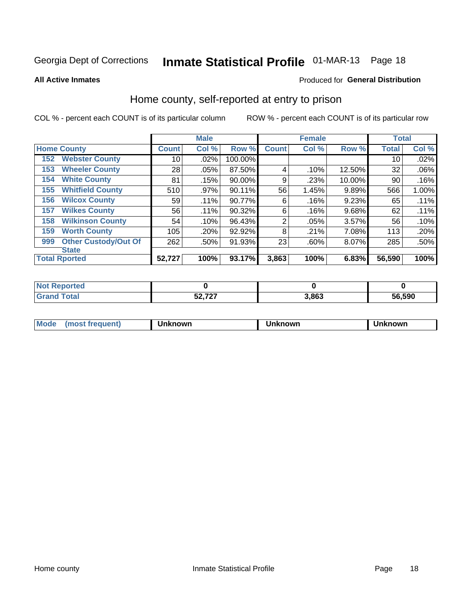# Inmate Statistical Profile 01-MAR-13 Page 18

**All Active Inmates** 

### Produced for General Distribution

### Home county, self-reported at entry to prison

COL % - percent each COUNT is of its particular column

|     |                             |              | <b>Male</b> |         |                | <b>Female</b> |        | <b>Total</b> |       |
|-----|-----------------------------|--------------|-------------|---------|----------------|---------------|--------|--------------|-------|
|     | <b>Home County</b>          | <b>Count</b> | Col %       | Row %   | <b>Count</b>   | Col %         | Row %  | <b>Total</b> | Col % |
| 152 | <b>Webster County</b>       | 10           | .02%        | 100.00% |                |               |        | 10           | .02%  |
| 153 | <b>Wheeler County</b>       | 28           | .05%        | 87.50%  | 4              | .10%          | 12.50% | 32           | .06%  |
| 154 | <b>White County</b>         | 81           | .15%        | 90.00%  | 9              | .23%          | 10.00% | 90           | .16%  |
| 155 | <b>Whitfield County</b>     | 510          | .97%        | 90.11%  | 56             | 1.45%         | 9.89%  | 566          | 1.00% |
| 156 | <b>Wilcox County</b>        | 59           | .11%        | 90.77%  | 6              | .16%          | 9.23%  | 65           | .11%  |
| 157 | <b>Wilkes County</b>        | 56           | .11%        | 90.32%  | 6              | .16%          | 9.68%  | 62           | .11%  |
| 158 | <b>Wilkinson County</b>     | 54           | .10%        | 96.43%  | $\overline{2}$ | .05%          | 3.57%  | 56           | .10%  |
| 159 | <b>Worth County</b>         | 105          | .20%        | 92.92%  | 8              | .21%          | 7.08%  | 113          | .20%  |
| 999 | <b>Other Custody/Out Of</b> | 262          | .50%        | 91.93%  | 23             | .60%          | 8.07%  | 285          | .50%  |
|     | <b>State</b>                |              |             |         |                |               |        |              |       |
|     | <b>Total Rported</b>        | 52,727       | 100%        | 93.17%  | 3,863          | 100%          | 6.83%  | 56,590       | 100%  |

| ાલવ |                     |       |        |
|-----|---------------------|-------|--------|
|     | $E_2 = 727$<br>וגנט | 3,863 | 56,590 |

| Mode<br><b>Tequent)</b><br>ns | nown | mown | เทown |
|-------------------------------|------|------|-------|
|                               |      |      |       |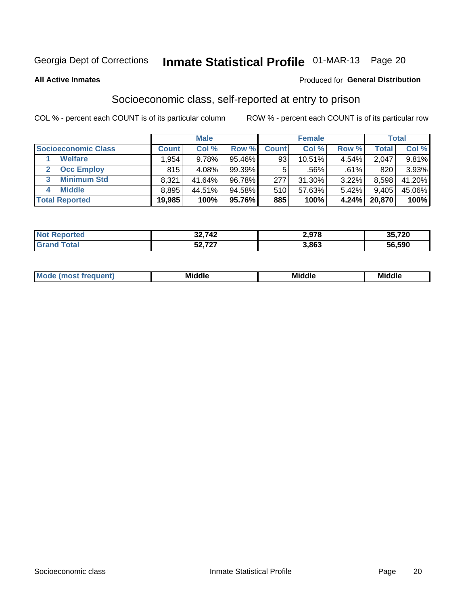# Inmate Statistical Profile 01-MAR-13 Page 20

#### **All Active Inmates**

#### Produced for General Distribution

# Socioeconomic class, self-reported at entry to prison

COL % - percent each COUNT is of its particular column

|                            |        | <b>Male</b> |           |              | <b>Female</b> |       |        | <b>Total</b> |
|----------------------------|--------|-------------|-----------|--------------|---------------|-------|--------|--------------|
| <b>Socioeconomic Class</b> | Count⊺ | Col %       | Row %     | <b>Count</b> | Col %         | Row % | Total  | Col %        |
| <b>Welfare</b>             | .954   | 9.78%       | 95.46%    | 93           | $10.51\%$     | 4.54% | 2,047  | 9.81%        |
| <b>Occ Employ</b>          | 815    | 4.08%       | $99.39\%$ | 5.           | .56%          | .61%  | 820    | 3.93%        |
| <b>Minimum Std</b><br>3    | 8,321  | 41.64%      | 96.78%    | 277          | 31.30%        | 3.22% | 8,598  | 41.20%       |
| <b>Middle</b>              | 8,895  | 44.51%      | 94.58%    | 510          | 57.63%        | 5.42% | 9,405  | 45.06%       |
| <b>Total Reported</b>      | 19,985 | 100%        | 95.76%    | 885          | 100%          | 4.24% | 20,870 | 100%         |

| rteo | 32,742                     | 079<br>2.YI 0 | <b>25 720</b><br>33. <i>I</i> ZU |
|------|----------------------------|---------------|----------------------------------|
|      | よへ フヘフ<br><b>JL, I L I</b> | 3,863         | 56,590                           |

|  | M. | <b>Middle</b><br>____ | <b>Middle</b><br>____ | ---<br>____ |
|--|----|-----------------------|-----------------------|-------------|
|--|----|-----------------------|-----------------------|-------------|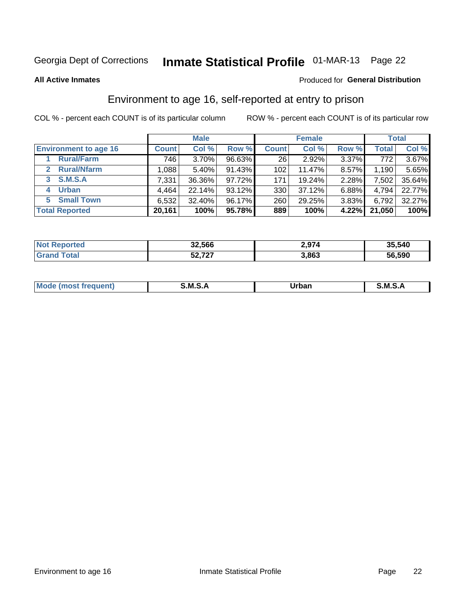# Inmate Statistical Profile 01-MAR-13 Page 22

**All Active Inmates** 

#### Produced for General Distribution

# Environment to age 16, self-reported at entry to prison

COL % - percent each COUNT is of its particular column

|                                      |              | <b>Male</b> |        |              | <b>Female</b> |       |              | <b>Total</b> |
|--------------------------------------|--------------|-------------|--------|--------------|---------------|-------|--------------|--------------|
| <b>Environment to age 16</b>         | <b>Count</b> | Col %       | Row %  | <b>Count</b> | Col %         | Row % | <b>Total</b> | Col %        |
| <b>Rural/Farm</b>                    | 746          | 3.70%       | 96.63% | 26           | $2.92\%$      | 3.37% | 772          | $3.67\%$     |
| <b>Rural/Nfarm</b><br>$\overline{2}$ | 1,088        | 5.40%       | 91.43% | 102          | 11.47%        | 8.57% | 1,190        | 5.65%        |
| S.M.S.A<br>$\mathbf{3}$              | 7,331        | 36.36%      | 97.72% | 171          | 19.24%        | 2.28% | 7,502        | 35.64%       |
| <b>Urban</b><br>4                    | 4,464        | 22.14%      | 93.12% | 330          | 37.12%        | 6.88% | 4,794        | 22.77%       |
| <b>Small Town</b><br>5.              | 6,532        | 32.40%      | 96.17% | 260          | 29.25%        | 3.83% | 6,792        | 32.27%       |
| <b>Total Reported</b>                | 20,161       | 100%        | 95.78% | 889          | 100%          | 4.22% | 21,050       | 100%         |

| <b>Not Reported</b> | 32,566 | 2,974 | 35,540 |
|---------------------|--------|-------|--------|
| <b>Total</b>        | 52,727 | 3,863 | 56,590 |

| Mo | M<br>______ | Irhan<br>rva<br>______ | M<br>______ |
|----|-------------|------------------------|-------------|
|    |             |                        |             |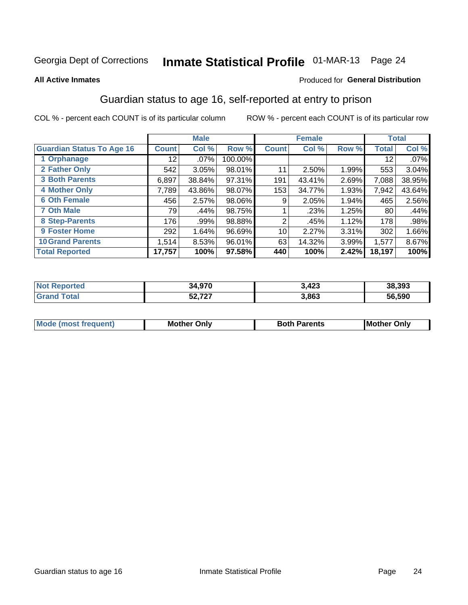# Inmate Statistical Profile 01-MAR-13 Page 24

#### **All Active Inmates**

### **Produced for General Distribution**

# Guardian status to age 16, self-reported at entry to prison

COL % - percent each COUNT is of its particular column

|                                  |              | <b>Male</b> |           |              | <b>Female</b> |       |              | <b>Total</b> |
|----------------------------------|--------------|-------------|-----------|--------------|---------------|-------|--------------|--------------|
| <b>Guardian Status To Age 16</b> | <b>Count</b> | Col %       | Row %     | <b>Count</b> | Col %         | Row % | <b>Total</b> | Col %        |
| 1 Orphanage                      | 12           | $.07\%$     | 100.00%   |              |               |       | 12           | .07%         |
| 2 Father Only                    | 542          | 3.05%       | 98.01%    | 11           | 2.50%         | 1.99% | 553          | 3.04%        |
| <b>3 Both Parents</b>            | 6,897        | 38.84%      | 97.31%    | 191          | 43.41%        | 2.69% | 7,088        | 38.95%       |
| <b>4 Mother Only</b>             | 7,789        | 43.86%      | 98.07%    | 153          | 34.77%        | 1.93% | 7,942        | 43.64%       |
| <b>6 Oth Female</b>              | 456          | 2.57%       | 98.06%    | 9            | 2.05%         | 1.94% | 465          | 2.56%        |
| <b>7 Oth Male</b>                | 79           | .44%        | 98.75%    |              | .23%          | 1.25% | 80           | .44%         |
| 8 Step-Parents                   | 176          | .99%        | 98.88%    | 2            | .45%          | 1.12% | 178          | .98%         |
| 9 Foster Home                    | 292          | 1.64%       | $96.69\%$ | 10           | 2.27%         | 3.31% | 302          | 1.66%        |
| <b>10 Grand Parents</b>          | 1,514        | 8.53%       | 96.01%    | 63           | 14.32%        | 3.99% | 1,577        | 8.67%        |
| <b>Total Reported</b>            | 17,757       | 100%        | 97.58%    | 440          | 100%          | 2.42% | 18,197       | 100%         |

| rted<br>NO | $\sim$<br>34.97U | 3,423 | 38,393 |
|------------|------------------|-------|--------|
|            | -372<br>JL.I LI  | 3,863 | 56.590 |

| <b>Mode (most frequent)</b> | วทIv<br>- -<br>MΩ | <b>Roth</b><br>ີ <sup>ລ</sup> າrents | l Mc<br>Only<br>- - |
|-----------------------------|-------------------|--------------------------------------|---------------------|
|                             |                   |                                      |                     |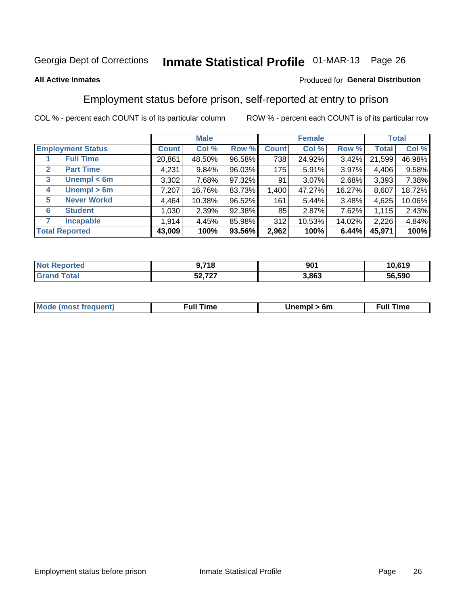# Inmate Statistical Profile 01-MAR-13 Page 26

#### **All Active Inmates**

#### Produced for General Distribution

### Employment status before prison, self-reported at entry to prison

COL % - percent each COUNT is of its particular column

|                                  |              | <b>Male</b> |        |              | <b>Female</b> |        |        | <b>Total</b> |
|----------------------------------|--------------|-------------|--------|--------------|---------------|--------|--------|--------------|
| <b>Employment Status</b>         | <b>Count</b> | Col %       | Row %  | <b>Count</b> | Col %         | Row %  | Total  | Col %        |
| <b>Full Time</b>                 | 20,861       | 48.50%      | 96.58% | 738          | 24.92%        | 3.42%  | 21,599 | 46.98%       |
| <b>Part Time</b><br>$\mathbf{2}$ | 4,231        | 9.84%       | 96.03% | 175          | 5.91%         | 3.97%  | 4,406  | 9.58%        |
| Unempl $<$ 6m<br>3               | 3,302        | 7.68%       | 97.32% | 91           | 3.07%         | 2.68%  | 3,393  | 7.38%        |
| Unempl > 6m<br>4                 | 7,207        | 16.76%      | 83.73% | 1,400        | 47.27%        | 16.27% | 8,607  | 18.72%       |
| <b>Never Workd</b><br>5          | 4,464        | 10.38%      | 96.52% | 161          | 5.44%         | 3.48%  | 4,625  | 10.06%       |
| <b>Student</b><br>6              | 1,030        | 2.39%       | 92.38% | 85           | 2.87%         | 7.62%  | 1,115  | 2.43%        |
| <b>Incapable</b>                 | 1,914        | 4.45%       | 85.98% | 312          | 10.53%        | 14.02% | 2,226  | 4.84%        |
| <b>Total Reported</b>            | 43,009       | 100%        | 93.56% | 2,962        | 100%          | 6.44%  | 45,971 | 100%         |

| าorteo<br>NO     | ,718                  | 901   | 10,619 |
|------------------|-----------------------|-------|--------|
| $\sim$ to $\sim$ | $E_2 = 727$<br>34.IZI | 3,863 | 56.590 |

| <b>Moo.</b><br><b>THOST</b> | the contract of the contract of the contract of the contract of the contract of the contract of the contract of | 6m | ıme |
|-----------------------------|-----------------------------------------------------------------------------------------------------------------|----|-----|
|                             |                                                                                                                 |    |     |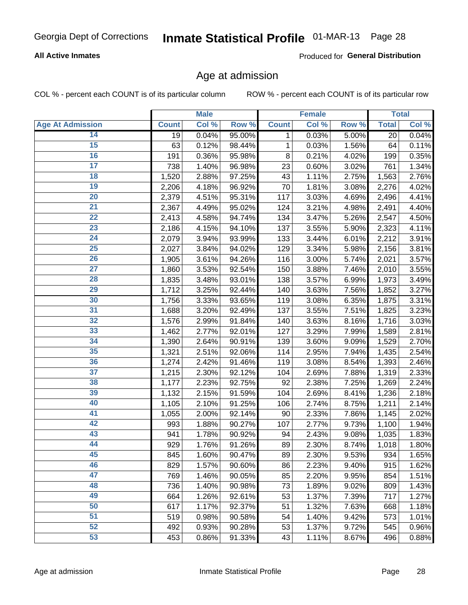### **All Active Inmates**

Produced for General Distribution

### Age at admission

COL % - percent each COUNT is of its particular column

|                         |              | <b>Male</b> |        |                 | Female |       |              | <b>Total</b> |
|-------------------------|--------------|-------------|--------|-----------------|--------|-------|--------------|--------------|
| <b>Age At Admission</b> | <b>Count</b> | Col %       | Row %  | <b>Count</b>    | Col %  | Row % | <b>Total</b> | Col %        |
| 14                      | 19           | 0.04%       | 95.00% | 1               | 0.03%  | 5.00% | 20           | 0.04%        |
| $\overline{15}$         | 63           | 0.12%       | 98.44% | $\mathbf 1$     | 0.03%  | 1.56% | 64           | 0.11%        |
| 16                      | 191          | 0.36%       | 95.98% | 8               | 0.21%  | 4.02% | 199          | 0.35%        |
| $\overline{17}$         | 738          | 1.40%       | 96.98% | 23              | 0.60%  | 3.02% | 761          | 1.34%        |
| $\overline{18}$         | 1,520        | 2.88%       | 97.25% | 43              | 1.11%  | 2.75% | 1,563        | 2.76%        |
| 19                      | 2,206        | 4.18%       | 96.92% | $\overline{70}$ | 1.81%  | 3.08% | 2,276        | 4.02%        |
| $\overline{20}$         | 2,379        | 4.51%       | 95.31% | 117             | 3.03%  | 4.69% | 2,496        | 4.41%        |
| $\overline{21}$         | 2,367        | 4.49%       | 95.02% | 124             | 3.21%  | 4.98% | 2,491        | 4.40%        |
| $\overline{22}$         | 2,413        | 4.58%       | 94.74% | 134             | 3.47%  | 5.26% | 2,547        | 4.50%        |
| 23                      | 2,186        | 4.15%       | 94.10% | 137             | 3.55%  | 5.90% | 2,323        | 4.11%        |
| $\overline{24}$         | 2,079        | 3.94%       | 93.99% | 133             | 3.44%  | 6.01% | 2,212        | 3.91%        |
| 25                      | 2,027        | 3.84%       | 94.02% | 129             | 3.34%  | 5.98% | 2,156        | 3.81%        |
| $\overline{26}$         | 1,905        | 3.61%       | 94.26% | 116             | 3.00%  | 5.74% | 2,021        | 3.57%        |
| $\overline{27}$         | 1,860        | 3.53%       | 92.54% | 150             | 3.88%  | 7.46% | 2,010        | 3.55%        |
| 28                      | 1,835        | 3.48%       | 93.01% | 138             | 3.57%  | 6.99% | 1,973        | 3.49%        |
| $\overline{29}$         | 1,712        | 3.25%       | 92.44% | 140             | 3.63%  | 7.56% | 1,852        | 3.27%        |
| 30                      | 1,756        | 3.33%       | 93.65% | 119             | 3.08%  | 6.35% | 1,875        | 3.31%        |
| $\overline{31}$         | 1,688        | 3.20%       | 92.49% | 137             | 3.55%  | 7.51% | 1,825        | 3.23%        |
| 32                      | 1,576        | 2.99%       | 91.84% | 140             | 3.63%  | 8.16% | 1,716        | 3.03%        |
| 33                      | 1,462        | 2.77%       | 92.01% | 127             | 3.29%  | 7.99% | 1,589        | 2.81%        |
| 34                      | 1,390        | 2.64%       | 90.91% | 139             | 3.60%  | 9.09% | 1,529        | 2.70%        |
| 35                      | 1,321        | 2.51%       | 92.06% | 114             | 2.95%  | 7.94% | 1,435        | 2.54%        |
| 36                      | 1,274        | 2.42%       | 91.46% | 119             | 3.08%  | 8.54% | 1,393        | 2.46%        |
| $\overline{37}$         | 1,215        | 2.30%       | 92.12% | 104             | 2.69%  | 7.88% | 1,319        | 2.33%        |
| 38                      | 1,177        | 2.23%       | 92.75% | 92              | 2.38%  | 7.25% | 1,269        | 2.24%        |
| 39                      | 1,132        | 2.15%       | 91.59% | 104             | 2.69%  | 8.41% | 1,236        | 2.18%        |
| 40                      | 1,105        | 2.10%       | 91.25% | 106             | 2.74%  | 8.75% | 1,211        | 2.14%        |
| 41                      | 1,055        | 2.00%       | 92.14% | 90              | 2.33%  | 7.86% | 1,145        | 2.02%        |
| 42                      | 993          | 1.88%       | 90.27% | 107             | 2.77%  | 9.73% | 1,100        | 1.94%        |
| 43                      | 941          | 1.78%       | 90.92% | 94              | 2.43%  | 9.08% | 1,035        | 1.83%        |
| 44                      | 929          | 1.76%       | 91.26% | 89              | 2.30%  | 8.74% | 1,018        | 1.80%        |
| 45                      | 845          | 1.60%       | 90.47% | 89              | 2.30%  | 9.53% | 934          | 1.65%        |
| 46                      | 829          | 1.57%       | 90.60% | 86              | 2.23%  | 9.40% | 915          | 1.62%        |
| 47                      | 769          | 1.46%       | 90.05% | 85              | 2.20%  | 9.95% | 854          | 1.51%        |
| 48                      | 736          | 1.40%       | 90.98% | 73              | 1.89%  | 9.02% | 809          | 1.43%        |
| 49                      | 664          | 1.26%       | 92.61% | 53              | 1.37%  | 7.39% | 717          | 1.27%        |
| 50                      | 617          | 1.17%       | 92.37% | 51              | 1.32%  | 7.63% | 668          | 1.18%        |
| 51                      | 519          | 0.98%       | 90.58% | 54              | 1.40%  | 9.42% | 573          | 1.01%        |
| 52                      | 492          | 0.93%       | 90.28% | 53              | 1.37%  | 9.72% | 545          | 0.96%        |
| 53                      | 453          | 0.86%       | 91.33% | 43              | 1.11%  | 8.67% | 496          | 0.88%        |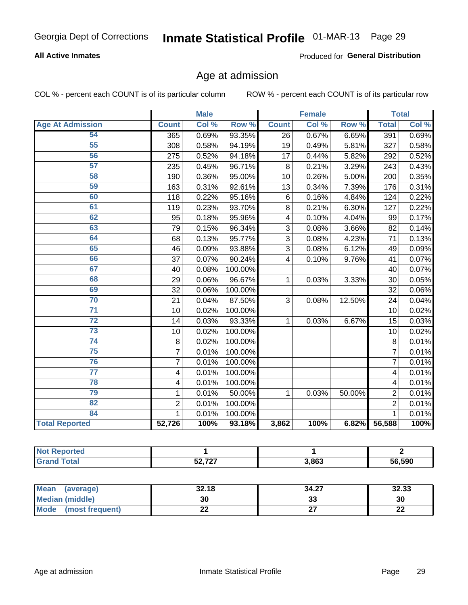### **All Active Inmates**

Produced for General Distribution

### Age at admission

COL % - percent each COUNT is of its particular column

|                         |                | <b>Male</b> |         |                 | <b>Female</b> |                  |                | <b>Total</b> |
|-------------------------|----------------|-------------|---------|-----------------|---------------|------------------|----------------|--------------|
| <b>Age At Admission</b> | <b>Count</b>   | Col %       | Row %   | <b>Count</b>    | Col %         | Row <sup>%</sup> | <b>Total</b>   | Col %        |
| 54                      | 365            | 0.69%       | 93.35%  | 26              | 0.67%         | 6.65%            | 391            | 0.69%        |
| 55                      | 308            | 0.58%       | 94.19%  | 19              | 0.49%         | 5.81%            | 327            | 0.58%        |
| 56                      | 275            | 0.52%       | 94.18%  | 17              | 0.44%         | 5.82%            | 292            | 0.52%        |
| 57                      | 235            | 0.45%       | 96.71%  | 8               | 0.21%         | 3.29%            | 243            | 0.43%        |
| 58                      | 190            | 0.36%       | 95.00%  | 10              | 0.26%         | 5.00%            | 200            | 0.35%        |
| 59                      | 163            | 0.31%       | 92.61%  | 13              | 0.34%         | 7.39%            | 176            | 0.31%        |
| 60                      | 118            | 0.22%       | 95.16%  | $6\phantom{1}6$ | 0.16%         | 4.84%            | 124            | 0.22%        |
| 61                      | 119            | 0.23%       | 93.70%  | 8               | 0.21%         | 6.30%            | 127            | 0.22%        |
| 62                      | 95             | 0.18%       | 95.96%  | 4               | 0.10%         | 4.04%            | 99             | 0.17%        |
| 63                      | 79             | 0.15%       | 96.34%  | 3               | 0.08%         | 3.66%            | 82             | 0.14%        |
| 64                      | 68             | 0.13%       | 95.77%  | 3               | 0.08%         | 4.23%            | 71             | 0.13%        |
| 65                      | 46             | 0.09%       | 93.88%  | 3               | 0.08%         | 6.12%            | 49             | 0.09%        |
| 66                      | 37             | 0.07%       | 90.24%  | 4               | 0.10%         | 9.76%            | 41             | 0.07%        |
| 67                      | 40             | 0.08%       | 100.00% |                 |               |                  | 40             | 0.07%        |
| 68                      | 29             | 0.06%       | 96.67%  | 1               | 0.03%         | 3.33%            | 30             | 0.05%        |
| 69                      | 32             | 0.06%       | 100.00% |                 |               |                  | 32             | 0.06%        |
| 70                      | 21             | 0.04%       | 87.50%  | 3               | 0.08%         | 12.50%           | 24             | 0.04%        |
| $\overline{71}$         | 10             | 0.02%       | 100.00% |                 |               |                  | 10             | 0.02%        |
| 72                      | 14             | 0.03%       | 93.33%  | 1               | 0.03%         | 6.67%            | 15             | 0.03%        |
| 73                      | 10             | 0.02%       | 100.00% |                 |               |                  | 10             | 0.02%        |
| 74                      | 8              | 0.02%       | 100.00% |                 |               |                  | 8              | 0.01%        |
| $\overline{75}$         | $\overline{7}$ | 0.01%       | 100.00% |                 |               |                  | $\overline{7}$ | 0.01%        |
| 76                      | $\overline{7}$ | 0.01%       | 100.00% |                 |               |                  | $\overline{7}$ | 0.01%        |
| 77                      | 4              | 0.01%       | 100.00% |                 |               |                  | 4              | 0.01%        |
| 78                      | 4              | 0.01%       | 100.00% |                 |               |                  | 4              | 0.01%        |
| 79                      | 1              | 0.01%       | 50.00%  | 1               | 0.03%         | 50.00%           | $\overline{2}$ | 0.01%        |
| $\overline{82}$         | $\overline{2}$ | 0.01%       | 100.00% |                 |               |                  | $\overline{2}$ | 0.01%        |
| 84                      | 1              | 0.01%       | 100.00% |                 |               |                  | $\mathbf{1}$   | 0.01%        |
| <b>Total Reported</b>   | 52,726         | 100%        | 93.18%  | 3,862           | 100%          | 6.82%            | 56,588         | 100%         |

| N<br>те о   |                          |       |        |
|-------------|--------------------------|-------|--------|
| <b>otal</b> | $F^{\alpha}$ $707$<br>JZ | 3,863 | 56,590 |

| <b>Mean</b><br>(average) | 32.18 | 34.27   | 32.33     |
|--------------------------|-------|---------|-----------|
| Median (middle)          | 30    | ົ<br>აა | 30        |
| Mode<br>(most frequent)  | ∸∸    |         | ne.<br>LL |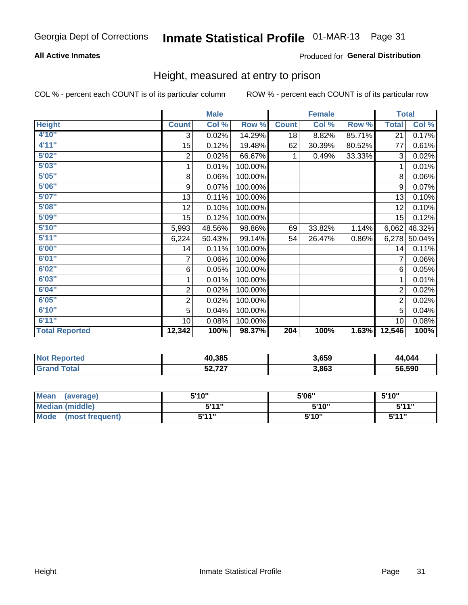### **All Active Inmates**

### Produced for General Distribution

### Height, measured at entry to prison

COL % - percent each COUNT is of its particular column

|                       |                         | <b>Male</b> |         |              | <b>Female</b> |        | <b>Total</b>   |        |
|-----------------------|-------------------------|-------------|---------|--------------|---------------|--------|----------------|--------|
| <b>Height</b>         | <b>Count</b>            | Col %       | Row %   | <b>Count</b> | Col %         | Row %  | <b>Total</b>   | Col %  |
| 4'10''                | 3                       | 0.02%       | 14.29%  | 18           | 8.82%         | 85.71% | 21             | 0.17%  |
| 4'11''                | 15                      | 0.12%       | 19.48%  | 62           | 30.39%        | 80.52% | 77             | 0.61%  |
| 5'02"                 | $\overline{\mathbf{c}}$ | 0.02%       | 66.67%  | 1            | 0.49%         | 33.33% | 3              | 0.02%  |
| 5'03''                | 1                       | 0.01%       | 100.00% |              |               |        | 1              | 0.01%  |
| 5'05''                | 8                       | 0.06%       | 100.00% |              |               |        | 8              | 0.06%  |
| 5'06''                | 9                       | 0.07%       | 100.00% |              |               |        | 9              | 0.07%  |
| 5'07''                | 13                      | 0.11%       | 100.00% |              |               |        | 13             | 0.10%  |
| 5'08''                | 12                      | 0.10%       | 100.00% |              |               |        | 12             | 0.10%  |
| 5'09''                | 15 <sub>1</sub>         | 0.12%       | 100.00% |              |               |        | 15             | 0.12%  |
| 5'10''                | 5,993                   | 48.56%      | 98.86%  | 69           | 33.82%        | 1.14%  | 6,062          | 48.32% |
| 5'11''                | 6,224                   | 50.43%      | 99.14%  | 54           | 26.47%        | 0.86%  | 6,278          | 50.04% |
| 6'00''                | 14                      | 0.11%       | 100.00% |              |               |        | 14             | 0.11%  |
| 6'01''                | 7                       | 0.06%       | 100.00% |              |               |        |                | 0.06%  |
| 6'02''                | 6                       | 0.05%       | 100.00% |              |               |        | 6              | 0.05%  |
| 6'03''                | 1                       | 0.01%       | 100.00% |              |               |        | 1              | 0.01%  |
| 6'04''                | $\boldsymbol{2}$        | 0.02%       | 100.00% |              |               |        | $\overline{2}$ | 0.02%  |
| 6'05''                | $\overline{c}$          | 0.02%       | 100.00% |              |               |        | $\overline{2}$ | 0.02%  |
| 6'10''                | 5                       | 0.04%       | 100.00% |              |               |        | 5              | 0.04%  |
| 6'11''                | 10                      | 0.08%       | 100.00% |              |               |        | 10             | 0.08%  |
| <b>Total Reported</b> | 12,342                  | 100%        | 98.37%  | 204          | 100%          | 1.63%  | 12,546         | 100%   |

| <b>Not</b><br>Reported | 40,385                | 3,659 | 44,044 |
|------------------------|-----------------------|-------|--------|
|                        | 707<br>ר ה<br>22, 121 | 3,863 | 56.590 |

| <b>Mean</b><br>(average)       | 5'10" | 5'06" | 5'10'' |
|--------------------------------|-------|-------|--------|
| <b>Median (middle)</b>         | 5'11" | 5'10" | 5'11"  |
| <b>Mode</b><br>(most frequent) | 5'11" | 5'10" | 5'11"  |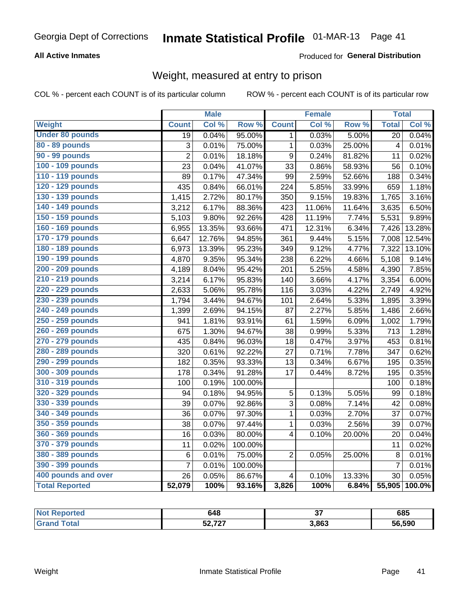### **All Active Inmates**

### Produced for General Distribution

# Weight, measured at entry to prison

COL % - percent each COUNT is of its particular column

|                        |                | <b>Male</b> |         |                         | <b>Female</b> |        | <b>Total</b>   |        |
|------------------------|----------------|-------------|---------|-------------------------|---------------|--------|----------------|--------|
| <b>Weight</b>          | <b>Count</b>   | Col %       | Row %   | <b>Count</b>            | Col %         | Row %  | <b>Total</b>   | Col %  |
| <b>Under 80 pounds</b> | 19             | 0.04%       | 95.00%  | $\mathbf 1$             | 0.03%         | 5.00%  | 20             | 0.04%  |
| 80 - 89 pounds         | 3              | 0.01%       | 75.00%  | $\mathbf{1}$            | 0.03%         | 25.00% | $\overline{4}$ | 0.01%  |
| 90 - 99 pounds         | $\overline{2}$ | 0.01%       | 18.18%  | $\boldsymbol{9}$        | 0.24%         | 81.82% | 11             | 0.02%  |
| 100 - 109 pounds       | 23             | 0.04%       | 41.07%  | 33                      | 0.86%         | 58.93% | 56             | 0.10%  |
| 110 - 119 pounds       | 89             | 0.17%       | 47.34%  | 99                      | 2.59%         | 52.66% | 188            | 0.34%  |
| 120 - 129 pounds       | 435            | 0.84%       | 66.01%  | 224                     | 5.85%         | 33.99% | 659            | 1.18%  |
| 130 - 139 pounds       | 1,415          | 2.72%       | 80.17%  | 350                     | 9.15%         | 19.83% | 1,765          | 3.16%  |
| 140 - 149 pounds       | 3,212          | 6.17%       | 88.36%  | 423                     | 11.06%        | 11.64% | 3,635          | 6.50%  |
| 150 - 159 pounds       | 5,103          | 9.80%       | 92.26%  | 428                     | 11.19%        | 7.74%  | 5,531          | 9.89%  |
| 160 - 169 pounds       | 6,955          | 13.35%      | 93.66%  | 471                     | 12.31%        | 6.34%  | 7,426          | 13.28% |
| 170 - 179 pounds       | 6,647          | 12.76%      | 94.85%  | 361                     | 9.44%         | 5.15%  | 7,008          | 12.54% |
| 180 - 189 pounds       | 6,973          | 13.39%      | 95.23%  | 349                     | 9.12%         | 4.77%  | 7,322          | 13.10% |
| 190 - 199 pounds       | 4,870          | 9.35%       | 95.34%  | 238                     | 6.22%         | 4.66%  | 5,108          | 9.14%  |
| 200 - 209 pounds       | 4,189          | 8.04%       | 95.42%  | 201                     | 5.25%         | 4.58%  | 4,390          | 7.85%  |
| 210 - 219 pounds       | 3,214          | 6.17%       | 95.83%  | 140                     | 3.66%         | 4.17%  | 3,354          | 6.00%  |
| 220 - 229 pounds       | 2,633          | 5.06%       | 95.78%  | 116                     | 3.03%         | 4.22%  | 2,749          | 4.92%  |
| 230 - 239 pounds       | 1,794          | 3.44%       | 94.67%  | 101                     | 2.64%         | 5.33%  | 1,895          | 3.39%  |
| 240 - 249 pounds       | 1,399          | 2.69%       | 94.15%  | 87                      | 2.27%         | 5.85%  | 1,486          | 2.66%  |
| 250 - 259 pounds       | 941            | 1.81%       | 93.91%  | 61                      | 1.59%         | 6.09%  | 1,002          | 1.79%  |
| 260 - 269 pounds       | 675            | 1.30%       | 94.67%  | 38                      | 0.99%         | 5.33%  | 713            | 1.28%  |
| 270 - 279 pounds       | 435            | 0.84%       | 96.03%  | 18                      | 0.47%         | 3.97%  | 453            | 0.81%  |
| 280 - 289 pounds       | 320            | 0.61%       | 92.22%  | 27                      | 0.71%         | 7.78%  | 347            | 0.62%  |
| 290 - 299 pounds       | 182            | 0.35%       | 93.33%  | 13                      | 0.34%         | 6.67%  | 195            | 0.35%  |
| 300 - 309 pounds       | 178            | 0.34%       | 91.28%  | 17                      | 0.44%         | 8.72%  | 195            | 0.35%  |
| 310 - 319 pounds       | 100            | 0.19%       | 100.00% |                         |               |        | 100            | 0.18%  |
| 320 - 329 pounds       | 94             | 0.18%       | 94.95%  | 5                       | 0.13%         | 5.05%  | 99             | 0.18%  |
| 330 - 339 pounds       | 39             | 0.07%       | 92.86%  | $\overline{3}$          | 0.08%         | 7.14%  | 42             | 0.08%  |
| 340 - 349 pounds       | 36             | 0.07%       | 97.30%  | $\mathbf{1}$            | 0.03%         | 2.70%  | 37             | 0.07%  |
| 350 - 359 pounds       | 38             | 0.07%       | 97.44%  | 1                       | 0.03%         | 2.56%  | 39             | 0.07%  |
| 360 - 369 pounds       | 16             | 0.03%       | 80.00%  | $\overline{\mathbf{4}}$ | 0.10%         | 20.00% | 20             | 0.04%  |
| 370 - 379 pounds       | 11             | 0.02%       | 100.00% |                         |               |        | 11             | 0.02%  |
| 380 - 389 pounds       | 6              | 0.01%       | 75.00%  | $\overline{2}$          | 0.05%         | 25.00% | 8              | 0.01%  |
| 390 - 399 pounds       | $\overline{7}$ | 0.01%       | 100.00% |                         |               |        | $\overline{7}$ | 0.01%  |
| 400 pounds and over    | 26             | 0.05%       | 86.67%  | $\overline{\mathbf{4}}$ | 0.10%         | 13.33% | 30             | 0.05%  |
| <b>Total Reported</b>  | 52,079         | 100%        | 93.16%  | 3,826                   | 100%          | 6.84%  | 55,905         | 100.0% |

| <b>rteo</b><br>N | 648                 | $\sim$ | 685    |
|------------------|---------------------|--------|--------|
| ota.             | にへ フヘフ<br>JL, I L I | 3,863  | 56,590 |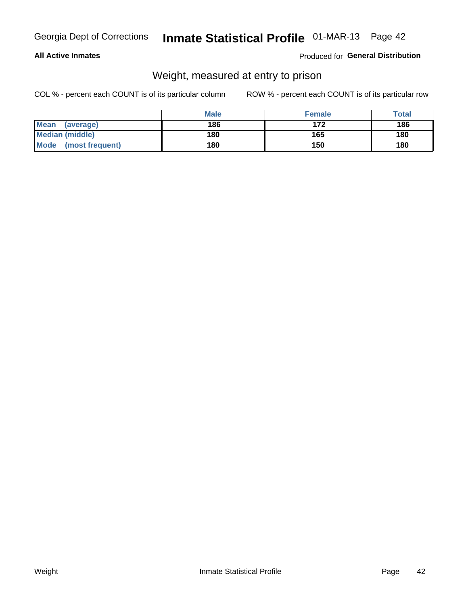### **All Active Inmates**

### Produced for General Distribution

# Weight, measured at entry to prison

COL % - percent each COUNT is of its particular column

|                          | <b>Male</b> | <b>Female</b> | Total |
|--------------------------|-------------|---------------|-------|
| <b>Mean</b><br>(average) | 186         | 172           | 186   |
| <b>Median (middle)</b>   | 180         | 165           | 180   |
| Mode<br>(most frequent)  | 180         | 150           | 180   |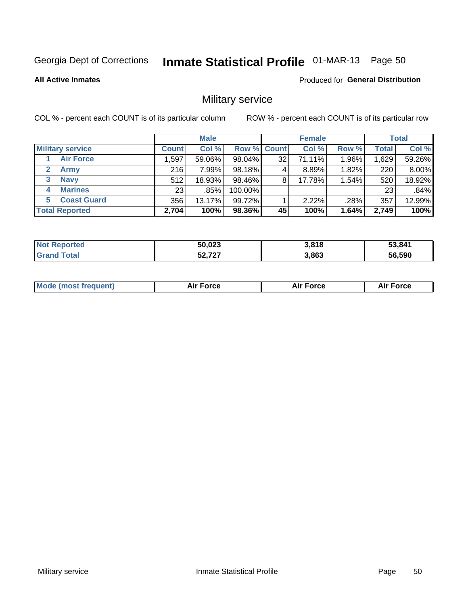# Inmate Statistical Profile 01-MAR-13 Page 50

#### **All Active Inmates**

Produced for General Distribution

# Military service

COL % - percent each COUNT is of its particular column

|                               | <b>Male</b>     |        |                    | <b>Female</b> |        |       | <b>Total</b>    |        |
|-------------------------------|-----------------|--------|--------------------|---------------|--------|-------|-----------------|--------|
| <b>Military service</b>       | <b>Count</b>    | Col %  | <b>Row % Count</b> |               | Col %  | Row % | <b>Total</b>    | Col %  |
| <b>Air Force</b>              | 1,597           | 59.06% | 98.04%             | 32            | 71.11% | 1.96% | 1,629           | 59.26% |
| $\mathbf{2}^-$<br><b>Army</b> | 216             | 7.99%  | 98.18%             |               | 8.89%  | 1.82% | 220             | 8.00%  |
| <b>Navy</b><br>3              | 512             | 18.93% | 98.46%             | 8             | 17.78% | 1.54% | 520             | 18.92% |
| <b>Marines</b><br>4           | 23 <sub>1</sub> | .85%   | 100.00%            |               |        |       | 23 <sub>1</sub> | .84%   |
| <b>Coast Guard</b><br>5.      | 356             | 13.17% | 99.72%             |               | 2.22%  | .28%  | 357             | 12.99% |
| <b>Total Reported</b>         | 2,704           | 100%   | 98.36%             | 45            | 100%   | 1.64% | 2,749           | 100%   |

| <b>Not Reported</b> | 50,023 | 3,818 | 53,841 |
|---------------------|--------|-------|--------|
| <b>Grand Total</b>  | 52,727 | 3,863 | 56,590 |

| Mo | <br>ъc | . |
|----|--------|---|
|    |        |   |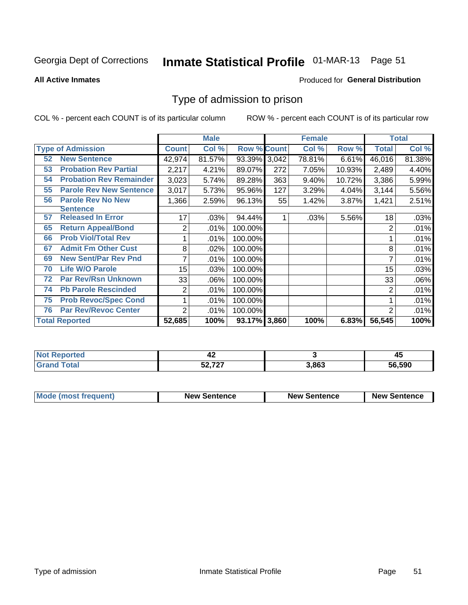# Inmate Statistical Profile 01-MAR-13 Page 51

**All Active Inmates** 

#### Produced for General Distribution

### Type of admission to prison

COL % - percent each COUNT is of its particular column

|    |                                |              | <b>Male</b> |                    |     | <b>Female</b> | <b>Total</b> |              |        |
|----|--------------------------------|--------------|-------------|--------------------|-----|---------------|--------------|--------------|--------|
|    | <b>Type of Admission</b>       | <b>Count</b> | Col %       | <b>Row % Count</b> |     | Col %         | Row %        | <b>Total</b> | Col %  |
| 52 | <b>New Sentence</b>            | 42,974       | 81.57%      | 93.39% 3,042       |     | 78.81%        | 6.61%        | 46,016       | 81.38% |
| 53 | <b>Probation Rev Partial</b>   | 2,217        | 4.21%       | 89.07%             | 272 | 7.05%         | 10.93%       | 2,489        | 4.40%  |
| 54 | <b>Probation Rev Remainder</b> | 3,023        | 5.74%       | 89.28%             | 363 | 9.40%         | 10.72%       | 3,386        | 5.99%  |
| 55 | <b>Parole Rev New Sentence</b> | 3,017        | 5.73%       | 95.96%             | 127 | 3.29%         | 4.04%        | 3,144        | 5.56%  |
| 56 | <b>Parole Rev No New</b>       | 1,366        | 2.59%       | 96.13%             | 55  | 1.42%         | 3.87%        | 1,421        | 2.51%  |
|    | <b>Sentence</b>                |              |             |                    |     |               |              |              |        |
| 57 | <b>Released In Error</b>       | 17           | .03%        | 94.44%             |     | .03%          | 5.56%        | 18           | .03%   |
| 65 | <b>Return Appeal/Bond</b>      | 2            | .01%        | 100.00%            |     |               |              | 2            | .01%   |
| 66 | <b>Prob Viol/Total Rev</b>     |              | .01%        | 100.00%            |     |               |              |              | .01%   |
| 67 | <b>Admit Fm Other Cust</b>     | 8            | .02%        | 100.00%            |     |               |              | 8            | .01%   |
| 69 | <b>New Sent/Par Rev Pnd</b>    | 7            | .01%        | 100.00%            |     |               |              |              | .01%   |
| 70 | <b>Life W/O Parole</b>         | 15           | .03%        | 100.00%            |     |               |              | 15           | .03%   |
| 72 | <b>Par Rev/Rsn Unknown</b>     | 33           | .06%        | 100.00%            |     |               |              | 33           | .06%   |
| 74 | <b>Pb Parole Rescinded</b>     | 2            | .01%        | 100.00%            |     |               |              | 2            | .01%   |
| 75 | <b>Prob Revoc/Spec Cond</b>    | 1            | .01%        | 100.00%            |     |               |              |              | .01%   |
| 76 | <b>Par Rev/Revoc Center</b>    | 2            | .01%        | 100.00%            |     |               |              | 2            | .01%   |
|    | <b>Total Reported</b>          | 52,685       | 100%        | 93.17% 3,860       |     | 100%          | 6.83%        | 56,545       | 100%   |

| N<br>rer | $\mathbf{r}$<br>- 74 |       | - -<br>45 |
|----------|----------------------|-------|-----------|
|          | こへ フヘフ<br>ו בית הס   | 3.863 | 56.590    |

| <b>Mode (most frequent)</b> | <b>New Sentence</b> | <b>New Sentence</b> | <b>New Sentence</b> |
|-----------------------------|---------------------|---------------------|---------------------|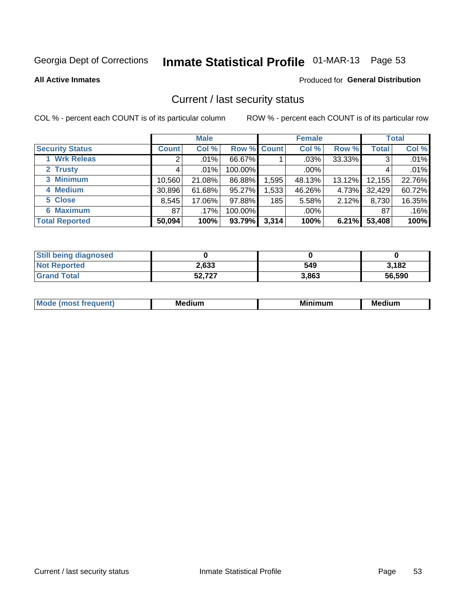# Inmate Statistical Profile 01-MAR-13 Page 53

**All Active Inmates** 

#### Produced for General Distribution

### Current / last security status

COL % - percent each COUNT is of its particular column

|                        |              | <b>Male</b> |             |                  | <b>Female</b> |        |              | <b>Total</b> |  |
|------------------------|--------------|-------------|-------------|------------------|---------------|--------|--------------|--------------|--|
| <b>Security Status</b> | <b>Count</b> | Col %       | Row % Count |                  | Col %         | Row %  | <b>Total</b> | Col %        |  |
| 1 Wrk Releas           | 2            | $.01\%$     | 66.67%      |                  | $.03\%$       | 33.33% | 3            | .01%         |  |
| 2 Trusty               |              | .01%        | 100.00%     |                  | $.00\%$       |        |              | .01%         |  |
| 3 Minimum              | 10,560       | 21.08%      | 86.88%      | 1,595            | 48.13%        | 13.12% | 12,155       | 22.76%       |  |
| 4 Medium               | 30,896       | 61.68%      | 95.27%      | 1,533            | 46.26%        | 4.73%  | 32,429       | 60.72%       |  |
| 5 Close                | 8,545        | 17.06%      | 97.88%      | 185 <sub>1</sub> | 5.58%         | 2.12%  | 8,730        | 16.35%       |  |
| <b>6 Maximum</b>       | 87           | .17%        | 100.00%     |                  | $.00\%$       |        | 87           | .16%         |  |
| <b>Total Reported</b>  | 50,094       | 100%        | 93.79%      | 3,314            | 100%          | 6.21%  | 53,408       | 100%         |  |

| <b>Still being diagnosed</b> |        |       |        |
|------------------------------|--------|-------|--------|
| <b>Not Reported</b>          | 2,633  | 549   | 3.182  |
| <b>Grand Total</b>           | 52,727 | 3,863 | 56,590 |

| M | NЛ<br><br>dilim<br>_____ | ---<br>-- | . .<br>Medium<br>Me |
|---|--------------------------|-----------|---------------------|
|   |                          |           |                     |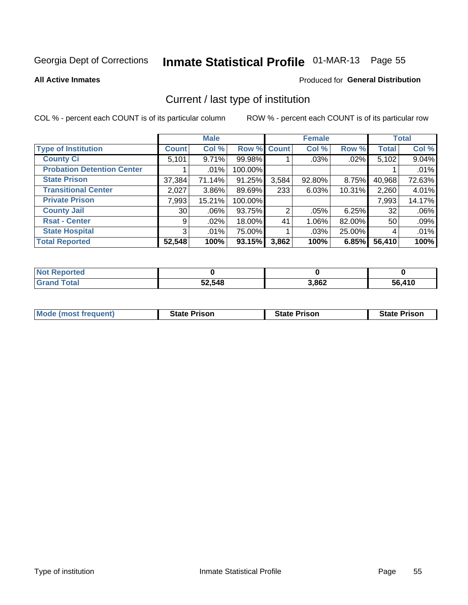# Inmate Statistical Profile 01-MAR-13 Page 55

**All Active Inmates** 

#### Produced for General Distribution

# Current / last type of institution

COL % - percent each COUNT is of its particular column

|                                   |              | <b>Male</b> |             |       | <b>Female</b> |          |              | <b>Total</b> |
|-----------------------------------|--------------|-------------|-------------|-------|---------------|----------|--------------|--------------|
| <b>Type of Institution</b>        | <b>Count</b> | Col %       | Row % Count |       | Col %         | Row %    | <b>Total</b> | Col %        |
| <b>County Ci</b>                  | 5,101        | 9.71%       | 99.98%      |       | .03%          | .02%     | 5,102        | 9.04%        |
| <b>Probation Detention Center</b> |              | $.01\%$     | 100.00%     |       |               |          |              | .01%         |
| <b>State Prison</b>               | 37,384       | 71.14%      | 91.25%      | 3,584 | $92.80\%$     | 8.75%    | 40,968       | 72.63%       |
| <b>Transitional Center</b>        | 2,027        | $3.86\%$    | 89.69%      | 233   | 6.03%         | 10.31%   | 2,260        | 4.01%        |
| <b>Private Prison</b>             | 7,993        | 15.21%      | 100.00%     |       |               |          | 7,993        | 14.17%       |
| <b>County Jail</b>                | 30           | .06%        | 93.75%      | 2     | .05%          | $6.25\%$ | 32           | $.06\%$      |
| <b>Rsat - Center</b>              | 9            | .02%        | 18.00%      | 41    | $1.06\%$      | 82.00%   | 50           | .09%         |
| <b>State Hospital</b>             | 3            | .01%        | 75.00%      |       | .03%          | 25.00%   | 4            | .01%         |
| <b>Total Reported</b>             | 52,548       | 100%        | 93.15%      | 3,862 | 100%          | 6.85%    | 56,410       | 100%         |

| ported<br><b>NOT</b> |        |       |        |
|----------------------|--------|-------|--------|
| `otal<br><b>Grat</b> | 52,548 | 3,862 | 56,410 |

| Mode (most frequent) | <b>State Prison</b> | <b>State Prison</b> | <b>State Prison</b> |
|----------------------|---------------------|---------------------|---------------------|
|                      |                     |                     |                     |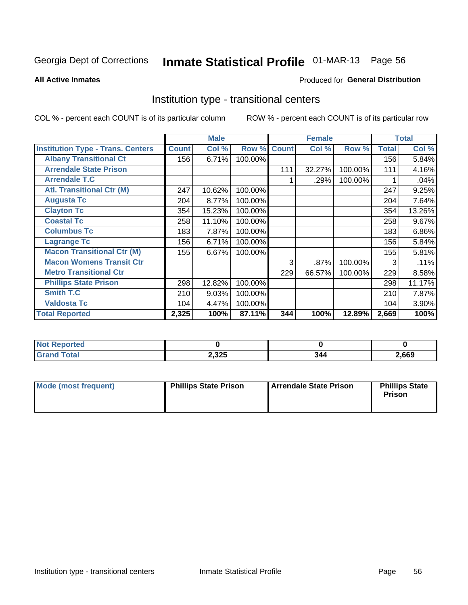# Inmate Statistical Profile 01-MAR-13 Page 56

**All Active Inmates** 

#### Produced for General Distribution

### Institution type - transitional centers

COL % - percent each COUNT is of its particular column

|                                          |              | <b>Male</b> |         |              | <b>Female</b> |         |              | <b>Total</b> |
|------------------------------------------|--------------|-------------|---------|--------------|---------------|---------|--------------|--------------|
| <b>Institution Type - Trans. Centers</b> | <b>Count</b> | Col %       | Row %   | <b>Count</b> | Col %         | Row %   | <b>Total</b> | Col %        |
| <b>Albany Transitional Ct</b>            | 156          | 6.71%       | 100.00% |              |               |         | 156          | 5.84%        |
| <b>Arrendale State Prison</b>            |              |             |         | 111          | 32.27%        | 100.00% | 111          | 4.16%        |
| <b>Arrendale T.C</b>                     |              |             |         |              | .29%          | 100.00% |              | .04%         |
| <b>Atl. Transitional Ctr (M)</b>         | 247          | 10.62%      | 100.00% |              |               |         | 247          | 9.25%        |
| <b>Augusta Tc</b>                        | 204          | 8.77%       | 100.00% |              |               |         | 204          | 7.64%        |
| <b>Clayton Tc</b>                        | 354          | 15.23%      | 100.00% |              |               |         | 354          | 13.26%       |
| <b>Coastal Tc</b>                        | 258          | 11.10%      | 100.00% |              |               |         | 258          | 9.67%        |
| <b>Columbus Tc</b>                       | 183          | 7.87%       | 100.00% |              |               |         | 183          | 6.86%        |
| <b>Lagrange Tc</b>                       | 156          | 6.71%       | 100.00% |              |               |         | 156          | 5.84%        |
| <b>Macon Transitional Ctr (M)</b>        | 155          | 6.67%       | 100.00% |              |               |         | 155          | 5.81%        |
| <b>Macon Womens Transit Ctr</b>          |              |             |         | 3            | .87%          | 100.00% | 3            | .11%         |
| <b>Metro Transitional Ctr</b>            |              |             |         | 229          | 66.57%        | 100.00% | 229          | 8.58%        |
| <b>Phillips State Prison</b>             | 298          | 12.82%      | 100.00% |              |               |         | 298          | 11.17%       |
| <b>Smith T.C</b>                         | 210          | 9.03%       | 100.00% |              |               |         | 210          | 7.87%        |
| <b>Valdosta Tc</b>                       | 104          | 4.47%       | 100.00% |              |               |         | 104          | 3.90%        |
| <b>Total Reported</b>                    | 2,325        | 100%        | 87.11%  | 344          | 100%          | 12.89%  | 2,669        | 100%         |

| w<br>ncea |       |               |      |
|-----------|-------|---------------|------|
| _____     | 2,325 | $\sim$ $\sim$ | ,669 |

| Mode (most frequent) | <b>Phillips State Prison</b> | Arrendale State Prison | <b>Phillips State</b><br><b>Prison</b> |
|----------------------|------------------------------|------------------------|----------------------------------------|
|----------------------|------------------------------|------------------------|----------------------------------------|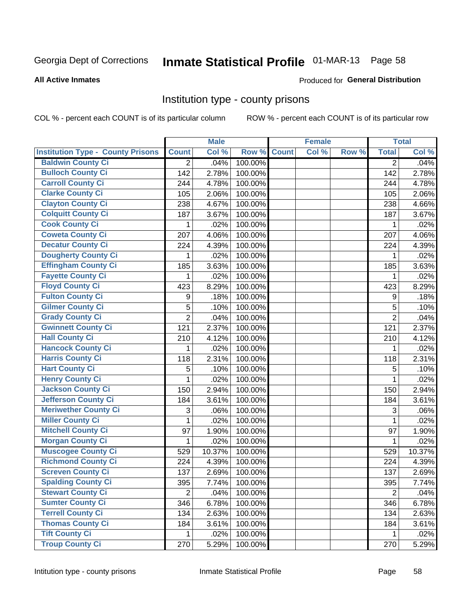# Inmate Statistical Profile 01-MAR-13 Page 58

#### **All Active Inmates**

#### Produced for General Distribution

### Institution type - county prisons

COL % - percent each COUNT is of its particular column

|                                          |                | <b>Male</b> |         |              | <b>Female</b> |       |                | <b>Total</b> |
|------------------------------------------|----------------|-------------|---------|--------------|---------------|-------|----------------|--------------|
| <b>Institution Type - County Prisons</b> | <b>Count</b>   | Col %       | Row %   | <b>Count</b> | Col %         | Row % | <b>Total</b>   | Col %        |
| <b>Baldwin County Ci</b>                 | $\overline{2}$ | .04%        | 100.00% |              |               |       | $\overline{2}$ | .04%         |
| <b>Bulloch County Ci</b>                 | 142            | 2.78%       | 100.00% |              |               |       | 142            | 2.78%        |
| <b>Carroll County Ci</b>                 | 244            | 4.78%       | 100.00% |              |               |       | 244            | 4.78%        |
| <b>Clarke County Ci</b>                  | 105            | 2.06%       | 100.00% |              |               |       | 105            | 2.06%        |
| <b>Clayton County Ci</b>                 | 238            | 4.67%       | 100.00% |              |               |       | 238            | 4.66%        |
| <b>Colquitt County Ci</b>                | 187            | 3.67%       | 100.00% |              |               |       | 187            | 3.67%        |
| <b>Cook County Ci</b>                    | 1              | .02%        | 100.00% |              |               |       | 1              | .02%         |
| <b>Coweta County Ci</b>                  | 207            | 4.06%       | 100.00% |              |               |       | 207            | 4.06%        |
| <b>Decatur County Ci</b>                 | 224            | 4.39%       | 100.00% |              |               |       | 224            | 4.39%        |
| <b>Dougherty County Ci</b>               | 1              | .02%        | 100.00% |              |               |       | 1              | .02%         |
| <b>Effingham County Ci</b>               | 185            | 3.63%       | 100.00% |              |               |       | 185            | 3.63%        |
| <b>Fayette County Ci</b>                 | 1              | .02%        | 100.00% |              |               |       | 1              | .02%         |
| <b>Floyd County Ci</b>                   | 423            | 8.29%       | 100.00% |              |               |       | 423            | 8.29%        |
| <b>Fulton County Ci</b>                  | 9              | .18%        | 100.00% |              |               |       | 9              | .18%         |
| <b>Gilmer County Ci</b>                  | 5              | .10%        | 100.00% |              |               |       | 5              | .10%         |
| <b>Grady County Ci</b>                   | $\overline{2}$ | .04%        | 100.00% |              |               |       | $\overline{2}$ | .04%         |
| <b>Gwinnett County Ci</b>                | 121            | 2.37%       | 100.00% |              |               |       | 121            | 2.37%        |
| <b>Hall County Ci</b>                    | 210            | 4.12%       | 100.00% |              |               |       | 210            | 4.12%        |
| <b>Hancock County Ci</b>                 | 1              | .02%        | 100.00% |              |               |       | 1              | .02%         |
| <b>Harris County Ci</b>                  | 118            | 2.31%       | 100.00% |              |               |       | 118            | 2.31%        |
| <b>Hart County Ci</b>                    | 5              | .10%        | 100.00% |              |               |       | 5              | .10%         |
| <b>Henry County Ci</b>                   | 1              | .02%        | 100.00% |              |               |       | $\mathbf{1}$   | .02%         |
| <b>Jackson County Ci</b>                 | 150            | 2.94%       | 100.00% |              |               |       | 150            | 2.94%        |
| <b>Jefferson County Ci</b>               | 184            | 3.61%       | 100.00% |              |               |       | 184            | 3.61%        |
| <b>Meriwether County Ci</b>              | 3              | .06%        | 100.00% |              |               |       | 3              | .06%         |
| <b>Miller County Ci</b>                  | 1              | .02%        | 100.00% |              |               |       | $\mathbf{1}$   | .02%         |
| <b>Mitchell County Ci</b>                | 97             | 1.90%       | 100.00% |              |               |       | 97             | 1.90%        |
| <b>Morgan County Ci</b>                  | 1              | .02%        | 100.00% |              |               |       | 1              | .02%         |
| <b>Muscogee County Ci</b>                | 529            | 10.37%      | 100.00% |              |               |       | 529            | 10.37%       |
| <b>Richmond County Ci</b>                | 224            | 4.39%       | 100.00% |              |               |       | 224            | 4.39%        |
| <b>Screven County Ci</b>                 | 137            | 2.69%       | 100.00% |              |               |       | 137            | 2.69%        |
| <b>Spalding County Ci</b>                | 395            | 7.74%       | 100.00% |              |               |       | 395            | 7.74%        |
| <b>Stewart County Ci</b>                 | $\overline{2}$ | .04%        | 100.00% |              |               |       | $\overline{2}$ | .04%         |
| <b>Sumter County Ci</b>                  | 346            | 6.78%       | 100.00% |              |               |       | 346            | 6.78%        |
| <b>Terrell County Ci</b>                 | 134            | 2.63%       | 100.00% |              |               |       | 134            | 2.63%        |
| <b>Thomas County Ci</b>                  | 184            | 3.61%       | 100.00% |              |               |       | 184            | 3.61%        |
| <b>Tift County Ci</b>                    | 1.             | .02%        | 100.00% |              |               |       | 1              | .02%         |
| <b>Troup County Ci</b>                   | 270            | 5.29%       | 100.00% |              |               |       | 270            | 5.29%        |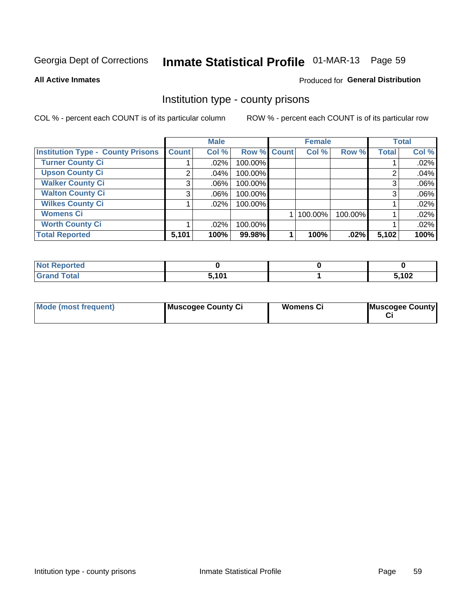# Inmate Statistical Profile 01-MAR-13 Page 59

#### **All Active Inmates**

### **Produced for General Distribution**

### Institution type - county prisons

COL % - percent each COUNT is of its particular column

|                                          |              | <b>Male</b> |             | <b>Female</b><br><b>Total</b> |         |         |              |       |
|------------------------------------------|--------------|-------------|-------------|-------------------------------|---------|---------|--------------|-------|
| <b>Institution Type - County Prisons</b> | <b>Count</b> | Col %       | Row % Count |                               | Col %   | Row %   | <b>Total</b> | Col % |
| <b>Turner County Ci</b>                  |              | .02%        | 100.00%     |                               |         |         |              | .02%  |
| <b>Upson County Ci</b>                   | 2            | .04%        | 100.00%     |                               |         |         | 2            | .04%  |
| <b>Walker County Ci</b>                  | 3            | $.06\%$     | 100.00%     |                               |         |         | 3            | .06%  |
| <b>Walton County Ci</b>                  | 3            | .06%        | 100.00%     |                               |         |         | 3            | .06%  |
| <b>Wilkes County Ci</b>                  |              | $.02\%$     | 100.00%     |                               |         |         |              | .02%  |
| <b>Womens Ci</b>                         |              |             |             |                               | 100.00% | 100.00% |              | .02%  |
| <b>Worth County Ci</b>                   |              | .02%        | 100.00%     |                               |         |         |              | .02%  |
| <b>Total Reported</b>                    | 5,101        | 100%        | 99.98%      |                               | 100%    | .02%    | 5,102        | 100%  |

| <b>Not Reported</b> |       |                |
|---------------------|-------|----------------|
| <b>Total</b>        | 5,101 | こ イハつ<br>1 U Z |

| <b>Mode (most frequent)</b> | Muscogee County Ci | <b>Womens Ci</b> | Muscogee County |
|-----------------------------|--------------------|------------------|-----------------|
|-----------------------------|--------------------|------------------|-----------------|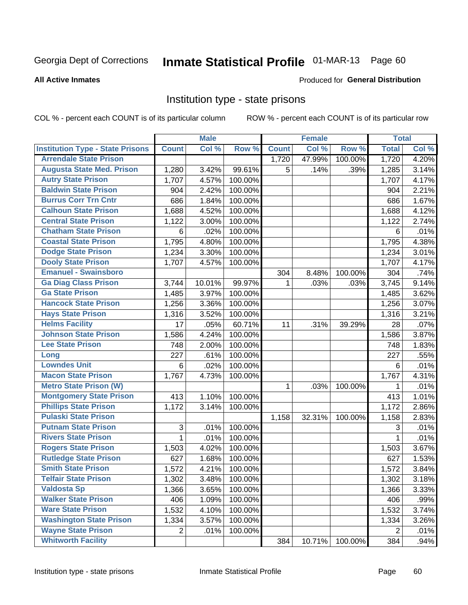# Inmate Statistical Profile 01-MAR-13 Page 60

#### **All Active Inmates**

### **Produced for General Distribution**

### Institution type - state prisons

COL % - percent each COUNT is of its particular column

|                                         |                           | <b>Male</b> |         |              | <b>Female</b> |         | <b>Total</b>   |       |
|-----------------------------------------|---------------------------|-------------|---------|--------------|---------------|---------|----------------|-------|
| <b>Institution Type - State Prisons</b> | <b>Count</b>              | Col %       | Row %   | <b>Count</b> | Col %         | Row %   | <b>Total</b>   | Col % |
| <b>Arrendale State Prison</b>           |                           |             |         | 1,720        | 47.99%        | 100.00% | 1,720          | 4.20% |
| <b>Augusta State Med. Prison</b>        | 1,280                     | 3.42%       | 99.61%  | 5            | .14%          | .39%    | 1,285          | 3.14% |
| <b>Autry State Prison</b>               | 1,707                     | 4.57%       | 100.00% |              |               |         | 1,707          | 4.17% |
| <b>Baldwin State Prison</b>             | 904                       | 2.42%       | 100.00% |              |               |         | 904            | 2.21% |
| <b>Burrus Corr Trn Cntr</b>             | 686                       | 1.84%       | 100.00% |              |               |         | 686            | 1.67% |
| <b>Calhoun State Prison</b>             | 1,688                     | 4.52%       | 100.00% |              |               |         | 1,688          | 4.12% |
| <b>Central State Prison</b>             | 1,122                     | 3.00%       | 100.00% |              |               |         | 1,122          | 2.74% |
| <b>Chatham State Prison</b>             | 6                         | .02%        | 100.00% |              |               |         | $6\phantom{1}$ | .01%  |
| <b>Coastal State Prison</b>             | 1,795                     | 4.80%       | 100.00% |              |               |         | 1,795          | 4.38% |
| <b>Dodge State Prison</b>               | 1,234                     | 3.30%       | 100.00% |              |               |         | 1,234          | 3.01% |
| <b>Dooly State Prison</b>               | 1,707                     | 4.57%       | 100.00% |              |               |         | 1,707          | 4.17% |
| <b>Emanuel - Swainsboro</b>             |                           |             |         | 304          | 8.48%         | 100.00% | 304            | .74%  |
| <b>Ga Diag Class Prison</b>             | 3,744                     | 10.01%      | 99.97%  | 1            | .03%          | .03%    | 3,745          | 9.14% |
| <b>Ga State Prison</b>                  | 1,485                     | 3.97%       | 100.00% |              |               |         | 1,485          | 3.62% |
| <b>Hancock State Prison</b>             | 1,256                     | 3.36%       | 100.00% |              |               |         | 1,256          | 3.07% |
| <b>Hays State Prison</b>                | 1,316                     | 3.52%       | 100.00% |              |               |         | 1,316          | 3.21% |
| <b>Helms Facility</b>                   | 17                        | .05%        | 60.71%  | 11           | .31%          | 39.29%  | 28             | .07%  |
| <b>Johnson State Prison</b>             | 1,586                     | 4.24%       | 100.00% |              |               |         | 1,586          | 3.87% |
| <b>Lee State Prison</b>                 | 748                       | 2.00%       | 100.00% |              |               |         | 748            | 1.83% |
| Long                                    | 227                       | .61%        | 100.00% |              |               |         | 227            | .55%  |
| <b>Lowndes Unit</b>                     | 6                         | .02%        | 100.00% |              |               |         | 6              | .01%  |
| <b>Macon State Prison</b>               | 1,767                     | 4.73%       | 100.00% |              |               |         | 1,767          | 4.31% |
| <b>Metro State Prison (W)</b>           |                           |             |         | 1            | .03%          | 100.00% | 1              | .01%  |
| <b>Montgomery State Prison</b>          | 413                       | 1.10%       | 100.00% |              |               |         | 413            | 1.01% |
| <b>Phillips State Prison</b>            | 1,172                     | 3.14%       | 100.00% |              |               |         | 1,172          | 2.86% |
| <b>Pulaski State Prison</b>             |                           |             |         | 1,158        | 32.31%        | 100.00% | 1,158          | 2.83% |
| <b>Putnam State Prison</b>              | $\ensuremath{\mathsf{3}}$ | .01%        | 100.00% |              |               |         | 3              | .01%  |
| <b>Rivers State Prison</b>              | 1                         | .01%        | 100.00% |              |               |         | $\mathbf{1}$   | .01%  |
| <b>Rogers State Prison</b>              | 1,503                     | 4.02%       | 100.00% |              |               |         | 1,503          | 3.67% |
| <b>Rutledge State Prison</b>            | 627                       | 1.68%       | 100.00% |              |               |         | 627            | 1.53% |
| <b>Smith State Prison</b>               | 1,572                     | 4.21%       | 100.00% |              |               |         | 1,572          | 3.84% |
| <b>Telfair State Prison</b>             | 1,302                     | 3.48%       | 100.00% |              |               |         | 1,302          | 3.18% |
| <b>Valdosta Sp</b>                      | 1,366                     | 3.65%       | 100.00% |              |               |         | 1,366          | 3.33% |
| <b>Walker State Prison</b>              | 406                       | 1.09%       | 100.00% |              |               |         | 406            | .99%  |
| <b>Ware State Prison</b>                | 1,532                     | 4.10%       | 100.00% |              |               |         | 1,532          | 3.74% |
| <b>Washington State Prison</b>          | 1,334                     | 3.57%       | 100.00% |              |               |         | 1,334          | 3.26% |
| <b>Wayne State Prison</b>               | $\overline{2}$            | .01%        | 100.00% |              |               |         | $\overline{2}$ | .01%  |
| <b>Whitworth Facility</b>               |                           |             |         | 384          | 10.71%        | 100.00% | 384            | .94%  |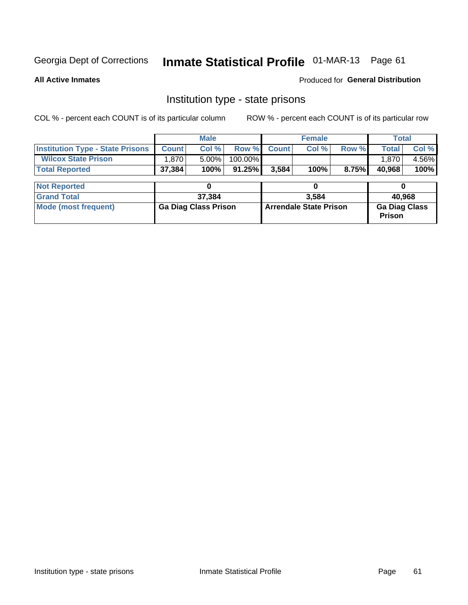# Inmate Statistical Profile 01-MAR-13 Page 61

**All Active Inmates** 

Produced for General Distribution

### Institution type - state prisons

COL % - percent each COUNT is of its particular column ROW % - percent each COUNT is of its particular row

|                                         |              | <b>Male</b>                 |           |                               | <b>Female</b> |       |                                       | <b>Total</b> |  |  |
|-----------------------------------------|--------------|-----------------------------|-----------|-------------------------------|---------------|-------|---------------------------------------|--------------|--|--|
| <b>Institution Type - State Prisons</b> | <b>Count</b> | Col %                       | Row %     | <b>Count</b>                  | Col %         | Row % | <b>Total</b>                          | Col %        |  |  |
| <b>Wilcox State Prison</b>              | 1,870        | $5.00\%$                    | 100.00%   |                               |               |       | 1.870                                 | 4.56%        |  |  |
| <b>Total Reported</b>                   | 37,384       | 100%                        | $91.25\%$ | 3,584                         | 100%          | 8.75% | 40,968                                | 100%         |  |  |
|                                         |              |                             |           |                               |               |       |                                       |              |  |  |
| <b>Not Reported</b>                     |              |                             |           | 0                             |               |       |                                       |              |  |  |
| <b>Grand Total</b>                      |              | 37,384                      |           |                               | 3.584         |       |                                       | 40,968       |  |  |
| <b>Mode (most frequent)</b>             |              | <b>Ga Diag Class Prison</b> |           | <b>Arrendale State Prison</b> |               |       | <b>Ga Diag Class</b><br><b>Prison</b> |              |  |  |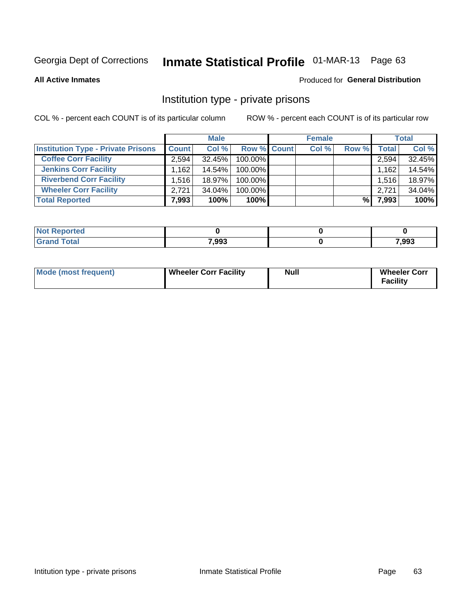# Inmate Statistical Profile 01-MAR-13 Page 63

**All Active Inmates** 

#### Produced for General Distribution

### Institution type - private prisons

COL % - percent each COUNT is of its particular column

|                                           | <b>Male</b>  |        |                    | <b>Female</b> |       |              | <b>Total</b> |  |
|-------------------------------------------|--------------|--------|--------------------|---------------|-------|--------------|--------------|--|
| <b>Institution Type - Private Prisons</b> | <b>Count</b> | Col %  | <b>Row % Count</b> | Col %         | Row % | <b>Total</b> | Col %        |  |
| <b>Coffee Corr Facility</b>               | 2,594        | 32.45% | 100.00%            |               |       | 2,594        | 32.45%       |  |
| <b>Jenkins Corr Facility</b>              | 1,162        | 14.54% | 100.00%            |               |       | 1,162        | 14.54%       |  |
| <b>Riverbend Corr Facility</b>            | 1.516        | 18.97% | 100.00%            |               |       | 1,516        | 18.97%       |  |
| <b>Wheeler Corr Facility</b>              | 2.721        | 34.04% | 100.00%            |               |       | 2,721        | 34.04%       |  |
| <b>Total Reported</b>                     | 7,993        | 100%   | 100%               |               | %।    | 7,993        | 100%         |  |

| rtea |       |       |
|------|-------|-------|
|      | 7,993 | 7,993 |

| Mode (most frequent) | Wheeler Corr Facility | Null | <b>Wheeler Corr</b><br>Facility |
|----------------------|-----------------------|------|---------------------------------|
|----------------------|-----------------------|------|---------------------------------|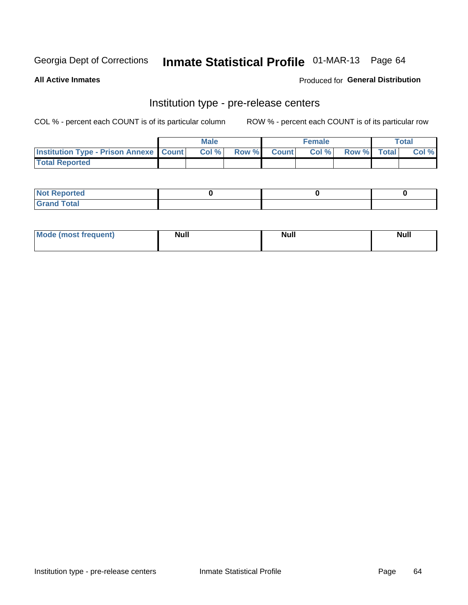# Inmate Statistical Profile 01-MAR-13 Page 64

**All Active Inmates** 

Produced for General Distribution

# Institution type - pre-release centers

COL % - percent each COUNT is of its particular column

|                                                   | <b>Male</b> |      |  |             | <b>Female</b> |             |  | <b>Total</b> |  |
|---------------------------------------------------|-------------|------|--|-------------|---------------|-------------|--|--------------|--|
| <b>Institution Type - Prison Annexe   Count  </b> |             | Col% |  | Row % Count | Col%          | Row % Total |  | Col %        |  |
| <b>Total Reported</b>                             |             |      |  |             |               |             |  |              |  |

| <b>Reported</b><br>I NOT |  |  |
|--------------------------|--|--|
| <b>Total</b><br>$C$ ren  |  |  |

| AnoM<br>most frequent) | <b>Null</b> | <b>Null</b> | . .<br>Null |
|------------------------|-------------|-------------|-------------|
|                        |             |             |             |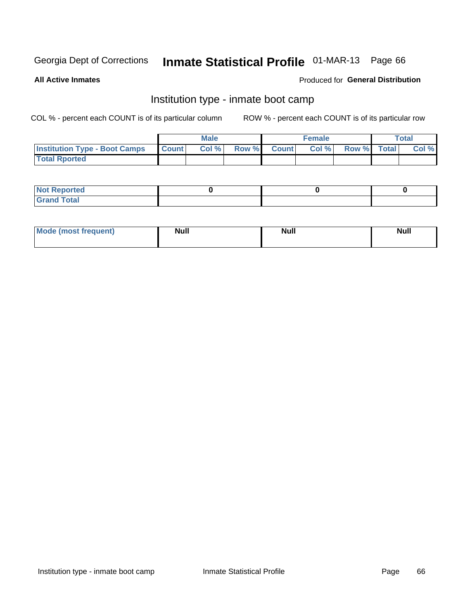# Inmate Statistical Profile 01-MAR-13 Page 66

**All Active Inmates** 

#### Produced for General Distribution

# Institution type - inmate boot camp

COL % - percent each COUNT is of its particular column

|                                      |                  | <b>Male</b> |              |              | <b>Female</b> |             | <b>Total</b> |
|--------------------------------------|------------------|-------------|--------------|--------------|---------------|-------------|--------------|
| <b>Institution Type - Boot Camps</b> | <b>I</b> Count I | Col %       | <b>Row %</b> | <b>Count</b> | Col %         | Row % Total | Col %        |
| <b>Total Rported</b>                 |                  |             |              |              |               |             |              |

| <b>Not Reported</b>                   |  |  |
|---------------------------------------|--|--|
| <b>Total</b><br><b>C HAM</b><br>_____ |  |  |

| Mode (most<br>Treauent) | <b>Null</b> | . .<br><b>Nu</b> |  |
|-------------------------|-------------|------------------|--|
|                         |             |                  |  |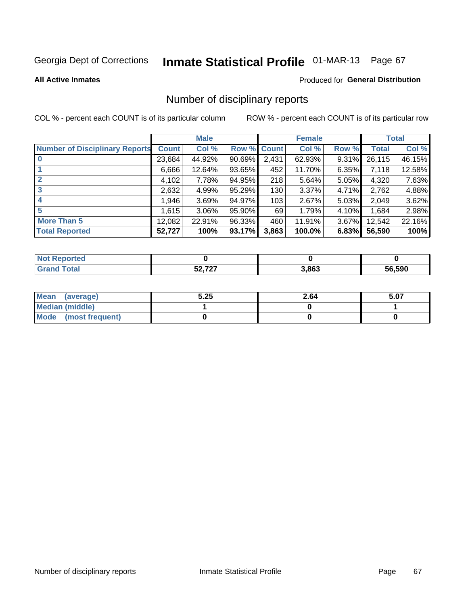# Inmate Statistical Profile 01-MAR-13 Page 67

#### **All Active Inmates**

#### Produced for General Distribution

### Number of disciplinary reports

COL % - percent each COUNT is of its particular column

|                                       |              | <b>Male</b> |        |       | <b>Female</b> |          |              | <b>Total</b> |
|---------------------------------------|--------------|-------------|--------|-------|---------------|----------|--------------|--------------|
| <b>Number of Disciplinary Reports</b> | <b>Count</b> | Col %       | Row %  | Count | Col %         | Row %    | <b>Total</b> | Col %        |
| $\bf{0}$                              | 23,684       | 44.92%      | 90.69% | 2,431 | 62.93%        | 9.31%    | 26,115       | 46.15%       |
|                                       | 6,666        | 12.64%      | 93.65% | 452   | 11.70%        | 6.35%    | 7,118        | 12.58%       |
| $\mathbf{2}$                          | 4,102        | 7.78%       | 94.95% | 218   | 5.64%         | $5.05\%$ | 4,320        | 7.63%        |
| 3                                     | 2,632        | 4.99%       | 95.29% | 130   | 3.37%         | 4.71%    | 2,762        | 4.88%        |
| 4                                     | 1,946        | 3.69%       | 94.97% | 103   | 2.67%         | 5.03%    | 2,049        | 3.62%        |
| 5                                     | 1,615        | $3.06\%$    | 95.90% | 69    | 1.79%         | $4.10\%$ | 1,684        | 2.98%        |
| <b>More Than 5</b>                    | 12,082       | 22.91%      | 96.33% | 460   | 11.91%        | $3.67\%$ | 12,542       | 22.16%       |
| <b>Total Reported</b>                 | 52,727       | 100%        | 93.17% | 3,863 | 100.0%        | 6.83%    | 56,590       | 100%         |

| <b>rted</b><br>NO |             |       |               |
|-------------------|-------------|-------|---------------|
| intal             | $E_2 = 727$ | 3,863 | 56.590<br>5h. |

| Mean (average)       | 5.25 | 2.64 | 5.07 |
|----------------------|------|------|------|
| Median (middle)      |      |      |      |
| Mode (most frequent) |      |      |      |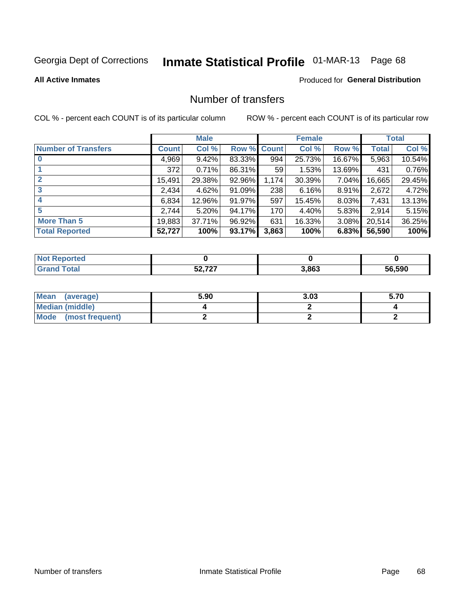# Inmate Statistical Profile 01-MAR-13 Page 68

#### **All Active Inmates**

### **Produced for General Distribution**

## Number of transfers

COL % - percent each COUNT is of its particular column

|                            |         | <b>Male</b> |        |              | <b>Female</b> |          |              | <b>Total</b> |
|----------------------------|---------|-------------|--------|--------------|---------------|----------|--------------|--------------|
| <b>Number of Transfers</b> | Count l | Col %       | Row %  | <b>Count</b> | Col %         | Row %    | <b>Total</b> | Col %        |
|                            | 4,969   | 9.42%       | 83.33% | 994          | 25.73%        | 16.67%   | 5,963        | 10.54%       |
|                            | 372     | 0.71%       | 86.31% | 59           | 1.53%         | 13.69%   | 431          | 0.76%        |
| $\mathbf{2}$               | 15,491  | 29.38%      | 92.96% | 1,174        | 30.39%        | 7.04%    | 16,665       | 29.45%       |
| 3                          | 2,434   | 4.62%       | 91.09% | 238          | 6.16%         | $8.91\%$ | 2,672        | 4.72%        |
|                            | 6,834   | 12.96%      | 91.97% | 597          | 15.45%        | $8.03\%$ | 7,431        | 13.13%       |
| 5                          | 2,744   | 5.20%       | 94.17% | 170          | 4.40%         | 5.83%    | 2,914        | 5.15%        |
| <b>More Than 5</b>         | 19,883  | 37.71%      | 96.92% | 631          | 16.33%        | 3.08%    | 20,514       | 36.25%       |
| <b>Total Reported</b>      | 52,727  | 100%        | 93.17% | 3,863        | 100%          | 6.83%    | 56,590       | 100%         |

| <b>Not Reported</b> |                        |       |        |
|---------------------|------------------------|-------|--------|
| Total               | $F^{\alpha}$ 707<br>JŁ | 3,863 | 56.590 |

| Mean (average)       | 5.90 | 3.03 | 5.70 |
|----------------------|------|------|------|
| Median (middle)      |      |      |      |
| Mode (most frequent) |      |      |      |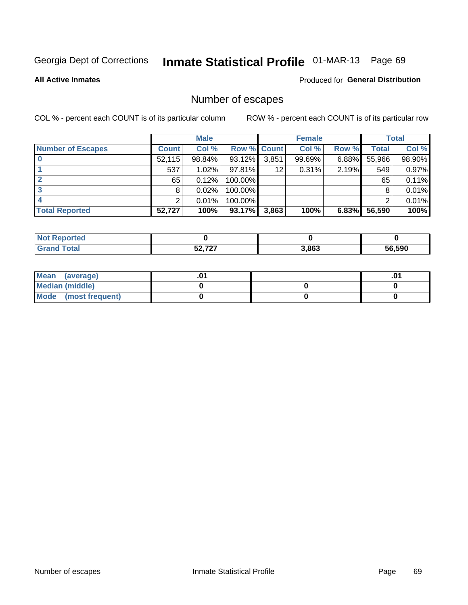# Inmate Statistical Profile 01-MAR-13 Page 69

**All Active Inmates** 

#### Produced for General Distribution

# Number of escapes

COL % - percent each COUNT is of its particular column

|                          |              | <b>Male</b> |             |       | <b>Female</b> |       |        | <b>Total</b> |
|--------------------------|--------------|-------------|-------------|-------|---------------|-------|--------|--------------|
| <b>Number of Escapes</b> | <b>Count</b> | Col %       | Row % Count |       | Col %         | Row % | Total  | Col %        |
|                          | 52,115       | 98.84%      | 93.12%      | 3,851 | 99.69%        | 6.88% | 55,966 | 98.90%       |
|                          | 537          | 1.02%       | $97.81\%$   | 12    | 0.31%         | 2.19% | 549    | 0.97%        |
|                          | 65           | 0.12%       | 100.00%     |       |               |       | 65     | 0.11%        |
|                          | 8            | 0.02%       | 100.00%     |       |               |       | 8      | 0.01%        |
|                          |              | 0.01%       | 100.00%     |       |               |       |        | 0.01%        |
| <b>Total Reported</b>    | 52,727       | 100%        | 93.17%      | 3,863 | 100%          | 6.83% | 56,590 | 100%         |

| <b>Not Reported</b> |                  |       |        |
|---------------------|------------------|-------|--------|
| $\tau$ otal         | $F^{\alpha}$ 707 | 3,863 | 56.590 |

| Mean (average)       |  | .0 <sup>4</sup> |
|----------------------|--|-----------------|
| Median (middle)      |  |                 |
| Mode (most frequent) |  |                 |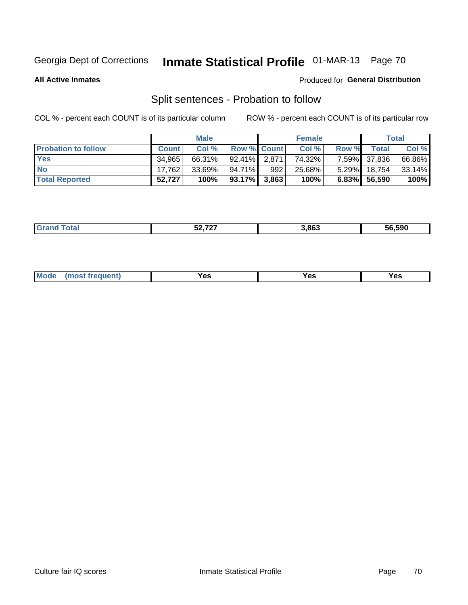# Inmate Statistical Profile 01-MAR-13 Page 70

**All Active Inmates** 

#### Produced for General Distribution

# Split sentences - Probation to follow

COL % - percent each COUNT is of its particular column

|                            |              | <b>Male</b> |                    |     | <b>Female</b> |          |              | <b>Total</b> |
|----------------------------|--------------|-------------|--------------------|-----|---------------|----------|--------------|--------------|
| <b>Probation to follow</b> | <b>Count</b> | Col%        | <b>Row % Count</b> |     | Col %         | Row %    | Total        | Col %        |
| <b>Yes</b>                 | 34.965       | 66.31%      | $92.41\%$ 2.871    |     | 74.32%        |          | 7.59% 37,836 | 66.86%       |
| <b>No</b>                  | 17,762       | 33.69%      | 94.71%             | 992 | 25.68%        | $5.29\%$ | 18,754       | $33.14\%$    |
| <b>Total Reported</b>      | 52,727       | 100%        | $93.17\%$ 3,863    |     | 100%          |          | 6.83% 56,590 | 100%         |

|  |  | $F^{\sim}$ 707<br>◡ | 8.863 | 56.590 |
|--|--|---------------------|-------|--------|
|--|--|---------------------|-------|--------|

| M<br>reauent)<br>/٥<br>$\sim$<br>v.,<br>.<br>$\ddotsc$<br>$\cdot$ - $\cdot$ |
|-----------------------------------------------------------------------------|
|-----------------------------------------------------------------------------|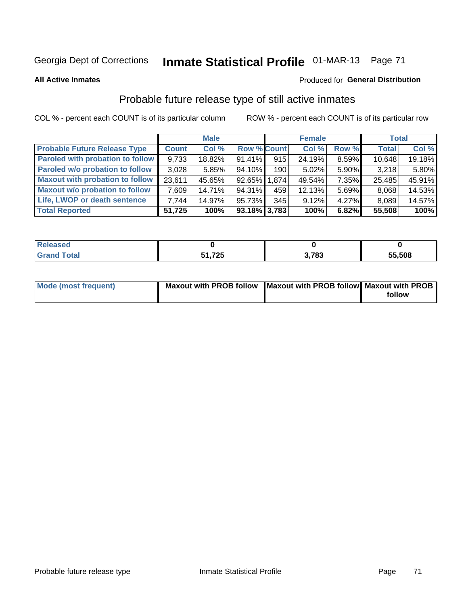# Inmate Statistical Profile 01-MAR-13 Page 71

**All Active Inmates** 

#### Produced for General Distribution

# Probable future release type of still active inmates

COL % - percent each COUNT is of its particular column

|                                         |              | <b>Male</b> |                    |                  | <b>Female</b> |          | <b>Total</b> |        |
|-----------------------------------------|--------------|-------------|--------------------|------------------|---------------|----------|--------------|--------|
| <b>Probable Future Release Type</b>     | <b>Count</b> | Col %       | <b>Row % Count</b> |                  | Col %         | Row %    | <b>Total</b> | Col %  |
| <b>Paroled with probation to follow</b> | 9,733        | 18.82%      | 91.41%             | 915              | 24.19%        | 8.59%    | 10,648       | 19.18% |
| Paroled w/o probation to follow         | 3,028        | 5.85%       | 94.10%             | 190 <sub>l</sub> | 5.02%         | 5.90%    | 3,218        | 5.80%  |
| <b>Maxout with probation to follow</b>  | 23.611       | 45.65%      | 92.65% 1.874       |                  | 49.54%        | 7.35%    | 25,485       | 45.91% |
| <b>Maxout w/o probation to follow</b>   | 7,609        | 14.71%      | 94.31%             | 459              | 12.13%        | 5.69%    | 8,068        | 14.53% |
| Life, LWOP or death sentence            | 7.744        | 14.97%      | 95.73%             | 345              | 9.12%         | $4.27\%$ | 8,089        | 14.57% |
| <b>Total Reported</b>                   | 51,725       | 100%        | $93.18\%$ 3,783    |                  | 100%          | 6.82%    | 55,508       | 100%   |

| <b>otal</b> | フクト<br>, <u>, ,</u> | 702<br>o. | 55,508 |
|-------------|---------------------|-----------|--------|

| <b>Mode (most frequent)</b> | Maxout with PROB follow   Maxout with PROB follow   Maxout with PROB |        |
|-----------------------------|----------------------------------------------------------------------|--------|
|                             |                                                                      | follow |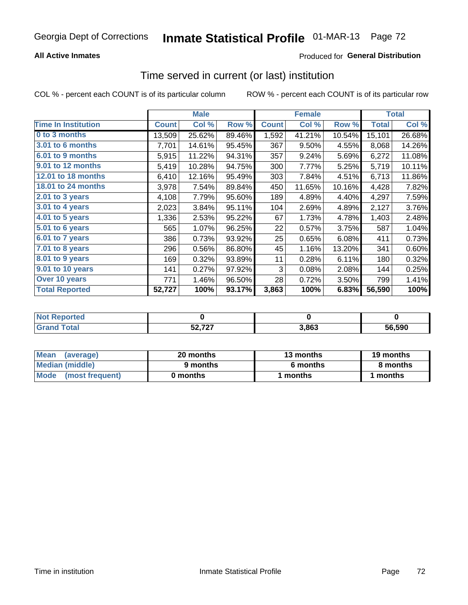#### **All Active Inmates**

### Produced for General Distribution

# Time served in current (or last) institution

COL % - percent each COUNT is of its particular column

|                            |              | <b>Male</b> |        |              | <b>Female</b> |        |              | <b>Total</b> |
|----------------------------|--------------|-------------|--------|--------------|---------------|--------|--------------|--------------|
| <b>Time In Institution</b> | <b>Count</b> | Col %       | Row %  | <b>Count</b> | Col %         | Row %  | <b>Total</b> | Col %        |
| 0 to 3 months              | 13,509       | 25.62%      | 89.46% | 1,592        | 41.21%        | 10.54% | 15,101       | 26.68%       |
| 3.01 to 6 months           | 7,701        | 14.61%      | 95.45% | 367          | 9.50%         | 4.55%  | 8,068        | 14.26%       |
| 6.01 to 9 months           | 5,915        | 11.22%      | 94.31% | 357          | 9.24%         | 5.69%  | 6,272        | 11.08%       |
| 9.01 to 12 months          | 5,419        | 10.28%      | 94.75% | 300          | 7.77%         | 5.25%  | 5,719        | 10.11%       |
| 12.01 to 18 months         | 6,410        | 12.16%      | 95.49% | 303          | 7.84%         | 4.51%  | 6,713        | 11.86%       |
| <b>18.01 to 24 months</b>  | 3,978        | 7.54%       | 89.84% | 450          | 11.65%        | 10.16% | 4,428        | 7.82%        |
| $2.01$ to 3 years          | 4,108        | 7.79%       | 95.60% | 189          | 4.89%         | 4.40%  | 4,297        | 7.59%        |
| $3.01$ to 4 years          | 2,023        | 3.84%       | 95.11% | 104          | 2.69%         | 4.89%  | 2,127        | 3.76%        |
| 4.01 to 5 years            | 1,336        | 2.53%       | 95.22% | 67           | 1.73%         | 4.78%  | 1,403        | 2.48%        |
| 5.01 to 6 years            | 565          | 1.07%       | 96.25% | 22           | 0.57%         | 3.75%  | 587          | 1.04%        |
| 6.01 to 7 years            | 386          | 0.73%       | 93.92% | 25           | 0.65%         | 6.08%  | 411          | 0.73%        |
| 7.01 to 8 years            | 296          | 0.56%       | 86.80% | 45           | 1.16%         | 13.20% | 341          | 0.60%        |
| 8.01 to 9 years            | 169          | 0.32%       | 93.89% | 11           | 0.28%         | 6.11%  | 180          | 0.32%        |
| 9.01 to 10 years           | 141          | 0.27%       | 97.92% | 3            | 0.08%         | 2.08%  | 144          | 0.25%        |
| Over 10 years              | 771          | 1.46%       | 96.50% | 28           | 0.72%         | 3.50%  | 799          | 1.41%        |
| <b>Total Reported</b>      | 52,727       | 100%        | 93.17% | 3,863        | 100%          | 6.83%  | 56,590       | 100%         |

| orted<br><b>NOT</b> |                 |       |               |
|---------------------|-----------------|-------|---------------|
| `ota                | 52727<br>JZ, 14 | 3,863 | 56.590<br>.nn |

| <b>Mean</b><br>(average) | 20 months | 13 months | 19 months |
|--------------------------|-----------|-----------|-----------|
| Median (middle)          | 9 months  | 6 months  | 8 months  |
| Mode (most frequent)     | 0 months  | months    | l months  |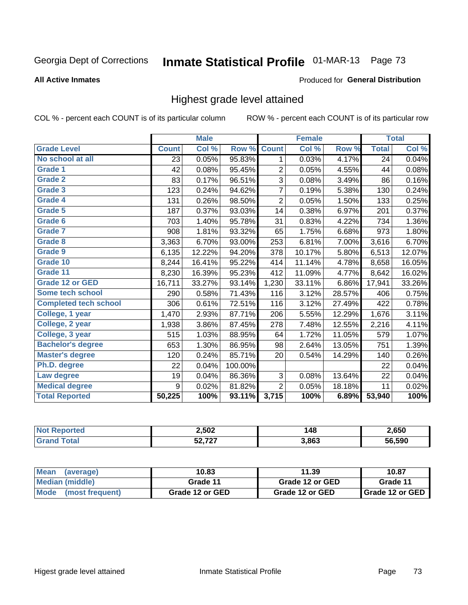# Inmate Statistical Profile 01-MAR-13 Page 73

#### **All Active Inmates**

#### **Produced for General Distribution**

## Highest grade level attained

COL % - percent each COUNT is of its particular column

|                              |              | <b>Male</b> |         |                | <b>Female</b> |        |              | <b>Total</b> |
|------------------------------|--------------|-------------|---------|----------------|---------------|--------|--------------|--------------|
| <b>Grade Level</b>           | <b>Count</b> | Col %       | Row %   | <b>Count</b>   | Col %         | Row %  | <b>Total</b> | Col %        |
| No school at all             | 23           | 0.05%       | 95.83%  | 1              | 0.03%         | 4.17%  | 24           | 0.04%        |
| <b>Grade 1</b>               | 42           | 0.08%       | 95.45%  | $\overline{2}$ | 0.05%         | 4.55%  | 44           | 0.08%        |
| <b>Grade 2</b>               | 83           | 0.17%       | 96.51%  | $\mathbf{3}$   | 0.08%         | 3.49%  | 86           | 0.16%        |
| Grade 3                      | 123          | 0.24%       | 94.62%  | $\overline{7}$ | 0.19%         | 5.38%  | 130          | 0.24%        |
| <b>Grade 4</b>               | 131          | 0.26%       | 98.50%  | $\overline{2}$ | 0.05%         | 1.50%  | 133          | 0.25%        |
| Grade 5                      | 187          | 0.37%       | 93.03%  | 14             | 0.38%         | 6.97%  | 201          | 0.37%        |
| Grade 6                      | 703          | 1.40%       | 95.78%  | 31             | 0.83%         | 4.22%  | 734          | 1.36%        |
| <b>Grade 7</b>               | 908          | 1.81%       | 93.32%  | 65             | 1.75%         | 6.68%  | 973          | 1.80%        |
| Grade 8                      | 3,363        | 6.70%       | 93.00%  | 253            | 6.81%         | 7.00%  | 3,616        | 6.70%        |
| Grade 9                      | 6,135        | 12.22%      | 94.20%  | 378            | 10.17%        | 5.80%  | 6,513        | 12.07%       |
| Grade 10                     | 8,244        | 16.41%      | 95.22%  | 414            | 11.14%        | 4.78%  | 8,658        | 16.05%       |
| Grade 11                     | 8,230        | 16.39%      | 95.23%  | 412            | 11.09%        | 4.77%  | 8,642        | 16.02%       |
| <b>Grade 12 or GED</b>       | 16,711       | 33.27%      | 93.14%  | 1,230          | 33.11%        | 6.86%  | 17,941       | 33.26%       |
| Some tech school             | 290          | 0.58%       | 71.43%  | 116            | 3.12%         | 28.57% | 406          | 0.75%        |
| <b>Completed tech school</b> | 306          | 0.61%       | 72.51%  | 116            | 3.12%         | 27.49% | 422          | 0.78%        |
| College, 1 year              | 1,470        | 2.93%       | 87.71%  | 206            | 5.55%         | 12.29% | 1,676        | 3.11%        |
| College, 2 year              | 1,938        | 3.86%       | 87.45%  | 278            | 7.48%         | 12.55% | 2,216        | 4.11%        |
| College, 3 year              | 515          | 1.03%       | 88.95%  | 64             | 1.72%         | 11.05% | 579          | 1.07%        |
| <b>Bachelor's degree</b>     | 653          | 1.30%       | 86.95%  | 98             | 2.64%         | 13.05% | 751          | 1.39%        |
| <b>Master's degree</b>       | 120          | 0.24%       | 85.71%  | 20             | 0.54%         | 14.29% | 140          | 0.26%        |
| Ph.D. degree                 | 22           | 0.04%       | 100.00% |                |               |        | 22           | 0.04%        |
| Law degree                   | 19           | 0.04%       | 86.36%  | 3              | 0.08%         | 13.64% | 22           | 0.04%        |
| <b>Medical degree</b>        | 9            | 0.02%       | 81.82%  | $\overline{2}$ | 0.05%         | 18.18% | 11           | 0.02%        |
| <b>Total Reported</b>        | 50,225       | 100%        | 93.11%  | 3,715          | 100%          | 6.89%  | 53,940       | 100%         |

| 2,502            | $\overline{ }$<br>-48<br>$\sim$ | 2,650  |
|------------------|---------------------------------|--------|
| $F^{\alpha}$ 707 | 3,863                           | 56.590 |

| <b>Mean</b><br>(average)       | 10.83           | 11.39           | 10.87             |
|--------------------------------|-----------------|-----------------|-------------------|
| Median (middle)                | Grade 11        | Grade 12 or GED | Grade 11          |
| <b>Mode</b><br>(most frequent) | Grade 12 or GED | Grade 12 or GED | I Grade 12 or GED |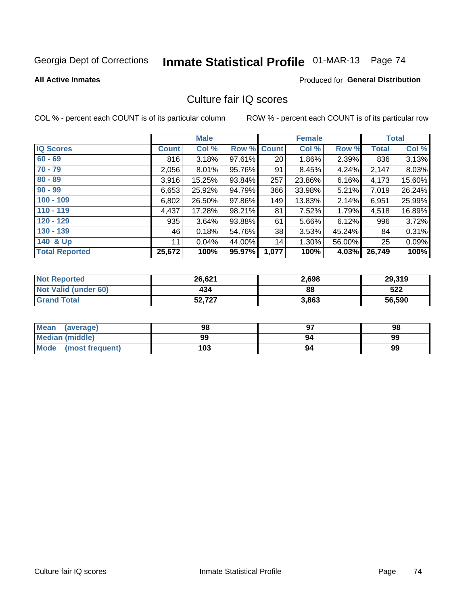# Inmate Statistical Profile 01-MAR-13 Page 74

**All Active Inmates** 

#### **Produced for General Distribution**

## Culture fair IQ scores

COL % - percent each COUNT is of its particular column

|                       |              | <b>Male</b> |        |              | <b>Female</b> |        |              | <b>Total</b> |
|-----------------------|--------------|-------------|--------|--------------|---------------|--------|--------------|--------------|
| <b>IQ Scores</b>      | <b>Count</b> | Col %       | Row %  | <b>Count</b> | Col %         | Row %  | <b>Total</b> | Col %        |
| $60 - 69$             | 816          | 3.18%       | 97.61% | 20           | 1.86%         | 2.39%  | 836          | 3.13%        |
| $70 - 79$             | 2,056        | $8.01\%$    | 95.76% | 91           | 8.45%         | 4.24%  | 2,147        | 8.03%        |
| $80 - 89$             | 3,916        | 15.25%      | 93.84% | 257          | 23.86%        | 6.16%  | 4,173        | 15.60%       |
| $90 - 99$             | 6,653        | 25.92%      | 94.79% | 366          | 33.98%        | 5.21%  | 7,019        | 26.24%       |
| $100 - 109$           | 6,802        | 26.50%      | 97.86% | 149          | 13.83%        | 2.14%  | 6,951        | 25.99%       |
| $110 - 119$           | 4,437        | 17.28%      | 98.21% | 81           | 7.52%         | 1.79%  | 4,518        | 16.89%       |
| $120 - 129$           | 935          | 3.64%       | 93.88% | 61           | 5.66%         | 6.12%  | 996          | 3.72%        |
| $130 - 139$           | 46           | 0.18%       | 54.76% | 38           | 3.53%         | 45.24% | 84           | 0.31%        |
| 140 & Up              | 11           | 0.04%       | 44.00% | 14           | 1.30%         | 56.00% | 25           | 0.09%        |
| <b>Total Reported</b> | 25,672       | 100%        | 95.97% | 1,077        | 100%          | 4.03%  | 26,749       | 100%         |

| <b>Not Reported</b>         | 26,621 | 2,698 | 29,319 |
|-----------------------------|--------|-------|--------|
| <b>Not Valid (under 60)</b> | 434    | 88    | 522    |
| <b>Grand Total</b>          | 52,727 | 3,863 | 56,590 |

| Mean<br>(average)       | 98  | כח | 98 |
|-------------------------|-----|----|----|
| Median (middle)         | 99  | 94 | 99 |
| Mode<br>(most frequent) | 103 | 94 | 99 |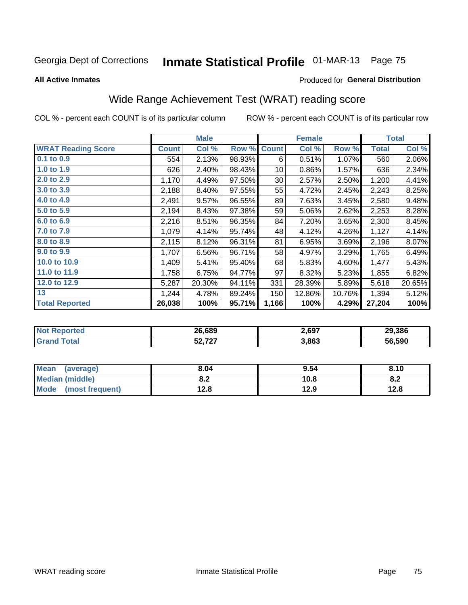# Inmate Statistical Profile 01-MAR-13 Page 75

**All Active Inmates** 

#### **Produced for General Distribution**

# Wide Range Achievement Test (WRAT) reading score

COL % - percent each COUNT is of its particular column

|                           |              | <b>Male</b> |        |              | <b>Female</b> |        |              | <b>Total</b> |
|---------------------------|--------------|-------------|--------|--------------|---------------|--------|--------------|--------------|
| <b>WRAT Reading Score</b> | <b>Count</b> | Col %       | Row %  | <b>Count</b> | Col %         | Row %  | <b>Total</b> | Col %        |
| $0.1$ to $0.9$            | 554          | 2.13%       | 98.93% | 6            | 0.51%         | 1.07%  | 560          | 2.06%        |
| 1.0 to 1.9                | 626          | 2.40%       | 98.43% | 10           | 0.86%         | 1.57%  | 636          | 2.34%        |
| 2.0 to 2.9                | 1,170        | 4.49%       | 97.50% | 30           | 2.57%         | 2.50%  | 1,200        | 4.41%        |
| 3.0 to 3.9                | 2,188        | 8.40%       | 97.55% | 55           | 4.72%         | 2.45%  | 2,243        | 8.25%        |
| 4.0 to 4.9                | 2,491        | 9.57%       | 96.55% | 89           | 7.63%         | 3.45%  | 2,580        | 9.48%        |
| 5.0 t0 5.9                | 2,194        | 8.43%       | 97.38% | 59           | 5.06%         | 2.62%  | 2,253        | 8.28%        |
| 6.0 to 6.9                | 2,216        | 8.51%       | 96.35% | 84           | 7.20%         | 3.65%  | 2,300        | 8.45%        |
| 7.0 to 7.9                | 1,079        | 4.14%       | 95.74% | 48           | 4.12%         | 4.26%  | 1,127        | 4.14%        |
| 8.0 to 8.9                | 2,115        | 8.12%       | 96.31% | 81           | 6.95%         | 3.69%  | 2,196        | 8.07%        |
| 9.0 to 9.9                | 1,707        | 6.56%       | 96.71% | 58           | 4.97%         | 3.29%  | 1,765        | 6.49%        |
| 10.0 to 10.9              | 1,409        | 5.41%       | 95.40% | 68           | 5.83%         | 4.60%  | 1,477        | 5.43%        |
| 11.0 to 11.9              | 1,758        | 6.75%       | 94.77% | 97           | 8.32%         | 5.23%  | 1,855        | 6.82%        |
| 12.0 to 12.9              | 5,287        | 20.30%      | 94.11% | 331          | 28.39%        | 5.89%  | 5,618        | 20.65%       |
| 13                        | 1,244        | 4.78%       | 89.24% | 150          | 12.86%        | 10.76% | 1,394        | 5.12%        |
| <b>Total Reported</b>     | 26,038       | 100%        | 95.71% | 1,166        | 100%          | 4.29%  | 27,204       | 100%         |

| тес.<br>NO | 26,689                      | 2,697 | 29.386 |
|------------|-----------------------------|-------|--------|
|            | $F^{\alpha}$ 707<br>JL.I LI | 3,863 | 56.590 |

| <b>Mean</b><br>(average) | 8.04       | 9.54 | 8.10 |
|--------------------------|------------|------|------|
| Median (middle)          | י ה<br>o.z | 10.8 | o.z  |
| Mode (most frequent)     | 12.8       | 12.9 | 12.8 |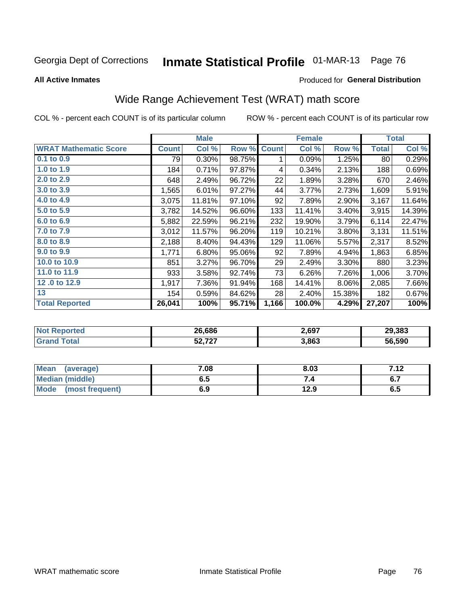# Inmate Statistical Profile 01-MAR-13 Page 76

**All Active Inmates** 

#### **Produced for General Distribution**

# Wide Range Achievement Test (WRAT) math score

COL % - percent each COUNT is of its particular column

|                              |              | <b>Male</b> |        |              | <b>Female</b> |        |              | <b>Total</b> |
|------------------------------|--------------|-------------|--------|--------------|---------------|--------|--------------|--------------|
| <b>WRAT Mathematic Score</b> | <b>Count</b> | Col %       | Row %  | <b>Count</b> | Col %         | Row %  | <b>Total</b> | Col %        |
| $0.1$ to $0.9$               | 79           | 0.30%       | 98.75% | 1            | 0.09%         | 1.25%  | 80           | 0.29%        |
| 1.0 to 1.9                   | 184          | 0.71%       | 97.87% | 4            | 0.34%         | 2.13%  | 188          | 0.69%        |
| 2.0 to 2.9                   | 648          | 2.49%       | 96.72% | 22           | 1.89%         | 3.28%  | 670          | 2.46%        |
| 3.0 to 3.9                   | 1,565        | 6.01%       | 97.27% | 44           | 3.77%         | 2.73%  | 1,609        | 5.91%        |
| 4.0 to 4.9                   | 3,075        | 11.81%      | 97.10% | 92           | 7.89%         | 2.90%  | 3,167        | 11.64%       |
| 5.0 to 5.9                   | 3,782        | 14.52%      | 96.60% | 133          | 11.41%        | 3.40%  | 3,915        | 14.39%       |
| 6.0 to 6.9                   | 5,882        | 22.59%      | 96.21% | 232          | 19.90%        | 3.79%  | 6,114        | 22.47%       |
| 7.0 to 7.9                   | 3,012        | 11.57%      | 96.20% | 119          | 10.21%        | 3.80%  | 3,131        | 11.51%       |
| 8.0 to 8.9                   | 2,188        | 8.40%       | 94.43% | 129          | 11.06%        | 5.57%  | 2,317        | 8.52%        |
| 9.0 to 9.9                   | 1,771        | 6.80%       | 95.06% | 92           | 7.89%         | 4.94%  | 1,863        | 6.85%        |
| 10.0 to 10.9                 | 851          | 3.27%       | 96.70% | 29           | 2.49%         | 3.30%  | 880          | 3.23%        |
| 11.0 to 11.9                 | 933          | 3.58%       | 92.74% | 73           | 6.26%         | 7.26%  | 1,006        | 3.70%        |
| 12.0 to 12.9                 | 1,917        | 7.36%       | 91.94% | 168          | 14.41%        | 8.06%  | 2,085        | 7.66%        |
| 13                           | 154          | 0.59%       | 84.62% | 28           | 2.40%         | 15.38% | 182          | 0.67%        |
| <b>Total Reported</b>        | 26,041       | 100%        | 95.71% | 1,166        | 100.0%        | 4.29%  | 27,207       | 100%         |

| erteol | 26.686      | 2,697 | 29.383 |
|--------|-------------|-------|--------|
|        | $E_2 = 727$ | 3,863 | 56.590 |

| Mean (average)         | 7.08 | 8.03 | 712<br>7. IZ |
|------------------------|------|------|--------------|
| <b>Median (middle)</b> | ง. ว | 54   | o.,          |
| Mode (most frequent)   | 6.9  | 12.9 | 6.5          |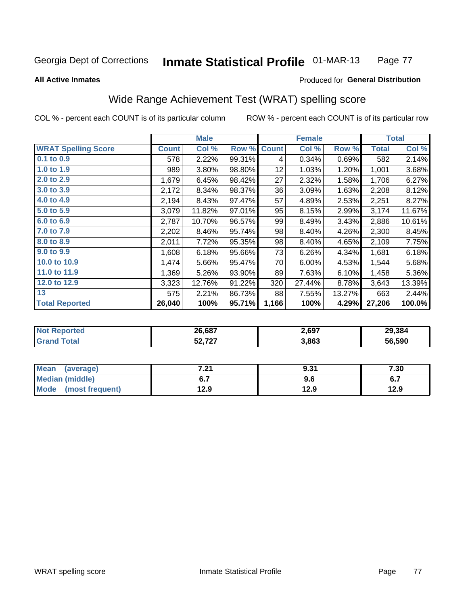#### **Inmate Statistical Profile 01-MAR-13** Page 77

**All Active Inmates** 

#### Produced for General Distribution

# Wide Range Achievement Test (WRAT) spelling score

COL % - percent each COUNT is of its particular column

|                            |              | <b>Male</b> |        |              | <b>Female</b> |        |              | <b>Total</b> |
|----------------------------|--------------|-------------|--------|--------------|---------------|--------|--------------|--------------|
| <b>WRAT Spelling Score</b> | <b>Count</b> | Col %       | Row %  | <b>Count</b> | Col %         | Row %  | <b>Total</b> | Col %        |
| $0.1$ to $0.9$             | 578          | 2.22%       | 99.31% | 4            | 0.34%         | 0.69%  | 582          | 2.14%        |
| 1.0 to 1.9                 | 989          | 3.80%       | 98.80% | 12           | 1.03%         | 1.20%  | 1,001        | 3.68%        |
| 2.0 to 2.9                 | 1,679        | 6.45%       | 98.42% | 27           | 2.32%         | 1.58%  | 1,706        | 6.27%        |
| 3.0 to 3.9                 | 2,172        | 8.34%       | 98.37% | 36           | 3.09%         | 1.63%  | 2,208        | 8.12%        |
| 4.0 to 4.9                 | 2,194        | 8.43%       | 97.47% | 57           | 4.89%         | 2.53%  | 2,251        | 8.27%        |
| 5.0 t0 5.9                 | 3,079        | 11.82%      | 97.01% | 95           | 8.15%         | 2.99%  | 3,174        | 11.67%       |
| 6.0 to 6.9                 | 2,787        | 10.70%      | 96.57% | 99           | 8.49%         | 3.43%  | 2,886        | 10.61%       |
| 7.0 to 7.9                 | 2,202        | 8.46%       | 95.74% | 98           | 8.40%         | 4.26%  | 2,300        | 8.45%        |
| 8.0 to 8.9                 | 2,011        | 7.72%       | 95.35% | 98           | 8.40%         | 4.65%  | 2,109        | 7.75%        |
| 9.0 to 9.9                 | 1,608        | 6.18%       | 95.66% | 73           | 6.26%         | 4.34%  | 1,681        | 6.18%        |
| 10.0 to 10.9               | 1,474        | 5.66%       | 95.47% | 70           | 6.00%         | 4.53%  | 1,544        | 5.68%        |
| 11.0 to 11.9               | 1,369        | 5.26%       | 93.90% | 89           | 7.63%         | 6.10%  | 1,458        | 5.36%        |
| 12.0 to 12.9               | 3,323        | 12.76%      | 91.22% | 320          | 27.44%        | 8.78%  | 3,643        | 13.39%       |
| 13                         | 575          | 2.21%       | 86.73% | 88           | 7.55%         | 13.27% | 663          | 2.44%        |
| <b>Total Reported</b>      | 26,040       | 100%        | 95.71% | 1,166        | 100%          | 4.29%  | 27,206       | 100.0%       |

| тес.<br>NO | 26,687                      | 2,697 | 29.384 |
|------------|-----------------------------|-------|--------|
|            | $F^{\alpha}$ 707<br>JL.I LI | 3,863 | 56.590 |

| <b>Mean</b><br>(average) | フ つ<br>.Z I | 9.31 | 7.30 |
|--------------------------|-------------|------|------|
| Median (middle)          |             | 9.6  | ο.   |
| Mode (most frequent)     | 12.9        | 12.9 | 12.9 |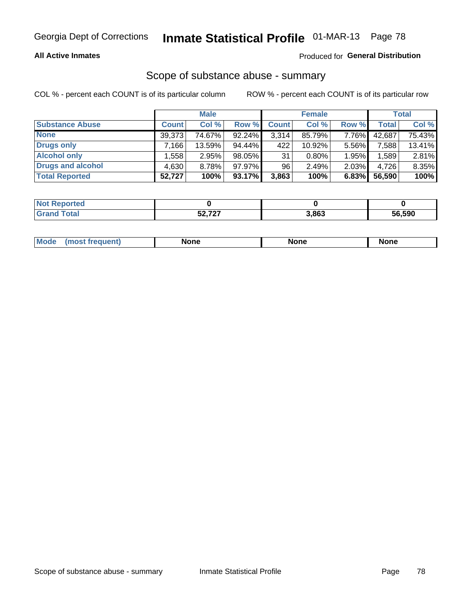#### **All Active Inmates**

### Produced for General Distribution

# Scope of substance abuse - summary

COL % - percent each COUNT is of its particular column

|                        |              | <b>Male</b> |           |              | <b>Female</b> |       |        | <b>Total</b> |
|------------------------|--------------|-------------|-----------|--------------|---------------|-------|--------|--------------|
| <b>Substance Abuse</b> | <b>Count</b> | Col %       | Row %     | <b>Count</b> | Col %         | Row % | Total  | Col %        |
| <b>None</b>            | 39,373       | 74.67%      | $92.24\%$ | 3,314        | 85.79%        | 7.76% | 42,687 | 75.43%       |
| <b>Drugs only</b>      | .166'        | 13.59%      | 94.44%    | 422          | $10.92\%$     | 5.56% | 7,588  | 13.41%       |
| <b>Alcohol only</b>    | .558         | 2.95%       | 98.05%    | 31           | $0.80\%$      | 1.95% | .589   | 2.81%        |
| Drugs and alcohol      | 4,630        | 8.78%       | 97.97%    | 96           | 2.49%         | 2.03% | 4,726  | 8.35%        |
| <b>Total Reported</b>  | 52,727       | 100%        | 93.17%    | 3,863        | 100%          | 6.83% | 56,590 | 100%         |

| <b>Not Reported</b> |             |       |        |
|---------------------|-------------|-------|--------|
| <b>Grand Total</b>  | $E_2 = 727$ | 3,863 | 56,590 |

|  | Mode<br>auenu | None | None | None |
|--|---------------|------|------|------|
|--|---------------|------|------|------|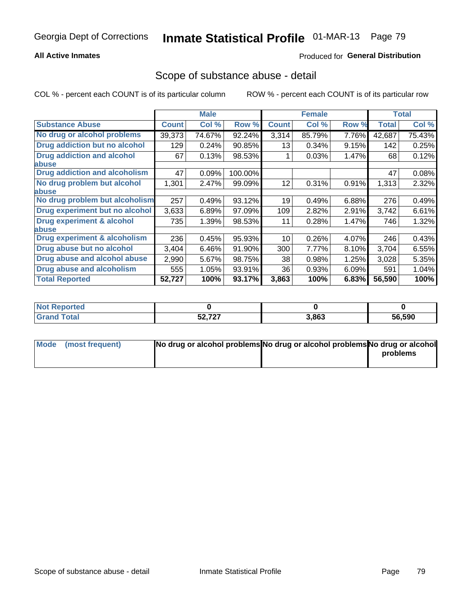#### **All Active Inmates**

### Produced for General Distribution

### Scope of substance abuse - detail

COL % - percent each COUNT is of its particular column

|                                      |              | <b>Male</b> |         |              | <b>Female</b> |       |        | <b>Total</b> |
|--------------------------------------|--------------|-------------|---------|--------------|---------------|-------|--------|--------------|
| <b>Substance Abuse</b>               | <b>Count</b> | Col %       | Row %   | <b>Count</b> | Col %         | Row % | Total  | Col %        |
| No drug or alcohol problems          | 39,373       | 74.67%      | 92.24%  | 3,314        | 85.79%        | 7.76% | 42,687 | 75.43%       |
| Drug addiction but no alcohol        | 129          | 0.24%       | 90.85%  | 13           | 0.34%         | 9.15% | 142    | 0.25%        |
| <b>Drug addiction and alcohol</b>    | 67           | 0.13%       | 98.53%  |              | 0.03%         | 1.47% | 68     | 0.12%        |
| abuse                                |              |             |         |              |               |       |        |              |
| <b>Drug addiction and alcoholism</b> | 47           | 0.09%       | 100.00% |              |               |       | 47     | 0.08%        |
| No drug problem but alcohol          | 1,301        | 2.47%       | 99.09%  | 12           | 0.31%         | 0.91% | 1,313  | 2.32%        |
| <b>labuse</b>                        |              |             |         |              |               |       |        |              |
| No drug problem but alcoholism       | 257          | 0.49%       | 93.12%  | 19           | 0.49%         | 6.88% | 276    | 0.49%        |
| Drug experiment but no alcohol       | 3,633        | 6.89%       | 97.09%  | 109          | 2.82%         | 2.91% | 3,742  | 6.61%        |
| Drug experiment & alcohol            | 735          | 1.39%       | 98.53%  | 11           | 0.28%         | 1.47% | 746    | 1.32%        |
| abuse                                |              |             |         |              |               |       |        |              |
| Drug experiment & alcoholism         | 236          | 0.45%       | 95.93%  | 10           | 0.26%         | 4.07% | 246    | 0.43%        |
| Drug abuse but no alcohol            | 3,404        | 6.46%       | 91.90%  | 300          | 7.77%         | 8.10% | 3,704  | 6.55%        |
| Drug abuse and alcohol abuse         | 2,990        | 5.67%       | 98.75%  | 38           | 0.98%         | 1.25% | 3,028  | 5.35%        |
| Drug abuse and alcoholism            | 555          | 1.05%       | 93.91%  | 36           | 0.93%         | 6.09% | 591    | 1.04%        |
| <b>Total Reported</b>                | 52,727       | 100%        | 93.17%  | 3,863        | 100%          | 6.83% | 56,590 | 100%         |

| orted<br>NOT |                            |       |        |
|--------------|----------------------------|-------|--------|
| <b>otal</b>  | $F^{\alpha}$ 707<br>J4,141 | 3,863 | 56,590 |

| Mode (most frequent) | No drug or alcohol problems No drug or alcohol problems No drug or alcohol |          |
|----------------------|----------------------------------------------------------------------------|----------|
|                      |                                                                            | problems |
|                      |                                                                            |          |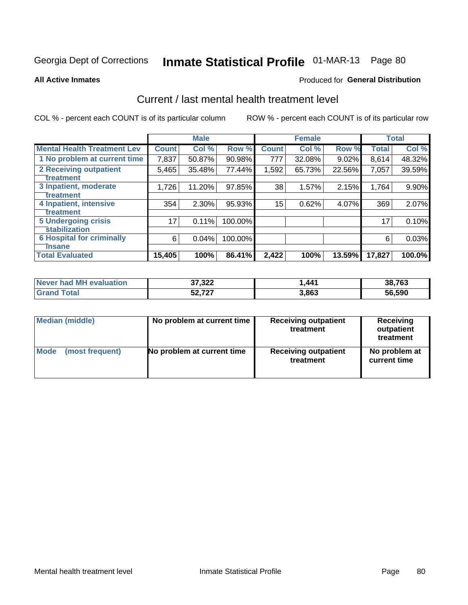# Inmate Statistical Profile 01-MAR-13 Page 80

**All Active Inmates** 

#### **Produced for General Distribution**

## Current / last mental health treatment level

COL % - percent each COUNT is of its particular column

|                                    |                 | <b>Male</b> |         |              | <b>Female</b> |        |              | <b>Total</b> |
|------------------------------------|-----------------|-------------|---------|--------------|---------------|--------|--------------|--------------|
| <b>Mental Health Treatment Lev</b> | <b>Count</b>    | Col%        | Row %   | <b>Count</b> | Col %         | Row %  | <b>Total</b> | Col %        |
| 1 No problem at current time       | 7,837           | 50.87%      | 90.98%  | 777          | 32.08%        | 9.02%  | 8,614        | 48.32%       |
| 2 Receiving outpatient             | 5,465           | 35.48%      | 77.44%  | 1,592        | 65.73%        | 22.56% | 7,057        | 39.59%       |
| <b>Treatment</b>                   |                 |             |         |              |               |        |              |              |
| 3 Inpatient, moderate              | 1,726           | 11.20%      | 97.85%  | 38           | 1.57%         | 2.15%  | 1,764        | $9.90\%$     |
| Treatment                          |                 |             |         |              |               |        |              |              |
| 4 Inpatient, intensive             | 354             | 2.30%       | 95.93%  | 15           | 0.62%         | 4.07%  | 369          | 2.07%        |
| <b>Treatment</b>                   |                 |             |         |              |               |        |              |              |
| 5 Undergoing crisis                | 17 <sub>1</sub> | 0.11%       | 100.00% |              |               |        | 17           | 0.10%        |
| <b>stabilization</b>               |                 |             |         |              |               |        |              |              |
| <b>6 Hospital for criminally</b>   | 6               | 0.04%       | 100.00% |              |               |        | 6            | 0.03%        |
| <b>Tinsane</b>                     |                 |             |         |              |               |        |              |              |
| <b>Total Evaluated</b>             | 15,405          | 100%        | 86.41%  | 2,422        | 100%          | 13.59% | 17,827       | 100.0%       |

| Never had MH evaluation | 37,322 | 1.441 | 38,763 |
|-------------------------|--------|-------|--------|
| Grand<br><b>Total</b>   | 52,727 | 3,863 | 56,590 |

| Median (middle) | No problem at current time | <b>Receiving outpatient</b><br>treatment | <b>Receiving</b><br>outpatient<br>treatment |
|-----------------|----------------------------|------------------------------------------|---------------------------------------------|
| <b>Mode</b>     | No problem at current time | <b>Receiving outpatient</b>              | No problem at                               |
| (most frequent) |                            | treatment                                | current time                                |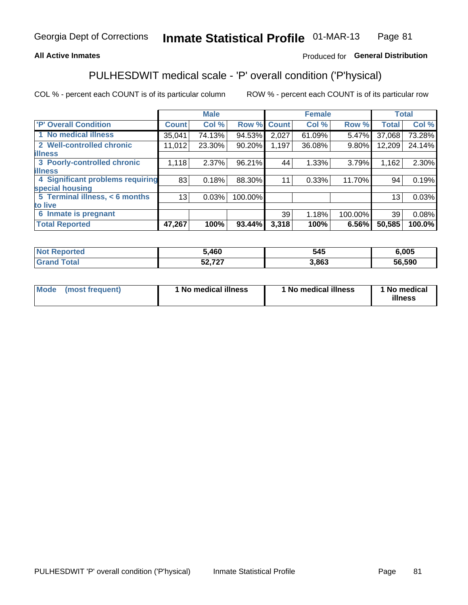#### **All Active Inmates**

### Produced for General Distribution

# PULHESDWIT medical scale - 'P' overall condition ('P'hysical)

COL % - percent each COUNT is of its particular column

|                                        | <b>Male</b> |        |                             |        |       |               | <b>Total</b>                                 |
|----------------------------------------|-------------|--------|-----------------------------|--------|-------|---------------|----------------------------------------------|
| <b>Count</b>                           | Col %       |        | <b>Count</b>                | Col %  |       | <b>Total</b>  | Col %                                        |
| 35,041                                 | 74.13%      | 94.53% | 2,027                       | 61.09% | 5.47% | 37,068        | 73.28%                                       |
| 11.012                                 | 23.30%      | 90.20% | 1,197                       | 36.08% |       | 12,209        | 24.14%                                       |
|                                        |             |        |                             |        |       |               |                                              |
| 1,118                                  | $2.37\%$    |        | 44                          | 1.33%  |       | 1,162         | 2.30%                                        |
|                                        |             |        |                             |        |       |               |                                              |
| 4 Significant problems requiring<br>83 | 0.18%       |        | 11                          | 0.33%  |       | 94            | 0.19%                                        |
|                                        |             |        |                             |        |       |               |                                              |
| 13                                     | 0.03%       |        |                             |        |       | 13            | 0.03%                                        |
|                                        |             |        |                             |        |       |               |                                              |
|                                        |             |        | 39 <sup>°</sup>             | 1.18%  |       | 39            | 0.08%                                        |
| 47,267                                 | 100%        | 93.44% | 3,318                       | 100%   | 6.56% | 50,585        | 100.0%                                       |
|                                        |             |        | 96.21%<br>88.30%<br>100.00% | Row %  |       | <b>Female</b> | Row %<br>9.80%<br>3.79%<br>11.70%<br>100.00% |

| τeα | 5,460                   | 545  | .005   |
|-----|-------------------------|------|--------|
|     | こへ フヘフ<br>$\sim$ $\sim$ | .863 | 56,590 |

| Mode | (most frequent) | 1 No medical illness | 1 No medical illness | 1 No medical<br>illness |
|------|-----------------|----------------------|----------------------|-------------------------|
|------|-----------------|----------------------|----------------------|-------------------------|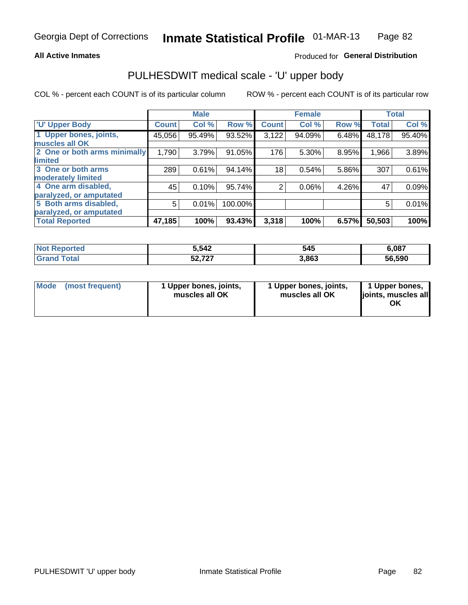#### **All Active Inmates**

#### Produced for General Distribution

# PULHESDWIT medical scale - 'U' upper body

COL % - percent each COUNT is of its particular column

|                              |              | <b>Male</b> |         |                 | <b>Female</b> |       |              | <b>Total</b> |
|------------------------------|--------------|-------------|---------|-----------------|---------------|-------|--------------|--------------|
| <b>U' Upper Body</b>         | <b>Count</b> | Col %       | Row %   | <b>Count</b>    | Col %         | Row % | <b>Total</b> | Col %        |
| 1 Upper bones, joints,       | 45,056       | 95.49%      | 93.52%  | 3,122           | 94.09%        | 6.48% | 48,178       | 95.40%       |
| muscles all OK               |              |             |         |                 |               |       |              |              |
| 2 One or both arms minimally | 1,790        | 3.79%       | 91.05%  | 176             | 5.30%         | 8.95% | 1,966        | 3.89%        |
| limited                      |              |             |         |                 |               |       |              |              |
| 3 One or both arms           | 289          | 0.61%       | 94.14%  | 18 <sub>1</sub> | 0.54%         | 5.86% | 307          | 0.61%        |
| <b>moderately limited</b>    |              |             |         |                 |               |       |              |              |
| 4 One arm disabled,          | 45           | 0.10%       | 95.74%  | $\overline{2}$  | 0.06%         | 4.26% | 47           | 0.09%        |
| paralyzed, or amputated      |              |             |         |                 |               |       |              |              |
| 5 Both arms disabled,        | 5            | 0.01%       | 100.00% |                 |               |       | 5            | 0.01%        |
| paralyzed, or amputated      |              |             |         |                 |               |       |              |              |
| <b>Total Reported</b>        | 47,185       | 100%        | 93.43%  | 3,318           | 100%          | 6.57% | 50,503       | 100%         |

| <b>Not Reported</b>     | 5,542            | 545   | 6,087  |
|-------------------------|------------------|-------|--------|
| <b>Total</b><br>' Grano | こへ フヘフ<br>52.7Z7 | 3,863 | 56,590 |

|  | Mode (most frequent) | 1 Upper bones, joints,<br>muscles all OK | 1 Upper bones, joints,<br>muscles all OK | 1 Upper bones,<br>ljoints, muscles all<br>ΟK |
|--|----------------------|------------------------------------------|------------------------------------------|----------------------------------------------|
|--|----------------------|------------------------------------------|------------------------------------------|----------------------------------------------|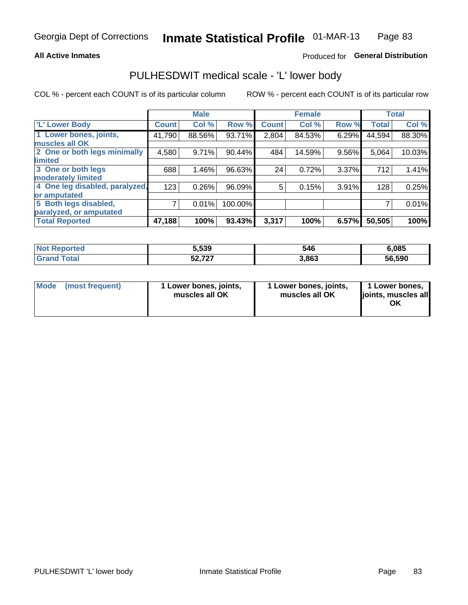#### **All Active Inmates**

### Produced for General Distribution

## PULHESDWIT medical scale - 'L' lower body

COL % - percent each COUNT is of its particular column

|                                |              | <b>Male</b> |         |              | <b>Female</b> |       |              | <b>Total</b> |
|--------------------------------|--------------|-------------|---------|--------------|---------------|-------|--------------|--------------|
| 'L' Lower Body                 | <b>Count</b> | Col %       | Row %   | <b>Count</b> | Col %         | Row % | <b>Total</b> | Col %        |
| 1 Lower bones, joints,         | 41,790       | 88.56%      | 93.71%  | 2,804        | 84.53%        | 6.29% | 44,594       | 88.30%       |
| muscles all OK                 |              |             |         |              |               |       |              |              |
| 2 One or both legs minimally   | 4,580        | 9.71%       | 90.44%  | 484          | 14.59%        | 9.56% | 5,064        | 10.03%       |
| limited                        |              |             |         |              |               |       |              |              |
| 3 One or both legs             | 688          | 1.46%       | 96.63%  | 24           | 0.72%         | 3.37% | 712          | 1.41%        |
| moderately limited             |              |             |         |              |               |       |              |              |
| 4 One leg disabled, paralyzed, | 123          | 0.26%       | 96.09%  | 5            | 0.15%         | 3.91% | 128          | 0.25%        |
| or amputated                   |              |             |         |              |               |       |              |              |
| 5 Both legs disabled,          | 7            | 0.01%       | 100.00% |              |               |       |              | 0.01%        |
| paralyzed, or amputated        |              |             |         |              |               |       |              |              |
| <b>Total Reported</b>          | 47,188       | 100%        | 93.43%  | 3,317        | 100%          | 6.57% | 50,505       | 100%         |

| <b>Not Reported</b>   | 5,539            | 546   | 6,085  |
|-----------------------|------------------|-------|--------|
| <b>Total</b><br>Grand | こへ フヘフ<br>52.7Z7 | 3,863 | 56,590 |

| Mode | (most frequent) | 1 Lower bones, joints,<br>muscles all OK | I Lower bones, joints,<br>muscles all OK | 1 Lower bones,<br>joints, muscles all<br>ΟK |
|------|-----------------|------------------------------------------|------------------------------------------|---------------------------------------------|
|------|-----------------|------------------------------------------|------------------------------------------|---------------------------------------------|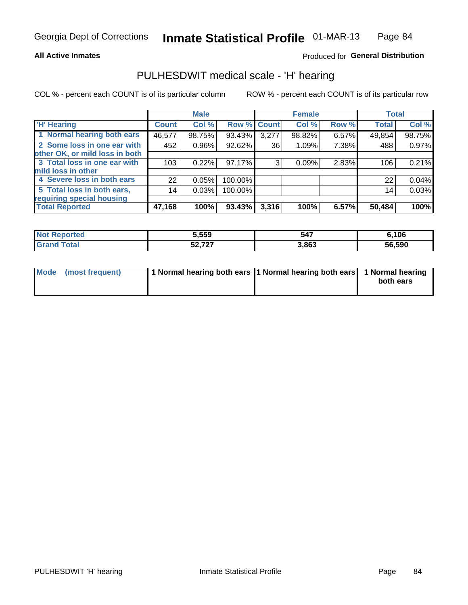#### **All Active Inmates**

### Produced for General Distribution

## PULHESDWIT medical scale - 'H' hearing

COL % - percent each COUNT is of its particular column

|                                |               | <b>Male</b> |           |             | <b>Female</b> |       | <b>Total</b> |        |
|--------------------------------|---------------|-------------|-----------|-------------|---------------|-------|--------------|--------|
| <b>H'</b> Hearing              | <b>Count!</b> | Col %       |           | Row % Count | Col %         | Row % | <b>Total</b> | Col %  |
| 1 Normal hearing both ears     | 46,577        | 98.75%      | 93.43%    | 3,277       | 98.82%        | 6.57% | 49,854       | 98.75% |
| 2 Some loss in one ear with    | 452           | 0.96%       | 92.62%    | 36          | 1.09%         | 7.38% | 488          | 0.97%  |
| other OK, or mild loss in both |               |             |           |             |               |       |              |        |
| 3 Total loss in one ear with   | 103           | 0.22%       | 97.17%    | 3           | 0.09%         | 2.83% | 106          | 0.21%  |
| mild loss in other             |               |             |           |             |               |       |              |        |
| 4 Severe loss in both ears     | 22            | 0.05%       | 100.00%   |             |               |       | 22           | 0.04%  |
| 5 Total loss in both ears,     | 14            | 0.03%       | 100.00%   |             |               |       | 14           | 0.03%  |
| requiring special housing      |               |             |           |             |               |       |              |        |
| <b>Total Reported</b>          | 47,168        | 100%        | $93.43\%$ | 3,316       | 100%          | 6.57% | 50,484       | 100%   |

| <b>Not Reported</b> | 5,559  | - - -<br>54, | .106   |
|---------------------|--------|--------------|--------|
| Γotal<br>าต         | 52,727 | 3,863        | 56,590 |

| Mode (most frequent) | 1 Normal hearing both ears 1 Normal hearing both ears 1 Normal hearing |           |
|----------------------|------------------------------------------------------------------------|-----------|
|                      |                                                                        | both ears |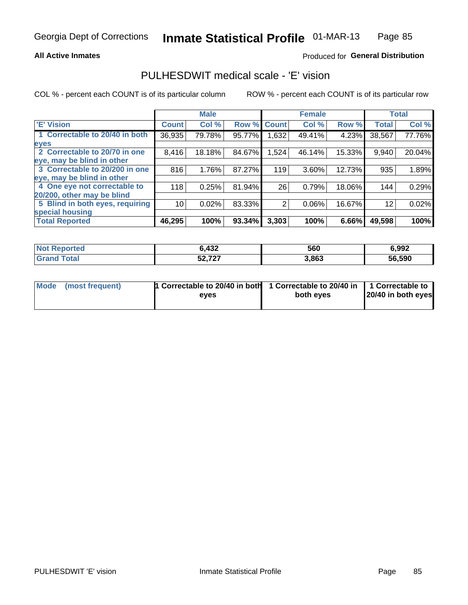#### **All Active Inmates**

### Produced for General Distribution

## PULHESDWIT medical scale - 'E' vision

COL % - percent each COUNT is of its particular column

|                                 |                 | <b>Male</b> |        |              | <b>Female</b> |        |              | <b>Total</b> |
|---------------------------------|-----------------|-------------|--------|--------------|---------------|--------|--------------|--------------|
| <b>E' Vision</b>                | <b>Count</b>    | Col %       | Row %  | <b>Count</b> | Col %         | Row %  | <b>Total</b> | Col %        |
| 1 Correctable to 20/40 in both  | 36,935          | 79.78%      | 95.77% | .632         | 49.41%        | 4.23%  | 38,567       | 77.76%       |
| eyes                            |                 |             |        |              |               |        |              |              |
| 2 Correctable to 20/70 in one   | 8,416           | 18.18%      | 84.67% | 1,524        | 46.14%        | 15.33% | 9,940        | 20.04%       |
| eye, may be blind in other      |                 |             |        |              |               |        |              |              |
| 3 Correctable to 20/200 in one  | 816             | 1.76%       | 87.27% | 119          | 3.60%         | 12.73% | 935          | 1.89%        |
| eye, may be blind in other      |                 |             |        |              |               |        |              |              |
| 4 One eye not correctable to    | 118             | 0.25%       | 81.94% | 26           | 0.79%         | 18.06% | 144          | 0.29%        |
| 20/200, other may be blind      |                 |             |        |              |               |        |              |              |
| 5 Blind in both eyes, requiring | 10 <sup>1</sup> | 0.02%       | 83.33% | 2            | 0.06%         | 16.67% | 12           | 0.02%        |
| special housing                 |                 |             |        |              |               |        |              |              |
| <b>Total Reported</b>           | 46,295          | 100%        | 93.34% | 3,303        | 100%          | 6.66%  | 49,598       | 100%         |

| <b>Not Reported</b> | ,432   | 560   | 6,992  |
|---------------------|--------|-------|--------|
| Гоtа                | 52,727 | 3,863 | 56,590 |

| Mode (most frequent) | 1 Correctable to 20/40 in both<br>eves | 1 Correctable to 20/40 in   1 Correctable to  <br>both eves | 20/40 in both eyes |
|----------------------|----------------------------------------|-------------------------------------------------------------|--------------------|
|                      |                                        |                                                             |                    |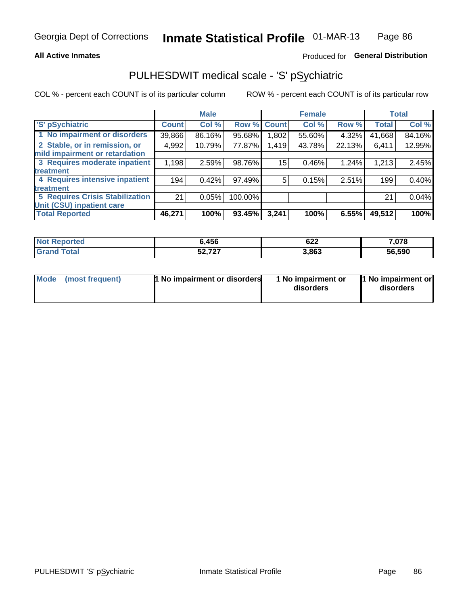#### **All Active Inmates**

### Produced for General Distribution

# PULHESDWIT medical scale - 'S' pSychiatric

COL % - percent each COUNT is of its particular column

|                                        |              | <b>Male</b> |           |                    | <b>Female</b> |        |              | <b>Total</b> |
|----------------------------------------|--------------|-------------|-----------|--------------------|---------------|--------|--------------|--------------|
| 'S' pSychiatric                        | <b>Count</b> | Col %       |           | <b>Row % Count</b> | Col %         | Row %  | <b>Total</b> | Col %        |
| 1 No impairment or disorders           | 39,866       | 86.16%      | 95.68%    | .802               | 55.60%        | 4.32%  | 41,668       | 84.16%       |
| 2 Stable, or in remission, or          | 4,992        | 10.79%      | 77.87%    | 1,419              | 43.78%        | 22.13% | 6,411        | 12.95%       |
| mild impairment or retardation         |              |             |           |                    |               |        |              |              |
| 3 Requires moderate inpatient          | 1,198        | 2.59%       | 98.76%    | 15                 | 0.46%         | 1.24%  | 1,213        | 2.45%        |
| treatment                              |              |             |           |                    |               |        |              |              |
| 4 Requires intensive inpatient         | 194          | 0.42%       | 97.49%    | 5                  | 0.15%         | 2.51%  | 199          | 0.40%        |
| treatment                              |              |             |           |                    |               |        |              |              |
| <b>5 Requires Crisis Stabilization</b> | 21           | 0.05%       | 100.00%   |                    |               |        | 21           | 0.04%        |
| Unit (CSU) inpatient care              |              |             |           |                    |               |        |              |              |
| <b>Total Reported</b>                  | 46,271       | 100%        | $93.45\%$ | 3,241              | 100%          | 6.55%  | 49,512       | 100%         |

| <b>Not Reported</b> | <b>ô,456</b>     | $\sim$<br>92Z | 7,078  |
|---------------------|------------------|---------------|--------|
| Total               | こへ フヘフ<br>34,747 | 3,863         | 56,590 |

| Mode<br>1 No impairment or disorders<br>(most frequent) | 1 No impairment or<br>disorders | 1 No impairment or<br>disorders |
|---------------------------------------------------------|---------------------------------|---------------------------------|
|---------------------------------------------------------|---------------------------------|---------------------------------|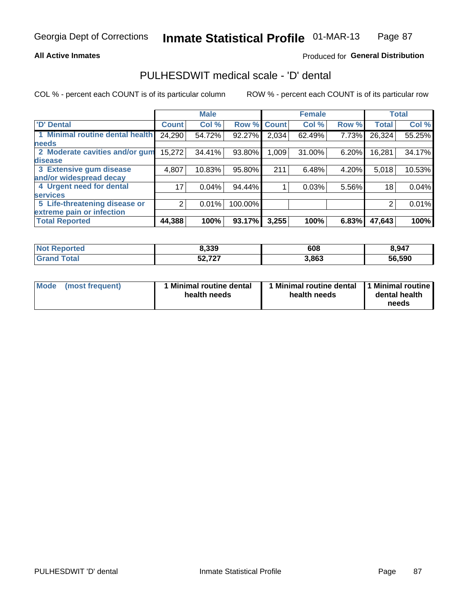#### **All Active Inmates**

### Produced for General Distribution

## PULHESDWIT medical scale - 'D' dental

COL % - percent each COUNT is of its particular column

|                                 |              | <b>Male</b> |         |              | <b>Female</b> |       |              | <b>Total</b> |
|---------------------------------|--------------|-------------|---------|--------------|---------------|-------|--------------|--------------|
| <b>D'</b> Dental                | <b>Count</b> | Col %       | Row %   | <b>Count</b> | Col %         | Row % | <b>Total</b> | Col %        |
| 1 Minimal routine dental health | 24,290       | 54.72%      | 92.27%  | 2,034        | 62.49%        | 7.73% | 26,324       | 55.25%       |
| <b>needs</b>                    |              |             |         |              |               |       |              |              |
| 2 Moderate cavities and/or gum  | 15,272       | 34.41%      | 93.80%  | 1,009        | 31.00%        | 6.20% | 16,281       | 34.17%       |
| disease                         |              |             |         |              |               |       |              |              |
| 3 Extensive gum disease         | 4,807        | 10.83%      | 95.80%  | 211          | 6.48%         | 4.20% | 5,018        | 10.53%       |
| and/or widespread decay         |              |             |         |              |               |       |              |              |
| 4 Urgent need for dental        | 17           | 0.04%       | 94.44%  |              | 0.03%         | 5.56% | 18           | 0.04%        |
| <b>services</b>                 |              |             |         |              |               |       |              |              |
| 5 Life-threatening disease or   | 2            | 0.01%       | 100.00% |              |               |       | 2            | 0.01%        |
| extreme pain or infection       |              |             |         |              |               |       |              |              |
| <b>Total Reported</b>           | 44,388       | 100%        | 93.17%  | 3,255        | 100%          | 6.83% | 47,643       | 100%         |

| <b>Not Reported</b>     | 8,339  | 608   | 8,947  |
|-------------------------|--------|-------|--------|
| <b>Total</b><br>' Grand | 52,727 | 3,863 | 56,590 |

| Mode<br><b>Minimal routine dental</b><br>(most frequent)<br>health needs | 1 Minimal routine dental<br>health needs | 1 Minimal routine<br>dental health<br>needs |
|--------------------------------------------------------------------------|------------------------------------------|---------------------------------------------|
|--------------------------------------------------------------------------|------------------------------------------|---------------------------------------------|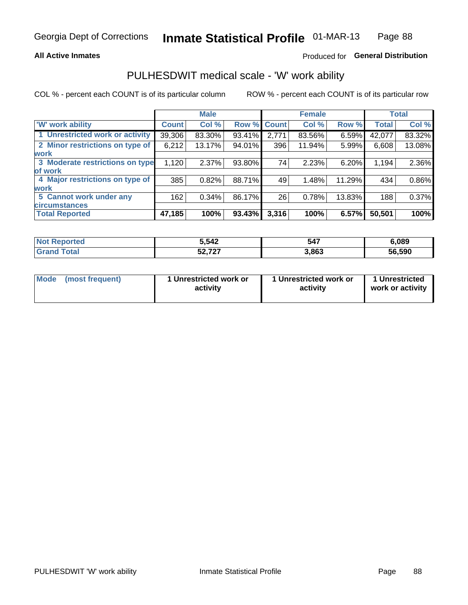#### **All Active Inmates**

### Produced for General Distribution

# PULHESDWIT medical scale - 'W' work ability

COL % - percent each COUNT is of its particular column

|                                 |              | <b>Male</b> |        |             | <b>Female</b> |        |              | <b>Total</b> |
|---------------------------------|--------------|-------------|--------|-------------|---------------|--------|--------------|--------------|
| <b>W' work ability</b>          | <b>Count</b> | Col %       |        | Row % Count | Col %         | Row %  | <b>Total</b> | Col %        |
| 1 Unrestricted work or activity | 39,306       | 83.30%      | 93.41% | 2,771       | 83.56%        | 6.59%  | 42,077       | 83.32%       |
| 2 Minor restrictions on type of | 6,212        | 13.17%      | 94.01% | 396         | 11.94%        | 5.99%  | 6,608        | 13.08%       |
| <b>work</b>                     |              |             |        |             |               |        |              |              |
| 3 Moderate restrictions on type | 1,120        | 2.37%       | 93.80% | 74          | 2.23%         | 6.20%  | 1,194        | 2.36%        |
| lof work                        |              |             |        |             |               |        |              |              |
| 4 Major restrictions on type of | 385          | 0.82%       | 88.71% | 49          | 1.48%         | 11.29% | 434          | 0.86%        |
| <b>work</b>                     |              |             |        |             |               |        |              |              |
| 5 Cannot work under any         | 162          | 0.34%       | 86.17% | 26          | 0.78%         | 13.83% | 188          | 0.37%        |
| <b>circumstances</b>            |              |             |        |             |               |        |              |              |
| <b>Total Reported</b>           | 47,185       | 100%        | 93.43% | 3,316       | 100%          | 6.57%  | 50,501       | 100%         |

| <b>Not Reported</b> | 5.542                    | 547   | 6,089  |
|---------------------|--------------------------|-------|--------|
| Total<br>na         | こへ フヘフ<br><b>J</b> Z,IZI | 3,863 | 56,590 |

| Mode (most frequent) | 1 Unrestricted work or | 1 Unrestricted work or | 1 Unrestricted   |
|----------------------|------------------------|------------------------|------------------|
|                      | activity               | activity               | work or activity |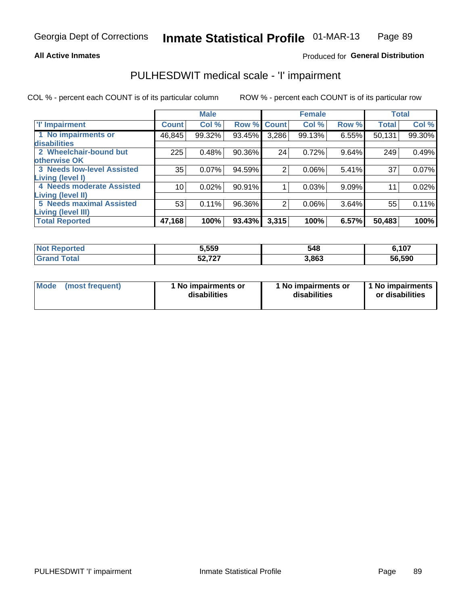#### **All Active Inmates**

#### Produced for General Distribution

# PULHESDWIT medical scale - 'I' impairment

COL % - percent each COUNT is of its particular column

|                                                              |              | <b>Male</b> |        |             | <b>Female</b> |       |              | <b>Total</b> |
|--------------------------------------------------------------|--------------|-------------|--------|-------------|---------------|-------|--------------|--------------|
| <b>T' Impairment</b>                                         | <b>Count</b> | Col %       |        | Row % Count | Col %         | Row % | <b>Total</b> | Col %        |
| 1 No impairments or<br>disabilities                          | 46,845       | 99.32%      | 93.45% | 3,286       | 99.13%        | 6.55% | 50,131       | 99.30%       |
| 2 Wheelchair-bound but<br>otherwise OK                       | 225          | 0.48%       | 90.36% | 24          | 0.72%         | 9.64% | 249          | 0.49%        |
| <b>3 Needs low-level Assisted</b><br>Living (level I)        | 35           | 0.07%       | 94.59% | 2           | 0.06%         | 5.41% | 37           | 0.07%        |
| 4 Needs moderate Assisted<br><b>Living (level II)</b>        | 10           | 0.02%       | 90.91% |             | 0.03%         | 9.09% | $1^{\circ}$  | 0.02%        |
| <b>5 Needs maximal Assisted</b><br><b>Living (level III)</b> | 53           | 0.11%       | 96.36% | 2           | 0.06%         | 3.64% | 55           | 0.11%        |
| <b>Total Reported</b>                                        | 47,168       | 100%        | 93.43% | 3,315       | 100%          | 6.57% | 50,483       | 100%         |

| orted | 5,559                        | 548   | 6,107  |
|-------|------------------------------|-------|--------|
| Tota. | $F^{\alpha}$ 707<br>JZ,<br>. | 3,863 | 56,590 |

| Mode | (most frequent) | 1 No impairments or<br>disabilities | 1 No impairments or<br>disabilities | 1 No impairments<br>or disabilities |
|------|-----------------|-------------------------------------|-------------------------------------|-------------------------------------|
|------|-----------------|-------------------------------------|-------------------------------------|-------------------------------------|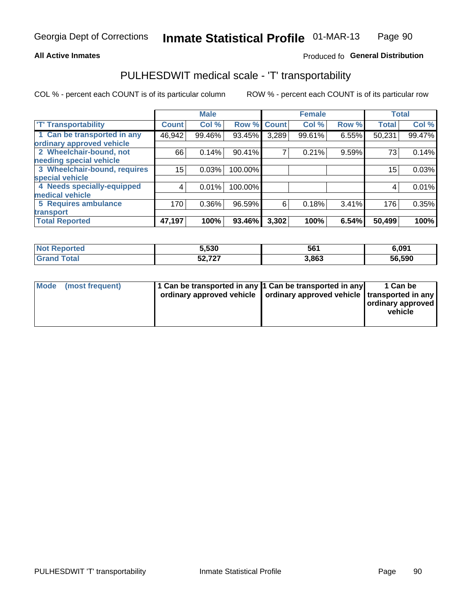#### **All Active Inmates**

### Produced fo General Distribution

# PULHESDWIT medical scale - 'T' transportability

COL % - percent each COUNT is of its particular column

|                              |              | <b>Male</b> |         |              | <b>Female</b> |       |              | <b>Total</b> |
|------------------------------|--------------|-------------|---------|--------------|---------------|-------|--------------|--------------|
| <b>T' Transportability</b>   | <b>Count</b> | Col %       | Row %   | <b>Count</b> | Col %         | Row % | <b>Total</b> | Col %        |
| 1 Can be transported in any  | 46,942       | 99.46%      | 93.45%  | 3,289        | 99.61%        | 6.55% | 50,231       | 99.47%       |
| ordinary approved vehicle    |              |             |         |              |               |       |              |              |
| 2 Wheelchair-bound, not      | 66           | 0.14%       | 90.41%  | 7            | 0.21%         | 9.59% | 73           | 0.14%        |
| needing special vehicle      |              |             |         |              |               |       |              |              |
| 3 Wheelchair-bound, requires | 15           | 0.03%       | 100.00% |              |               |       | 15           | 0.03%        |
| special vehicle              |              |             |         |              |               |       |              |              |
| 4 Needs specially-equipped   | 4            | 0.01%       | 100.00% |              |               |       | 4            | 0.01%        |
| medical vehicle              |              |             |         |              |               |       |              |              |
| <b>5 Requires ambulance</b>  | 170          | 0.36%       | 96.59%  | 6            | 0.18%         | 3.41% | 176          | 0.35%        |
| transport                    |              |             |         |              |               |       |              |              |
| <b>Total Reported</b>        | 47,197       | 100%        | 93.46%  | 3,302        | 100%          | 6.54% | 50,499       | 100%         |

| Reported<br>NOT | 5,530                 | 561   | 6,091  |
|-----------------|-----------------------|-------|--------|
| <b>Tota</b>     | $E_2 = 727$<br>34.IZI | 3,863 | 56,590 |

|  | Mode (most frequent) | 1 Can be transported in any 1 Can be transported in any<br>ordinary approved vehicle   ordinary approved vehicle   transported in any |  | 1 Can be<br>  ordinary approved  <br>vehicle |
|--|----------------------|---------------------------------------------------------------------------------------------------------------------------------------|--|----------------------------------------------|
|--|----------------------|---------------------------------------------------------------------------------------------------------------------------------------|--|----------------------------------------------|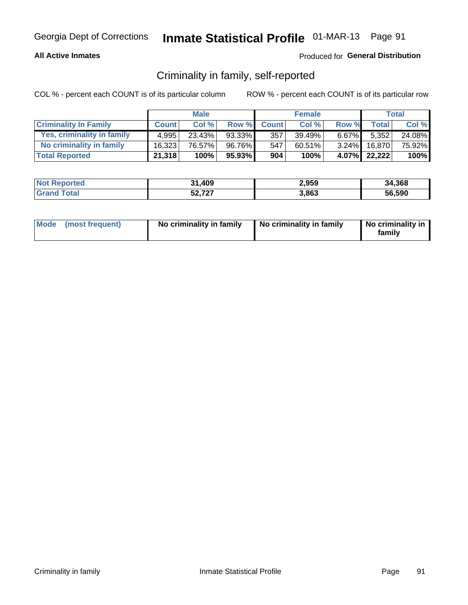#### **All Active Inmates**

#### Produced for General Distribution

## Criminality in family, self-reported

COL % - percent each COUNT is of its particular column

|                              |              | <b>Male</b> |        |              | <b>Female</b> |          |              | <b>Total</b> |
|------------------------------|--------------|-------------|--------|--------------|---------------|----------|--------------|--------------|
| <b>Criminality In Family</b> | <b>Count</b> | Col%        | Row %  | <b>Count</b> | Col %         | Row %    | Total        | Col %        |
| Yes, criminality in family   | 4.995        | 23.43%      | 93.33% | 357          | 39.49%        | $6.67\%$ | 5,352        | 24.08%       |
| No criminality in family     | 16.323       | 76.57%      | 96.76% | 547          | $60.51\%$     | $3.24\%$ | 16.870       | 75.92%       |
| <b>Total Reported</b>        | 21,318       | 100%        | 95.93% | 904          | 100%          |          | 4.07% 22,222 | 100%         |

| <b>Not Reported</b> | 31,409 | 2,959 | 34,368 |
|---------------------|--------|-------|--------|
| ⊺otai               | 52,727 | 3,863 | 56.590 |

|  | Mode (most frequent) | No criminality in family | No criminality in family | No criminality in<br>family |
|--|----------------------|--------------------------|--------------------------|-----------------------------|
|--|----------------------|--------------------------|--------------------------|-----------------------------|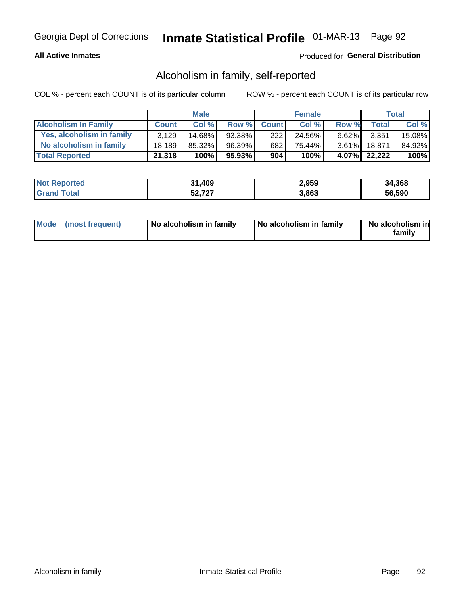#### **All Active Inmates**

### Produced for General Distribution

## Alcoholism in family, self-reported

COL % - percent each COUNT is of its particular column

|                             |              | <b>Male</b> |        |              | <b>Female</b> |          |              | Total   |
|-----------------------------|--------------|-------------|--------|--------------|---------------|----------|--------------|---------|
| <b>Alcoholism In Family</b> | <b>Count</b> | Col%        | Row %  | <b>Count</b> | Col%          | Row %    | <b>Total</b> | Col %   |
| Yes, alcoholism in family   | 3.129        | 14.68%      | 93.38% | 222          | 24.56%        | $6.62\%$ | 3,351        | 15.08%  |
| No alcoholism in family     | 18.189       | 85.32%      | 96.39% | 682          | 75.44%        | $3.61\%$ | 18.871       | 84.92%  |
| <b>Total Reported</b>       | 21,318       | 100%        | 95.93% | 904          | 100%          |          | 4.07% 22,222 | $100\%$ |

| <b>Not Reported</b> | 31,409 | 2,959 | 34,368 |
|---------------------|--------|-------|--------|
| ⊺otai               | 52,727 | 3,863 | 56.590 |

|  | Mode (most frequent) | No alcoholism in family | No alcoholism in family | No alcoholism in<br>family |
|--|----------------------|-------------------------|-------------------------|----------------------------|
|--|----------------------|-------------------------|-------------------------|----------------------------|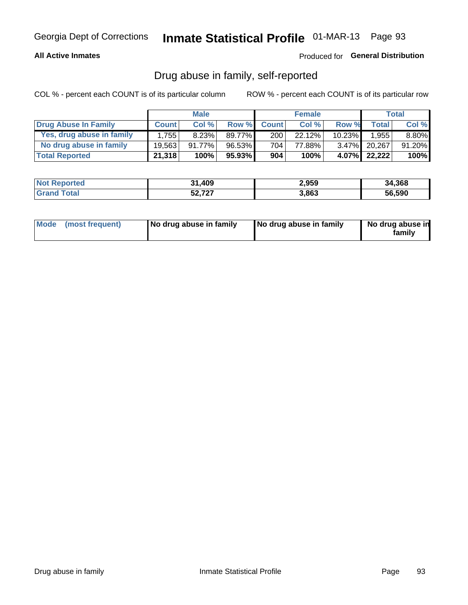#### **All Active Inmates**

### Produced for General Distribution

## Drug abuse in family, self-reported

COL % - percent each COUNT is of its particular column

|                           |              | <b>Male</b> |           |                  | <b>Female</b> |           |              | <b>Total</b> |
|---------------------------|--------------|-------------|-----------|------------------|---------------|-----------|--------------|--------------|
| Drug Abuse In Family      | <b>Count</b> | Col%        | Row %     | <b>Count</b>     | Col%          | Row %     | <b>Total</b> | Col %        |
| Yes, drug abuse in family | 1.755        | 8.23%       | 89.77%    | 200 <sub>1</sub> | 22.12%        | $10.23\%$ | 1,955        | 8.80%        |
| No drug abuse in family   | 19.563       | $91.77\%$   | 96.53%    | 704              | 77.88%        | $3.47\%$  | 20.267       | 91.20%       |
| <b>Total Reported</b>     | 21,318       | 100%        | $95.93\%$ | 904              | 100%          | 4.07%     | 22,222       | 100%         |

| <b>Not Reported</b> | 31,409 | 2,959 | 34,368 |
|---------------------|--------|-------|--------|
| ⊺otai               | 52,727 | 3,863 | 56.590 |

|  | Mode (most frequent) | No drug abuse in family | No drug abuse in family | No drug abuse in<br>familv |
|--|----------------------|-------------------------|-------------------------|----------------------------|
|--|----------------------|-------------------------|-------------------------|----------------------------|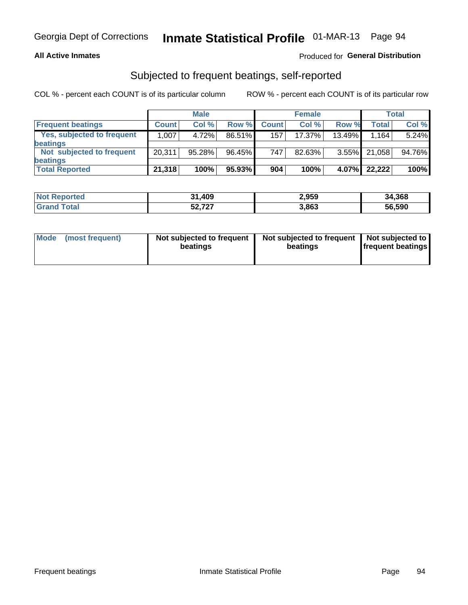#### **All Active Inmates**

### Produced for General Distribution

## Subjected to frequent beatings, self-reported

COL % - percent each COUNT is of its particular column

|                                   |              | <b>Male</b> |        |              | <b>Female</b> |           |        | Total  |
|-----------------------------------|--------------|-------------|--------|--------------|---------------|-----------|--------|--------|
| <b>Frequent beatings</b>          | <b>Count</b> | Col %       | Row %  | <b>Count</b> | Col %         | Row %     | Total  | Col %  |
| <b>Yes, subjected to frequent</b> | 1.007        | 4.72%       | 86.51% | 157          | 17.37%        | $13.49\%$ | 1,164  | 5.24%  |
| <b>beatings</b>                   |              |             |        |              |               |           |        |        |
| Not subjected to frequent         | 20,311       | 95.28%      | 96.45% | 747          | 82.63%        | $3.55\%$  | 21,058 | 94.76% |
| <b>beatings</b>                   |              |             |        |              |               |           |        |        |
| <b>Total Reported</b>             | 21,318       | 100%        | 95.93% | 904          | 100%          | 4.07%     | 22,222 | 100%   |

| <b>Not</b><br>Reported | 31,409 | 2,959 | 34,368 |
|------------------------|--------|-------|--------|
| Total                  | 52,727 | 3,863 | 56,590 |

| (most frequent)<br>Not subjected to frequent<br><b>Mode</b><br>beatings | Not subjected to frequent   Not subjected to<br>beatings | <b>frequent beatings</b> |
|-------------------------------------------------------------------------|----------------------------------------------------------|--------------------------|
|-------------------------------------------------------------------------|----------------------------------------------------------|--------------------------|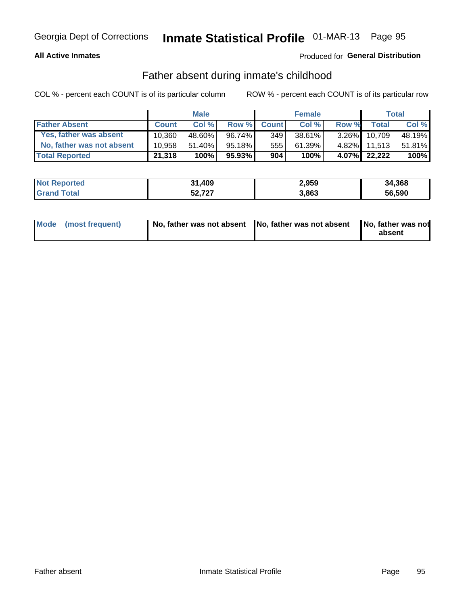#### **All Active Inmates**

### Produced for General Distribution

## Father absent during inmate's childhood

COL % - percent each COUNT is of its particular column

|                           |              | <b>Male</b> |           |              | <b>Female</b> |          |              | Total  |
|---------------------------|--------------|-------------|-----------|--------------|---------------|----------|--------------|--------|
| <b>Father Absent</b>      | <b>Count</b> | Col%        | Row %     | <b>Count</b> | Col %         | Row %    | <b>Total</b> | Col %  |
| Yes, father was absent    | 10.360       | 48.60%      | 96.74%    | 349          | 38.61%        | $3.26\%$ | 10.709       | 48.19% |
| No, father was not absent | 10.958       | 51.40%      | $95.18\%$ | 555          | 61.39%        |          | 4.82% 11,513 | 51.81% |
| <b>Total Reported</b>     | 21,318       | 100%        | $95.93\%$ | 904          | 100%          | $4.07\%$ | 22,222       | 100%   |

| <b>Not Reported</b> | 31,409 | 2,959 | 34,368 |
|---------------------|--------|-------|--------|
| <b>Srand Total</b>  | 52,727 | 3,863 | 56,590 |

|  | Mode (most frequent) |  | No, father was not absent No, father was not absent No, father was not | absent |
|--|----------------------|--|------------------------------------------------------------------------|--------|
|--|----------------------|--|------------------------------------------------------------------------|--------|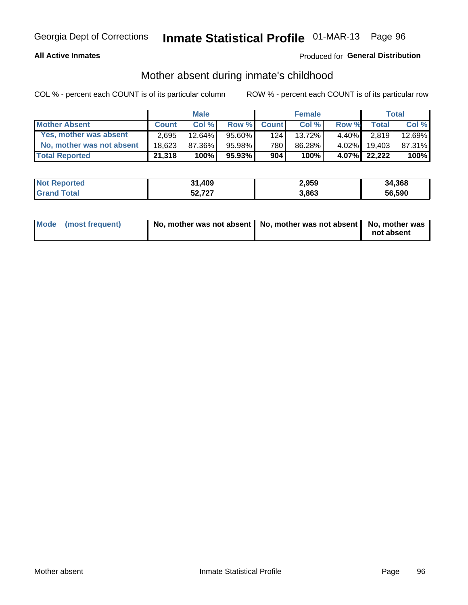#### **All Active Inmates**

#### Produced for General Distribution

## Mother absent during inmate's childhood

COL % - percent each COUNT is of its particular column

|                           | <b>Male</b>  |        |           | <b>Female</b> |        |          | <b>Total</b> |        |
|---------------------------|--------------|--------|-----------|---------------|--------|----------|--------------|--------|
| <b>Mother Absent</b>      | <b>Count</b> | Col%   | Row %     | <b>Count</b>  | Col %  | Row %    | <b>Total</b> | Col %  |
| Yes, mother was absent    | 2,695        | 12.64% | $95.60\%$ | 124           | 13.72% | $4.40\%$ | 2.819        | 12.69% |
| No, mother was not absent | 18.623       | 87.36% | 95.98%    | 780           | 86.28% | $4.02\%$ | 19.403       | 87.31% |
| <b>Total Reported</b>     | 21,318       | 100%   | $95.93\%$ | 904           | 100%   |          | 4.07% 22,222 | 100%   |

| <b>Not Reported</b> | 31,409 | 2,959 | 34,368 |
|---------------------|--------|-------|--------|
| iotal               | 52,727 | 3,863 | 56.590 |

| Mode (most frequent) | No, mother was not absent   No, mother was not absent   No, mother was | not absent |
|----------------------|------------------------------------------------------------------------|------------|
|                      |                                                                        |            |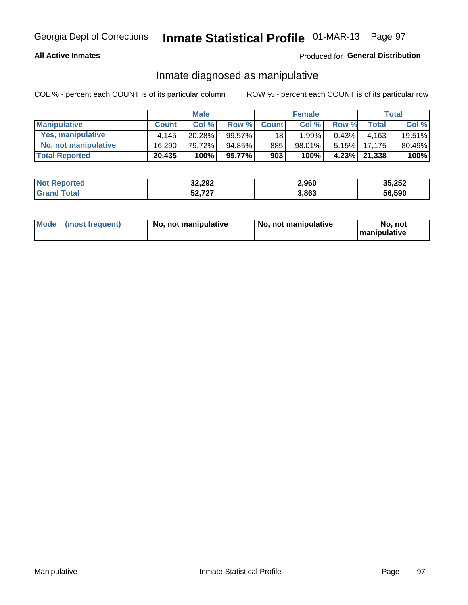#### **All Active Inmates**

### Produced for General Distribution

## Inmate diagnosed as manipulative

COL % - percent each COUNT is of its particular column

|                       | <b>Male</b>  |        |        | <b>Female</b>   |          |          | Total        |        |
|-----------------------|--------------|--------|--------|-----------------|----------|----------|--------------|--------|
| <b>Manipulative</b>   | <b>Count</b> | Col %  | Row %  | <b>Count</b>    | Col%     | Row %    | <b>Total</b> | Col %  |
| Yes, manipulative     | 4.145        | 20.28% | 99.57% | 18 <sup>1</sup> | $1.99\%$ | $0.43\%$ | 4.163        | 19.51% |
| No, not manipulative  | 16,290       | 79.72% | 94.85% | 885             | 98.01%   | $5.15\%$ | 17.175       | 80.49% |
| <b>Total Reported</b> | 20,435       | 100%   | 95.77% | 903             | 100%     | $4.23\%$ | 21,338       | 100%   |

| <b>Not Reported</b>    | 32,292 | 2,960 | 35,252 |
|------------------------|--------|-------|--------|
| <b>'</b> Gran⊾<br>`ota | 52,727 | 3,863 | 56,590 |

|  | Mode (most frequent) | No, not manipulative | , No, not manipulative | No. not<br><b>I</b> manipulative |
|--|----------------------|----------------------|------------------------|----------------------------------|
|--|----------------------|----------------------|------------------------|----------------------------------|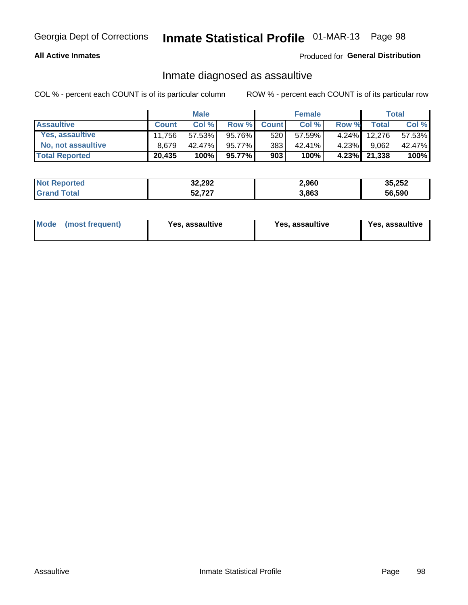#### **All Active Inmates**

Produced for General Distribution

## Inmate diagnosed as assaultive

COL % - percent each COUNT is of its particular column

|                        | <b>Male</b>  |        | <b>Female</b> |              |        | Total    |              |        |
|------------------------|--------------|--------|---------------|--------------|--------|----------|--------------|--------|
| <b>Assaultive</b>      | <b>Count</b> | Col%   | Row %         | <b>Count</b> | Col %  | Row %    | <b>Total</b> | Col %  |
| <b>Yes, assaultive</b> | 11.756       | 57.53% | 95.76%        | 520          | 57.59% | $4.24\%$ | 12.276       | 57.53% |
| No, not assaultive     | 8.679        | 42.47% | 95.77%        | 383          | 42.41% | $4.23\%$ | 9,062        | 42.47% |
| <b>Total Reported</b>  | 20,435       | 100%   | 95.77%        | 903          | 100%   |          | 4.23% 21,338 | 100%   |

| <b>Not</b><br>Reported | 32,292 | 2,960 | 35,252 |
|------------------------|--------|-------|--------|
| <b>ota</b>             | 52,727 | 3,863 | 56,590 |

| Mode<br>(most frequent) | Yes, assaultive | Yes, assaultive | <b>Yes, assaultive</b> |
|-------------------------|-----------------|-----------------|------------------------|
|-------------------------|-----------------|-----------------|------------------------|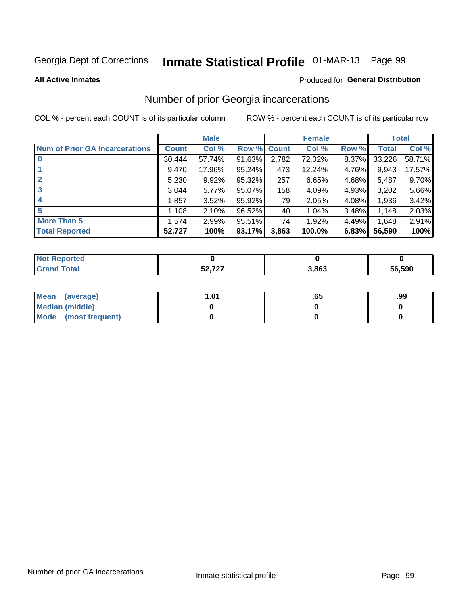# Inmate Statistical Profile 01-MAR-13 Page 99

**All Active Inmates** 

#### **Produced for General Distribution**

## Number of prior Georgia incarcerations

COL % - percent each COUNT is of its particular column

|                                       |              | <b>Male</b> |             |       | <b>Female</b> |       |        | <b>Total</b> |
|---------------------------------------|--------------|-------------|-------------|-------|---------------|-------|--------|--------------|
| <b>Num of Prior GA Incarcerations</b> | <b>Count</b> | Col %       | Row % Count |       | Col %         | Row % | Total  | Col %        |
|                                       | 30,444       | 57.74%      | 91.63%      | 2,782 | 72.02%        | 8.37% | 33,226 | 58.71%       |
|                                       | 9,470        | 17.96%      | $95.24\%$   | 473   | 12.24%        | 4.76% | 9,943  | 17.57%       |
| $\overline{2}$                        | 5,230        | 9.92%       | 95.32%      | 257   | 6.65%         | 4.68% | 5,487  | 9.70%        |
| 3                                     | 3,044        | 5.77%       | $95.07\%$   | 158   | 4.09%         | 4.93% | 3,202  | 5.66%        |
| $\boldsymbol{4}$                      | 1,857        | 3.52%       | 95.92%      | 79    | 2.05%         | 4.08% | 1,936  | 3.42%        |
| 5                                     | 1,108        | 2.10%       | 96.52%      | 40    | 1.04%         | 3.48% | 1,148  | 2.03%        |
| <b>More Than 5</b>                    | 1,574        | 2.99%       | $95.51\%$   | 74    | 1.92%         | 4.49% | 1.648  | 2.91%        |
| <b>Total Reported</b>                 | 52,727       | 100%        | 93.17%      | 3,863 | 100.0%        | 6.83% | 56,590 | 100%         |

| orted<br>N |                            |       |        |
|------------|----------------------------|-------|--------|
| 'ota.      | <b>50.707</b><br>JL, I L I | 3,863 | 56.590 |

| Mean (average)       | l.01 | כס. | .99 |
|----------------------|------|-----|-----|
| Median (middle)      |      |     |     |
| Mode (most frequent) |      |     |     |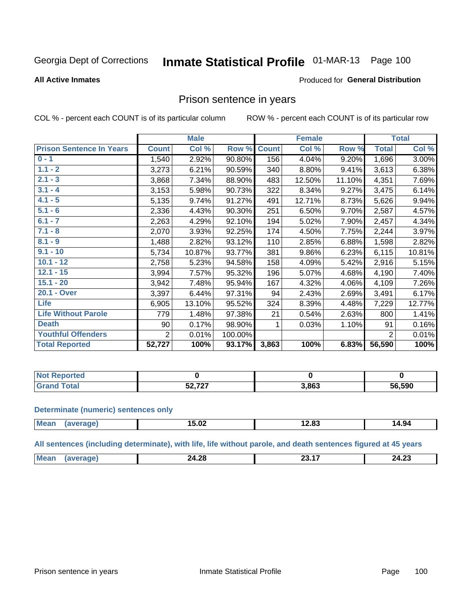# Inmate Statistical Profile 01-MAR-13 Page 100

#### **All Active Inmates**

#### Produced for General Distribution

### Prison sentence in years

COL % - percent each COUNT is of its particular column

ROW % - percent each COUNT is of its particular row

|                                 | <b>Male</b>  |        |         | <b>Female</b> |        |        | <b>Total</b>   |        |
|---------------------------------|--------------|--------|---------|---------------|--------|--------|----------------|--------|
| <b>Prison Sentence In Years</b> | <b>Count</b> | Col %  | Row %   | <b>Count</b>  | Col %  | Row %  | <b>Total</b>   | Col %  |
| $0 - 1$                         | 1,540        | 2.92%  | 90.80%  | 156           | 4.04%  | 9.20%  | 1,696          | 3.00%  |
| $1.1 - 2$                       | 3,273        | 6.21%  | 90.59%  | 340           | 8.80%  | 9.41%  | 3,613          | 6.38%  |
| $2.1 - 3$                       | 3,868        | 7.34%  | 88.90%  | 483           | 12.50% | 11.10% | 4,351          | 7.69%  |
| $3.1 - 4$                       | 3,153        | 5.98%  | 90.73%  | 322           | 8.34%  | 9.27%  | 3,475          | 6.14%  |
| $4.1 - 5$                       | 5,135        | 9.74%  | 91.27%  | 491           | 12.71% | 8.73%  | 5,626          | 9.94%  |
| $5.1 - 6$                       | 2,336        | 4.43%  | 90.30%  | 251           | 6.50%  | 9.70%  | 2,587          | 4.57%  |
| $6.1 - 7$                       | 2,263        | 4.29%  | 92.10%  | 194           | 5.02%  | 7.90%  | 2,457          | 4.34%  |
| $7.1 - 8$                       | 2,070        | 3.93%  | 92.25%  | 174           | 4.50%  | 7.75%  | 2,244          | 3.97%  |
| $8.1 - 9$                       | 1,488        | 2.82%  | 93.12%  | 110           | 2.85%  | 6.88%  | 1,598          | 2.82%  |
| $9.1 - 10$                      | 5,734        | 10.87% | 93.77%  | 381           | 9.86%  | 6.23%  | 6,115          | 10.81% |
| $10.1 - 12$                     | 2,758        | 5.23%  | 94.58%  | 158           | 4.09%  | 5.42%  | 2,916          | 5.15%  |
| $12.1 - 15$                     | 3,994        | 7.57%  | 95.32%  | 196           | 5.07%  | 4.68%  | 4,190          | 7.40%  |
| $15.1 - 20$                     | 3,942        | 7.48%  | 95.94%  | 167           | 4.32%  | 4.06%  | 4,109          | 7.26%  |
| 20.1 - Over                     | 3,397        | 6.44%  | 97.31%  | 94            | 2.43%  | 2.69%  | 3,491          | 6.17%  |
| <b>Life</b>                     | 6,905        | 13.10% | 95.52%  | 324           | 8.39%  | 4.48%  | 7,229          | 12.77% |
| <b>Life Without Parole</b>      | 779          | 1.48%  | 97.38%  | 21            | 0.54%  | 2.63%  | 800            | 1.41%  |
| <b>Death</b>                    | 90           | 0.17%  | 98.90%  |               | 0.03%  | 1.10%  | 91             | 0.16%  |
| <b>Youthful Offenders</b>       | 2            | 0.01%  | 100.00% |               |        |        | $\overline{2}$ | 0.01%  |
| <b>Total Reported</b>           | 52,727       | 100%   | 93.17%  | 3,863         | 100%   | 6.83%  | 56,590         | 100%   |

| oorted<br><b>NOT</b> |             |       |        |
|----------------------|-------------|-------|--------|
|                      | - 707<br>-- | 3,863 | 56,590 |

#### **Determinate (numeric) sentences only**

| <b>Mea</b> | <b>F 00</b><br>15.UZ | .<br>___ | 14.94 |
|------------|----------------------|----------|-------|
|            |                      |          |       |

All sentences (including determinate), with life, life without parole, and death sentences figured at 45 years

| <b>Me</b><br>$\sim$<br>ne.<br>n n<br>$\sim$<br>7Л<br>–4.ZO<br>27.LJ<br>.<br>______ |  |  |  |
|------------------------------------------------------------------------------------|--|--|--|
|                                                                                    |  |  |  |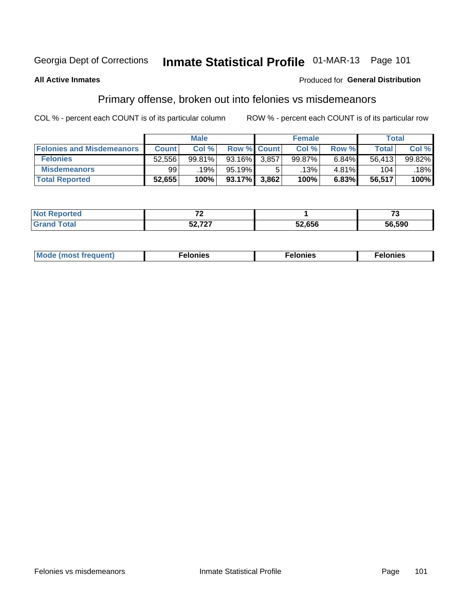# Inmate Statistical Profile 01-MAR-13 Page 101

#### **All Active Inmates**

#### Produced for General Distribution

## Primary offense, broken out into felonies vs misdemeanors

COL % - percent each COUNT is of its particular column

|                                  | <b>Male</b>  |        |           | <b>Female</b>      |        |       | Total  |        |
|----------------------------------|--------------|--------|-----------|--------------------|--------|-------|--------|--------|
| <b>Felonies and Misdemeanors</b> | <b>Count</b> | Col%   |           | <b>Row % Count</b> | Col%   | Row % | Total, | Col %  |
| <b>Felonies</b>                  | 52,556       | 99.81% | 93.16%    | 3.857              | 99.87% | 6.84% | 56.413 | 99.82% |
| <b>Misdemeanors</b>              | 99           | 19%    | 95.19%    |                    | .13% ' | 4.81% | 104    | 18%    |
| <b>Total Reported</b>            | 52,655       | 100%   | $93.17\%$ | 3,862              | 100%   | 6.83% | 56,517 | 100%   |

| <b>Not</b><br><b>eported</b> | $\sim$    |        | ູ      |
|------------------------------|-----------|--------|--------|
| Grar<br>™otar                | $-0 - -0$ | 52,656 | 56.590 |

| Mo | ____ | 11 C.S<br>. | onies<br>. |
|----|------|-------------|------------|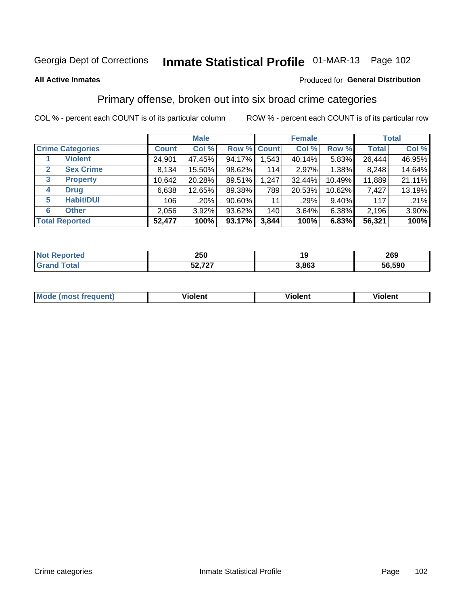# Georgia Dept of Corrections **Inmate Statistical Profile** 01-MAR-13 Page 102

#### **All Active Inmates**

#### Produced for **General Distribution**

## Primary offense, broken out into six broad crime categories

COL % - percent each COUNT is of its particular column ROW % - percent each COUNT is of its particular row

|                                 | <b>Male</b>  |        |           | <b>Female</b> |        |          | <b>Total</b> |        |
|---------------------------------|--------------|--------|-----------|---------------|--------|----------|--------------|--------|
| <b>Crime Categories</b>         | <b>Count</b> | Col %  |           | Row % Count   | Col %  | Row %    | <b>Total</b> | Col %  |
| <b>Violent</b>                  | 24,901       | 47.45% | 94.17%    | 1,543         | 40.14% | 5.83%    | 26,444       | 46.95% |
| <b>Sex Crime</b><br>2           | 8,134        | 15.50% | 98.62%    | 114           | 2.97%  | 1.38%    | 8,248        | 14.64% |
| $\mathbf{3}$<br><b>Property</b> | 10,642       | 20.28% | 89.51%    | 1,247         | 32.44% | 10.49%   | 11,889       | 21.11% |
| <b>Drug</b><br>4                | 6,638        | 12.65% | 89.38%    | 789           | 20.53% | 10.62%   | 7,427        | 13.19% |
| <b>Habit/DUI</b><br>5           | 106          | .20%   | $90.60\%$ | 11            | .29%   | $9.40\%$ | 117          | .21%   |
| <b>Other</b><br>6               | 2,056        | 3.92%  | 93.62%    | 140           | 3.64%  | 6.38%    | 2,196        | 3.90%  |
| <b>Total Reported</b>           | 52,477       | 100%   | 93.17%    | 3,844         | 100%   | 6.83%    | 56,321       | 100%   |

| <b>orted</b><br>NO | 250                   | 40    | 269    |
|--------------------|-----------------------|-------|--------|
| $F$ ntal<br>υιαι   | $E_2 = 727$<br>34.IZI | 3,863 | 56,590 |

| Mo<br>uent)<br>nos | .<br>/iolent | <br>Violent | - --<br><b>Tiolent</b> |
|--------------------|--------------|-------------|------------------------|
|                    |              |             |                        |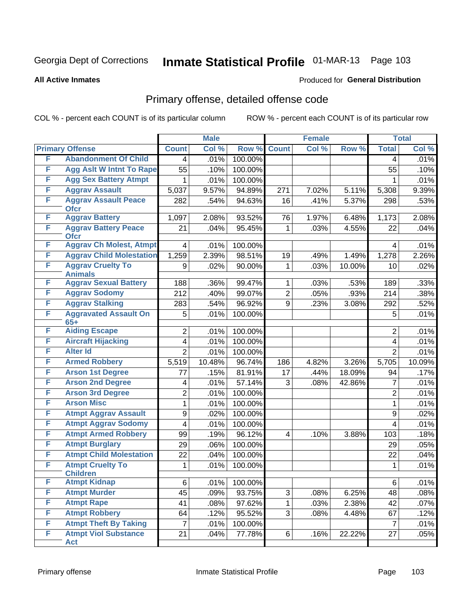# Georgia Dept of Corrections **Inmate Statistical Profile** 01-MAR-13 Page 103

#### **All Active Inmates**

#### Produced for **General Distribution**

## Primary offense, detailed offense code

COL % - percent each COUNT is of its particular column ROW % - percent each COUNT is of its particular row

|   |                                            |                | <b>Male</b> |         |                         | <b>Female</b> |        |                  | <b>Total</b> |
|---|--------------------------------------------|----------------|-------------|---------|-------------------------|---------------|--------|------------------|--------------|
|   | <b>Primary Offense</b>                     | <b>Count</b>   | Col %       | Row %   | <b>Count</b>            | Col %         | Row %  | <b>Total</b>     | Col %        |
| F | <b>Abandonment Of Child</b>                | 4              | .01%        | 100.00% |                         |               |        | $\overline{4}$   | .01%         |
| F | <b>Agg Aslt W Intnt To Rape</b>            | 55             | .10%        | 100.00% |                         |               |        | 55               | .10%         |
| F | <b>Agg Sex Battery Atmpt</b>               | 1              | .01%        | 100.00% |                         |               |        |                  | .01%         |
| F | <b>Aggrav Assault</b>                      | 5,037          | 9.57%       | 94.89%  | 271                     | 7.02%         | 5.11%  | 5,308            | 9.39%        |
| F | <b>Aggrav Assault Peace</b><br><b>Ofcr</b> | 282            | .54%        | 94.63%  | 16                      | .41%          | 5.37%  | 298              | .53%         |
| F | <b>Aggrav Battery</b>                      | 1,097          | 2.08%       | 93.52%  | 76                      | 1.97%         | 6.48%  | 1,173            | 2.08%        |
| F | <b>Aggrav Battery Peace</b><br><b>Ofcr</b> | 21             | .04%        | 95.45%  | 1                       | .03%          | 4.55%  | 22               | .04%         |
| F | <b>Aggrav Ch Molest, Atmpt</b>             | 4              | .01%        | 100.00% |                         |               |        | 4                | .01%         |
| F | <b>Aggrav Child Molestation</b>            | 1,259          | 2.39%       | 98.51%  | 19                      | .49%          | 1.49%  | 1,278            | 2.26%        |
| F | <b>Aggrav Cruelty To</b><br><b>Animals</b> | 9              | .02%        | 90.00%  | 1                       | .03%          | 10.00% | 10               | .02%         |
| F | <b>Aggrav Sexual Battery</b>               | 188            | .36%        | 99.47%  | 1                       | .03%          | .53%   | 189              | .33%         |
| F | <b>Aggrav Sodomy</b>                       | 212            | .40%        | 99.07%  | $\overline{2}$          | .05%          | .93%   | $\overline{2}14$ | .38%         |
| F | <b>Aggrav Stalking</b>                     | 283            | .54%        | 96.92%  | 9                       | .23%          | 3.08%  | 292              | .52%         |
| F | <b>Aggravated Assault On</b><br>$65+$      | 5              | .01%        | 100.00% |                         |               |        | 5                | .01%         |
| F | <b>Aiding Escape</b>                       | 2              | .01%        | 100.00% |                         |               |        | $\overline{2}$   | .01%         |
| F | <b>Aircraft Hijacking</b>                  | 4              | .01%        | 100.00% |                         |               |        | 4                | .01%         |
| F | <b>Alter Id</b>                            | $\overline{2}$ | .01%        | 100.00% |                         |               |        | $\overline{2}$   | .01%         |
| F | <b>Armed Robbery</b>                       | 5,519          | 10.48%      | 96.74%  | 186                     | 4.82%         | 3.26%  | 5,705            | 10.09%       |
| F | <b>Arson 1st Degree</b>                    | 77             | .15%        | 81.91%  | 17                      | .44%          | 18.09% | 94               | .17%         |
| F | <b>Arson 2nd Degree</b>                    | 4              | .01%        | 57.14%  | 3                       | .08%          | 42.86% | $\overline{7}$   | .01%         |
| F | <b>Arson 3rd Degree</b>                    | $\overline{2}$ | .01%        | 100.00% |                         |               |        | $\overline{2}$   | .01%         |
| F | <b>Arson Misc</b>                          | 1              | .01%        | 100.00% |                         |               |        | $\mathbf{1}$     | .01%         |
| F | <b>Atmpt Aggrav Assault</b>                | 9              | .02%        | 100.00% |                         |               |        | 9                | .02%         |
| F | <b>Atmpt Aggrav Sodomy</b>                 | 4              | .01%        | 100.00% |                         |               |        | 4                | .01%         |
| F | <b>Atmpt Armed Robbery</b>                 | 99             | .19%        | 96.12%  | $\overline{\mathbf{4}}$ | .10%          | 3.88%  | 103              | .18%         |
| F | <b>Atmpt Burglary</b>                      | 29             | .06%        | 100.00% |                         |               |        | 29               | .05%         |
| F | <b>Atmpt Child Molestation</b>             | 22             | .04%        | 100.00% |                         |               |        | 22               | .04%         |
| F | <b>Atmpt Cruelty To</b><br><b>Children</b> | 1              | .01%        | 100.00% |                         |               |        | $\mathbf 1$      | .01%         |
| F | <b>Atmpt Kidnap</b>                        | 6              | .01%        | 100.00% |                         |               |        | 6                | .01%         |
| F | <b>Atmpt Murder</b>                        | 45             | .09%        | 93.75%  | 3                       | .08%          | 6.25%  | 48               | .08%         |
| F | <b>Atmpt Rape</b>                          | 41             | .08%        | 97.62%  | $\mathbf 1$             | .03%          | 2.38%  | 42               | .07%         |
| F | <b>Atmpt Robbery</b>                       | 64             | .12%        | 95.52%  | 3 <sup>1</sup>          | .08%          | 4.48%  | 67               | .12%         |
| F | <b>Atmpt Theft By Taking</b>               | $\overline{7}$ | .01%        | 100.00% |                         |               |        | 7                | .01%         |
| F | <b>Atmpt Viol Substance</b><br><b>Act</b>  | 21             | .04%        | 77.78%  | 6                       | .16%          | 22.22% | 27               | .05%         |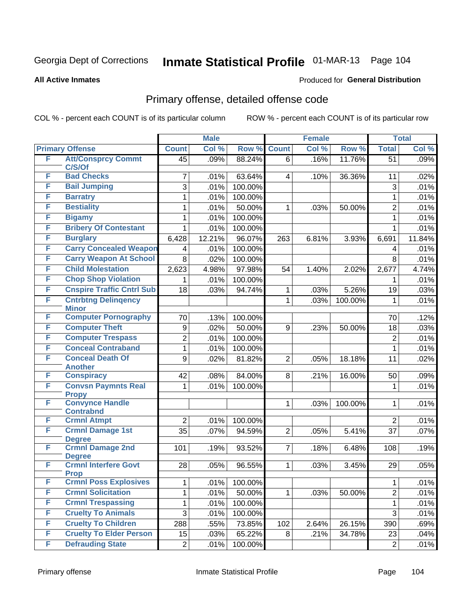#### **All Active Inmates**

### Produced for **General Distribution**

## Primary offense, detailed offense code

|   |                                             |                 | <b>Male</b>  |                    |                | <b>Female</b> |         |                     | <b>Total</b> |
|---|---------------------------------------------|-----------------|--------------|--------------------|----------------|---------------|---------|---------------------|--------------|
|   | <b>Primary Offense</b>                      | <b>Count</b>    | Col %        | Row %              | <b>Count</b>   | Col %         | Row %   | <b>Total</b>        | Col %        |
| F | <b>Att/Consprcy Commt</b><br>C/S/Of         | $\overline{45}$ | .09%         | 88.24%             | 6              | .16%          | 11.76%  | $\overline{51}$     | .09%         |
| F | <b>Bad Checks</b>                           | 7               | .01%         | 63.64%             | 4              | .10%          | 36.36%  | 11                  | .02%         |
| F | <b>Bail Jumping</b>                         | 3               | .01%         | 100.00%            |                |               |         | 3                   | .01%         |
| F | <b>Barratry</b>                             | 1               | .01%         | 100.00%            |                |               |         | $\mathbf{1}$        | .01%         |
| F | <b>Bestiality</b>                           | 1               | .01%         | 50.00%             | 1              | .03%          | 50.00%  | $\overline{2}$      | .01%         |
| F | <b>Bigamy</b>                               | 1               | .01%         | 100.00%            |                |               |         | $\mathbf{1}$        | .01%         |
| F | <b>Bribery Of Contestant</b>                | 1               | .01%         | 100.00%            |                |               |         | $\mathbf{1}$        | .01%         |
| F | <b>Burglary</b>                             | 6,428           | 12.21%       | 96.07%             | 263            | 6.81%         | 3.93%   | 6,691               | 11.84%       |
| F | <b>Carry Concealed Weapon</b>               | 4               | .01%         | 100.00%            |                |               |         | 4                   | .01%         |
| F | <b>Carry Weapon At School</b>               | 8               | .02%         | 100.00%            |                |               |         | 8                   | .01%         |
| F | <b>Child Molestation</b>                    | 2,623           | 4.98%        | 97.98%             | 54             | 1.40%         | 2.02%   | 2,677               | 4.74%        |
| F | <b>Chop Shop Violation</b>                  | 1               | .01%         | 100.00%            |                |               |         | 1                   | .01%         |
| F | <b>Cnspire Traffic Cntrl Sub</b>            | 18              | .03%         | 94.74%             | 1              | .03%          | 5.26%   | 19                  | .03%         |
| F | <b>Cntrbtng Delingency</b><br><b>Minor</b>  |                 |              |                    | $\mathbf{1}$   | .03%          | 100.00% | 1                   | .01%         |
| F | <b>Computer Pornography</b>                 | 70              | .13%         | 100.00%            |                |               |         | 70                  | .12%         |
| F | <b>Computer Theft</b>                       | 9               | .02%         | 50.00%             | 9              | .23%          | 50.00%  | 18                  | .03%         |
| F | <b>Computer Trespass</b>                    | $\overline{2}$  | .01%         | 100.00%            |                |               |         | $\overline{2}$      | .01%         |
| F | <b>Conceal Contraband</b>                   | 1               | .01%         | 100.00%            |                |               |         | $\mathbf{1}$        | .01%         |
| F | <b>Conceal Death Of</b>                     | 9               | .02%         | 81.82%             | $\overline{2}$ | .05%          | 18.18%  | 11                  | .02%         |
| F | <b>Another</b><br><b>Conspiracy</b>         | 42              |              | 84.00%             | 8              |               |         |                     |              |
| F | <b>Convsn Paymnts Real</b>                  | $\mathbf{1}$    | .08%<br>.01% | 100.00%            |                | .21%          | 16.00%  | 50                  | .09%<br>.01% |
|   | <b>Propy</b>                                |                 |              |                    |                |               |         | 1                   |              |
| F | <b>Convynce Handle</b>                      |                 |              |                    | 1              | .03%          | 100.00% | $\mathbf{1}$        | .01%         |
|   | <b>Contrabnd</b>                            |                 |              |                    |                |               |         |                     |              |
| F | <b>Crmnl Atmpt</b>                          | $\overline{2}$  | .01%         | 100.00%            |                |               |         | $\overline{2}$      | .01%         |
| F | <b>Crmnl Damage 1st</b><br><b>Degree</b>    | 35              | .07%         | 94.59%             | $\overline{2}$ | .05%          | 5.41%   | 37                  | .07%         |
| F | <b>Crmnl Damage 2nd</b>                     | 101             | .19%         | 93.52%             | $\overline{7}$ | .18%          | 6.48%   | 108                 | .19%         |
|   | <b>Degree</b>                               |                 |              |                    |                |               |         |                     |              |
| F | <b>Crmnl Interfere Govt</b>                 | 28              | .05%         | 96.55%             | $\mathbf{1}$   | .03%          | 3.45%   | 29                  | .05%         |
| F | <b>Prop</b><br><b>Crmnl Poss Explosives</b> |                 |              |                    |                |               |         |                     |              |
| F | <b>Crmnl Solicitation</b>                   | 1               | .01%<br>.01% | 100.00%<br>50.00%  |                |               |         | 1<br>$\overline{2}$ | .01%<br>.01% |
| F | <b>Crmnl Trespassing</b>                    | 1               |              |                    | 1              | .03%          | 50.00%  |                     | .01%         |
| F | <b>Cruelty To Animals</b>                   | 1<br>3          | .01%<br>.01% | 100.00%<br>100.00% |                |               |         | $\mathbf 1$<br>3    | .01%         |
| F | <b>Cruelty To Children</b>                  | 288             | .55%         | 73.85%             | 102            | 2.64%         | 26.15%  | 390                 | .69%         |
| F | <b>Cruelty To Elder Person</b>              | 15              | .03%         | 65.22%             | 8 <sup>1</sup> | .21%          | 34.78%  | 23                  | .04%         |
| F | <b>Defrauding State</b>                     | $\overline{2}$  | .01%         | 100.00%            |                |               |         | $\overline{2}$      | .01%         |
|   |                                             |                 |              |                    |                |               |         |                     |              |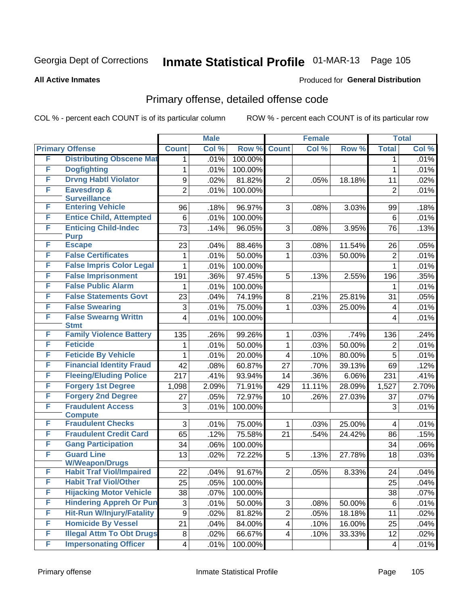#### **All Active Inmates**

### Produced for **General Distribution**

## Primary offense, detailed offense code

|   |                                            |                           | <b>Male</b> |         |                          | <b>Female</b> |        |                 | <b>Total</b> |
|---|--------------------------------------------|---------------------------|-------------|---------|--------------------------|---------------|--------|-----------------|--------------|
|   | <b>Primary Offense</b>                     | <b>Count</b>              | Col %       | Row %   | <b>Count</b>             | Col %         | Row %  | <b>Total</b>    | Col %        |
| F | <b>Distributing Obscene Mat</b>            | 1                         | .01%        | 100.00% |                          |               |        | 1               | .01%         |
| F | <b>Dogfighting</b>                         | 1                         | .01%        | 100.00% |                          |               |        | $\mathbf{1}$    | .01%         |
| F | <b>Drvng Habtl Violator</b>                | $\boldsymbol{9}$          | .02%        | 81.82%  | $\overline{2}$           | .05%          | 18.18% | 11              | .02%         |
| F | <b>Eavesdrop &amp;</b>                     | $\overline{2}$            | .01%        | 100.00% |                          |               |        | $\overline{2}$  | .01%         |
|   | <b>Surveillance</b>                        |                           |             |         |                          |               |        |                 |              |
| F | <b>Entering Vehicle</b>                    | 96                        | .18%        | 96.97%  | 3                        | .08%          | 3.03%  | 99              | .18%         |
| F | <b>Entice Child, Attempted</b>             | 6                         | .01%        | 100.00% |                          |               |        | $6\phantom{1}6$ | .01%         |
| F | <b>Enticing Child-Indec</b><br><b>Purp</b> | 73                        | .14%        | 96.05%  | 3                        | .08%          | 3.95%  | 76              | .13%         |
| F | <b>Escape</b>                              | 23                        | .04%        | 88.46%  | 3                        | .08%          | 11.54% | 26              | .05%         |
| F | <b>False Certificates</b>                  | 1                         | .01%        | 50.00%  | 1                        | .03%          | 50.00% | $\overline{2}$  | .01%         |
| F | <b>False Impris Color Legal</b>            | 1                         | .01%        | 100.00% |                          |               |        | $\mathbf{1}$    | .01%         |
| F | <b>False Imprisonment</b>                  | 191                       | .36%        | 97.45%  | 5                        | .13%          | 2.55%  | 196             | .35%         |
| F | <b>False Public Alarm</b>                  | 1                         | .01%        | 100.00% |                          |               |        | 1               | .01%         |
| F | <b>False Statements Govt</b>               | 23                        | .04%        | 74.19%  | 8                        | .21%          | 25.81% | 31              | .05%         |
| F | <b>False Swearing</b>                      | 3                         | .01%        | 75.00%  | 1                        | .03%          | 25.00% | 4               | .01%         |
| F | <b>False Swearng Writtn</b><br><b>Stmt</b> | 4                         | .01%        | 100.00% |                          |               |        | 4               | .01%         |
| F | <b>Family Violence Battery</b>             | 135                       | .26%        | 99.26%  | 1                        | .03%          | .74%   | 136             | .24%         |
| F | <b>Feticide</b>                            | 1                         | .01%        | 50.00%  | 1                        | .03%          | 50.00% | $\overline{2}$  | .01%         |
| F | <b>Feticide By Vehicle</b>                 | 1                         | .01%        | 20.00%  | 4                        | .10%          | 80.00% | 5               | .01%         |
| F | <b>Financial Identity Fraud</b>            | 42                        | .08%        | 60.87%  | 27                       | .70%          | 39.13% | 69              | .12%         |
| F | <b>Fleeing/Eluding Police</b>              | 217                       | .41%        | 93.94%  | 14                       | .36%          | 6.06%  | 231             | .41%         |
| F | <b>Forgery 1st Degree</b>                  | 1,098                     | 2.09%       | 71.91%  | 429                      | 11.11%        | 28.09% | 1,527           | 2.70%        |
| F | <b>Forgery 2nd Degree</b>                  | 27                        | .05%        | 72.97%  | 10                       | .26%          | 27.03% | 37              | .07%         |
| F | <b>Fraudulent Access</b>                   | 3                         | .01%        | 100.00% |                          |               |        | 3               | .01%         |
|   | <b>Compute</b>                             |                           |             |         |                          |               |        |                 |              |
| F | <b>Fraudulent Checks</b>                   | 3                         | .01%        | 75.00%  | 1                        | .03%          | 25.00% | 4               | .01%         |
| F | <b>Fraudulent Credit Card</b>              | 65                        | .12%        | 75.58%  | 21                       | .54%          | 24.42% | 86              | .15%         |
| F | <b>Gang Participation</b>                  | 34                        | .06%        | 100.00% |                          |               |        | 34              | .06%         |
| F | <b>Guard Line</b><br><b>W/Weapon/Drugs</b> | 13                        | .02%        | 72.22%  | 5                        | .13%          | 27.78% | 18              | .03%         |
| F | <b>Habit Traf Viol/Impaired</b>            | 22                        | .04%        | 91.67%  | 2 <sup>1</sup>           | .05%          | 8.33%  | 24              | .04%         |
| F | <b>Habit Traf Viol/Other</b>               | 25                        | .05%        | 100.00% |                          |               |        | 25              | .04%         |
| F | <b>Hijacking Motor Vehicle</b>             | 38                        | .07%        | 100.00% |                          |               |        | 38              | .07%         |
| F | <b>Hindering Appreh Or Pun</b>             | $\ensuremath{\mathsf{3}}$ | .01%        | 50.00%  | $\mathfrak{S}$           | .08%          | 50.00% | 6               | .01%         |
| F | <b>Hit-Run W/Injury/Fatality</b>           | $\boldsymbol{9}$          | .02%        | 81.82%  | $\overline{2}$           | .05%          | 18.18% | 11              | .02%         |
| F | <b>Homicide By Vessel</b>                  | 21                        | .04%        | 84.00%  | $\overline{\mathcal{A}}$ | .10%          | 16.00% | 25              | .04%         |
| F | <b>Illegal Attm To Obt Drugs</b>           | $\, 8$                    | .02%        | 66.67%  | 4                        | .10%          | 33.33% | 12              | .02%         |
| F | <b>Impersonating Officer</b>               | $\overline{\mathbf{4}}$   | .01%        | 100.00% |                          |               |        | 4               | .01%         |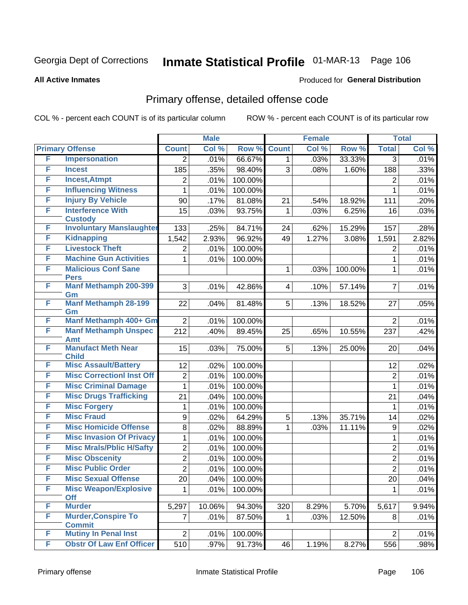#### **All Active Inmates**

### Produced for **General Distribution**

## Primary offense, detailed offense code

| <b>Count</b><br>Col %<br><b>Primary Offense</b><br><b>Count</b><br>Col %<br>Row %<br>Row %<br><b>Total</b>  | Col % |
|-------------------------------------------------------------------------------------------------------------|-------|
|                                                                                                             |       |
| F<br><b>Impersonation</b><br>.01%<br>66.67%<br>33.33%<br>.03%<br>$\overline{3}$<br>$\overline{2}$<br>1      | .01%  |
| F<br><b>Incest</b><br>98.40%<br>3<br>185<br>.35%<br>.08%<br>1.60%<br>188                                    | .33%  |
| F<br><b>Incest, Atmpt</b><br>$\overline{2}$<br>.01%<br>100.00%<br>$\overline{2}$                            | .01%  |
| F<br><b>Influencing Witness</b><br>.01%<br>100.00%<br>$\mathbf{1}$<br>$\mathbf{1}$                          | .01%  |
| F<br><b>Injury By Vehicle</b><br>.17%<br>21<br>111<br>90<br>81.08%<br>.54%<br>18.92%                        | .20%  |
| <b>Interference With</b><br>F<br>93.75%<br>15<br>.03%<br>.03%<br>6.25%<br>1<br>16                           | .03%  |
| <b>Custody</b>                                                                                              |       |
| <b>Involuntary Manslaughter</b><br>F<br>133<br>84.71%<br>15.29%<br>.25%<br>24<br>.62%<br>157                | .28%  |
| F<br><b>Kidnapping</b><br>1,542<br>2.93%<br>96.92%<br>49<br>1.27%<br>3.08%<br>1,591                         | 2.82% |
| F<br><b>Livestock Theft</b><br>100.00%<br>$\overline{2}$<br>.01%<br>$\overline{2}$                          | .01%  |
| F<br><b>Machine Gun Activities</b><br>100.00%<br>1<br>.01%<br>$\mathbf{1}$                                  | .01%  |
| F<br><b>Malicious Conf Sane</b><br>100.00%<br>$\mathbf{1}$<br>1<br>.03%<br><b>Pers</b>                      | .01%  |
| <b>Manf Methamph 200-399</b><br>F<br>3<br>.01%<br>$\overline{7}$<br>42.86%<br>.10%<br>57.14%<br>4           | .01%  |
| Gm                                                                                                          |       |
| <b>Manf Methamph 28-199</b><br>F<br>5<br>22<br>81.48%<br>.13%<br>18.52%<br>27<br>.04%                       | .05%  |
| Gm                                                                                                          |       |
| Manf Methamph 400+ Gm<br>F<br>$\overline{2}$<br>$\overline{2}$<br>.01%<br>100.00%                           | .01%  |
| F<br><b>Manf Methamph Unspec</b><br>212<br>.40%<br>89.45%<br>25<br>.65%<br>10.55%<br>237<br><b>Amt</b>      | .42%  |
| <b>Manufact Meth Near</b><br>F<br>15<br>75.00%<br>5<br>25.00%<br>.03%<br>.13%<br>20                         | .04%  |
| <b>Child</b>                                                                                                |       |
| <b>Misc Assault/Battery</b><br>F<br>12<br>100.00%<br>.02%<br>12                                             | .02%  |
| <b>Misc CorrectionI Inst Off</b><br>F<br>$\overline{c}$<br>100.00%<br>$\overline{2}$<br>.01%                | .01%  |
| F<br><b>Misc Criminal Damage</b><br>100.00%<br>$\mathbf{1}$<br>.01%<br>$\mathbf{1}$                         | .01%  |
| <b>Misc Drugs Trafficking</b><br>F<br>21<br>100.00%<br>.04%<br>21                                           | .04%  |
| <b>Misc Forgery</b><br>F<br>100.00%<br>1<br>.01%<br>1                                                       | .01%  |
| <b>Misc Fraud</b><br>F<br>64.29%<br>5<br>35.71%<br>$\boldsymbol{9}$<br>.02%<br>.13%<br>14                   | .02%  |
| F<br><b>Misc Homicide Offense</b><br>8<br>.02%<br>88.89%<br>$\boldsymbol{9}$<br>1<br>.03%<br>11.11%         | .02%  |
| <b>Misc Invasion Of Privacy</b><br>F<br>.01%<br>100.00%<br>1<br>1                                           | .01%  |
| <b>Misc Mrals/Pblic H/Safty</b><br>F<br>$\overline{2}$<br>.01%<br>100.00%<br>$\overline{2}$                 | .01%  |
| F<br><b>Misc Obscenity</b><br>$\overline{2}$<br>$\overline{2}$<br>100.00%<br>.01%                           | .01%  |
| <b>Misc Public Order</b><br>F<br>$\overline{2}$<br>$\overline{2}$<br>.01%<br>100.00%                        | .01%  |
| F<br><b>Misc Sexual Offense</b><br>20<br>.04%<br>100.00%<br>20                                              | .04%  |
| F<br><b>Misc Weapon/Explosive</b><br>.01%<br>100.00%<br>1                                                   | .01%  |
| Off<br>F                                                                                                    |       |
| <b>Murder</b><br>10.06%<br>94.30%<br>320<br>8.29%<br>5.70%<br>5,617<br>5,297<br>F                           | 9.94% |
| <b>Murder, Conspire To</b><br>$\overline{7}$<br>87.50%<br>.01%<br>.03%<br>12.50%<br>8<br>1<br><b>Commit</b> | .01%  |
| <b>Mutiny In Penal Inst</b><br>F<br>$\overline{2}$<br>100.00%<br>.01%<br>$\overline{2}$                     | .01%  |
| F<br><b>Obstr Of Law Enf Officer</b><br>510<br>91.73%<br>46<br>1.19%<br>8.27%<br>556<br>.97%                | .98%  |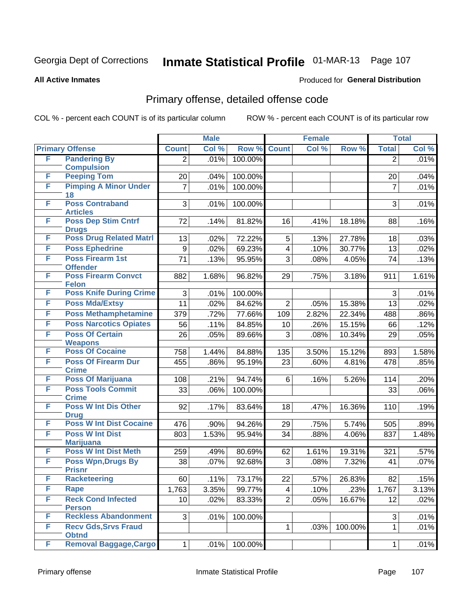#### **All Active Inmates**

### Produced for **General Distribution**

## Primary offense, detailed offense code

|   |                                                |                | <b>Male</b> |                  |                         | <b>Female</b> |         |                | <b>Total</b> |
|---|------------------------------------------------|----------------|-------------|------------------|-------------------------|---------------|---------|----------------|--------------|
|   | <b>Primary Offense</b>                         | <b>Count</b>   | Col %       | Row <sup>%</sup> | <b>Count</b>            | Col %         | Row %   | <b>Total</b>   | Col %        |
| F | <b>Pandering By</b>                            | $\overline{2}$ | .01%        | 100.00%          |                         |               |         | $\overline{2}$ | .01%         |
|   | <b>Compulsion</b>                              |                |             |                  |                         |               |         |                |              |
| F | <b>Peeping Tom</b>                             | 20             | .04%        | 100.00%          |                         |               |         | 20             | .04%         |
| F | <b>Pimping A Minor Under</b><br>18             | $\overline{7}$ | .01%        | 100.00%          |                         |               |         | $\overline{7}$ | .01%         |
| F | <b>Poss Contraband</b>                         | 3              | .01%        | 100.00%          |                         |               |         | 3              | .01%         |
|   | <b>Articles</b>                                |                |             |                  |                         |               |         |                |              |
| F | <b>Poss Dep Stim Cntrf</b>                     | 72             | .14%        | 81.82%           | 16                      | .41%          | 18.18%  | 88             | .16%         |
|   | <b>Drugs</b>                                   |                |             |                  |                         |               |         |                |              |
| F | <b>Poss Drug Related Matri</b>                 | 13             | .02%        | 72.22%           | 5                       | .13%          | 27.78%  | 18             | .03%         |
| F | <b>Poss Ephedrine</b>                          | 9              | .02%        | 69.23%           | $\overline{\mathbf{4}}$ | .10%          | 30.77%  | 13             | .02%         |
| F | <b>Poss Firearm 1st</b><br><b>Offender</b>     | 71             | .13%        | 95.95%           | 3                       | .08%          | 4.05%   | 74             | .13%         |
| F | <b>Poss Firearm Convct</b>                     | 882            | 1.68%       | 96.82%           | 29                      | .75%          | 3.18%   | 911            | 1.61%        |
| F | <b>Felon</b><br><b>Poss Knife During Crime</b> | 3              | .01%        | 100.00%          |                         |               |         | 3              | .01%         |
| F | <b>Poss Mda/Extsy</b>                          | 11             | .02%        | 84.62%           | $\overline{2}$          | .05%          | 15.38%  | 13             | .02%         |
| F | <b>Poss Methamphetamine</b>                    |                |             |                  |                         |               | 22.34%  |                |              |
| F | <b>Poss Narcotics Opiates</b>                  | 379            | .72%        | 77.66%           | 109                     | 2.82%         |         | 488            | .86%         |
| F | <b>Poss Of Certain</b>                         | 56             | .11%        | 84.85%           | 10                      | .26%          | 15.15%  | 66             | .12%         |
|   | <b>Weapons</b>                                 | 26             | .05%        | 89.66%           | 3                       | .08%          | 10.34%  | 29             | .05%         |
| F | <b>Poss Of Cocaine</b>                         | 758            | 1.44%       | 84.88%           | 135                     | 3.50%         | 15.12%  | 893            | 1.58%        |
| F | <b>Poss Of Firearm Dur</b>                     | 455            | .86%        | 95.19%           | 23                      | .60%          | 4.81%   | 478            | .85%         |
|   | <b>Crime</b>                                   |                |             |                  |                         |               |         |                |              |
| F | <b>Poss Of Marijuana</b>                       | 108            | .21%        | 94.74%           | 6                       | .16%          | 5.26%   | 114            | .20%         |
| F | <b>Poss Tools Commit</b>                       | 33             | .06%        | 100.00%          |                         |               |         | 33             | .06%         |
|   | <b>Crime</b>                                   |                |             |                  |                         |               |         |                |              |
| F | <b>Poss W Int Dis Other</b><br><b>Drug</b>     | 92             | .17%        | 83.64%           | 18                      | .47%          | 16.36%  | 110            | .19%         |
| F | <b>Poss W Int Dist Cocaine</b>                 | 476            | .90%        | 94.26%           | 29                      | .75%          | 5.74%   | 505            | .89%         |
| F | <b>Poss W Int Dist</b>                         | 803            | 1.53%       | 95.94%           | 34                      | .88%          | 4.06%   | 837            | 1.48%        |
|   | <b>Marijuana</b>                               |                |             |                  |                         |               |         |                |              |
| F | <b>Poss W Int Dist Meth</b>                    | 259            | .49%        | 80.69%           | 62                      | 1.61%         | 19.31%  | 321            | .57%         |
| F | <b>Poss Wpn, Drugs By</b>                      | 38             | .07%        | 92.68%           | 3                       | .08%          | 7.32%   | 41             | .07%         |
|   | <b>Prisnr</b>                                  |                |             |                  |                         |               |         |                |              |
| F | <b>Racketeering</b>                            | 60             | .11%        | 73.17%           | 22                      | .57%          | 26.83%  | 82             | .15%         |
| F | Rape                                           | 1,763          | 3.35%       | 99.77%           | $\overline{\mathbf{4}}$ | .10%          | .23%    | 1,767          | 3.13%        |
| F | <b>Reck Cond Infected</b><br><b>Person</b>     | 10             | .02%        | 83.33%           | $\overline{2}$          | .05%          | 16.67%  | 12             | .02%         |
| F | <b>Reckless Abandonment</b>                    | 3              | .01%        | 100.00%          |                         |               |         | 3              | .01%         |
| F | <b>Recv Gds, Srvs Fraud</b>                    |                |             |                  | 1                       | .03%          | 100.00% | $\mathbf 1$    | .01%         |
|   | <b>Obtnd</b>                                   |                |             |                  |                         |               |         |                |              |
| F | <b>Removal Baggage, Cargo</b>                  | 1              | .01%        | 100.00%          |                         |               |         | 1              | $.01\%$      |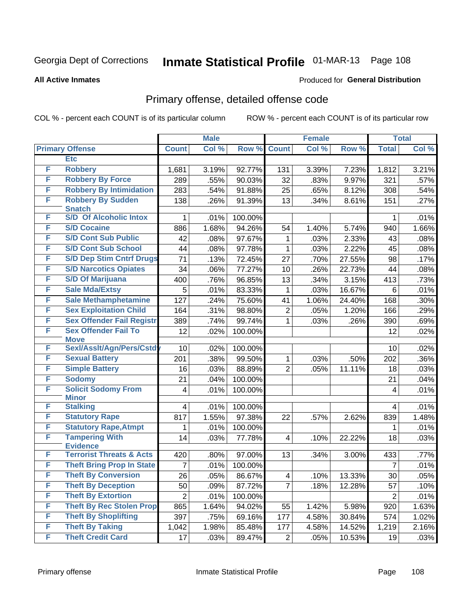#### **All Active Inmates**

### Produced for **General Distribution**

## Primary offense, detailed offense code

|   |                                            |                 | <b>Male</b> |         | <b>Female</b>  |       |        | <b>Total</b>   |       |
|---|--------------------------------------------|-----------------|-------------|---------|----------------|-------|--------|----------------|-------|
|   | <b>Primary Offense</b>                     | <b>Count</b>    | Col %       | Row %   | <b>Count</b>   | Col % | Row %  | <b>Total</b>   | Col % |
|   | <b>Etc</b>                                 |                 |             |         |                |       |        |                |       |
| F | <b>Robbery</b>                             | 1,681           | 3.19%       | 92.77%  | 131            | 3.39% | 7.23%  | 1,812          | 3.21% |
| F | <b>Robbery By Force</b>                    | 289             | .55%        | 90.03%  | 32             | .83%  | 9.97%  | 321            | .57%  |
| F | <b>Robbery By Intimidation</b>             | 283             | .54%        | 91.88%  | 25             | .65%  | 8.12%  | 308            | .54%  |
| F | <b>Robbery By Sudden</b>                   | 138             | .26%        | 91.39%  | 13             | .34%  | 8.61%  | 151            | .27%  |
|   | <b>Snatch</b>                              |                 |             |         |                |       |        |                |       |
| F | <b>S/D Of Alcoholic Intox</b>              | 1               | .01%        | 100.00% |                |       |        | 1              | .01%  |
| F | <b>S/D Cocaine</b>                         | 886             | 1.68%       | 94.26%  | 54             | 1.40% | 5.74%  | 940            | 1.66% |
| F | <b>S/D Cont Sub Public</b>                 | 42              | .08%        | 97.67%  | 1              | .03%  | 2.33%  | 43             | .08%  |
| F | <b>S/D Cont Sub School</b>                 | 44              | .08%        | 97.78%  | 1              | .03%  | 2.22%  | 45             | .08%  |
| F | <b>S/D Dep Stim Cntrf Drugs</b>            | 71              | .13%        | 72.45%  | 27             | .70%  | 27.55% | 98             | .17%  |
| F | <b>S/D Narcotics Opiates</b>               | 34              | .06%        | 77.27%  | 10             | .26%  | 22.73% | 44             | .08%  |
| F | <b>S/D Of Marijuana</b>                    | 400             | .76%        | 96.85%  | 13             | .34%  | 3.15%  | 413            | .73%  |
| F | <b>Sale Mda/Extsy</b>                      | 5               | .01%        | 83.33%  | 1              | .03%  | 16.67% | 6              | .01%  |
| F | <b>Sale Methamphetamine</b>                | 127             | .24%        | 75.60%  | 41             | 1.06% | 24.40% | 168            | .30%  |
| F | <b>Sex Exploitation Child</b>              | 164             | .31%        | 98.80%  | 2              | .05%  | 1.20%  | 166            | .29%  |
| F | <b>Sex Offender Fail Registr</b>           | 389             | .74%        | 99.74%  | 1              | .03%  | .26%   | 390            | .69%  |
| F | <b>Sex Offender Fail To</b><br><b>Move</b> | 12              | .02%        | 100.00% |                |       |        | 12             | .02%  |
| F | Sexl/Asslt/Agn/Pers/Cstd                   | 10              | .02%        | 100.00% |                |       |        | 10             | .02%  |
| F | <b>Sexual Battery</b>                      | 201             | .38%        | 99.50%  | 1              | .03%  | .50%   | 202            | .36%  |
| F | <b>Simple Battery</b>                      | 16              | .03%        | 88.89%  | $\overline{2}$ | .05%  | 11.11% | 18             | .03%  |
| F | <b>Sodomy</b>                              | 21              | .04%        | 100.00% |                |       |        | 21             | .04%  |
| F | <b>Solicit Sodomy From</b>                 | 4               | .01%        | 100.00% |                |       |        | 4              | .01%  |
|   | <b>Minor</b>                               |                 |             |         |                |       |        |                |       |
| F | <b>Stalking</b>                            | $\overline{4}$  | .01%        | 100.00% |                |       |        | 4              | .01%  |
| F | <b>Statutory Rape</b>                      | 817             | 1.55%       | 97.38%  | 22             | .57%  | 2.62%  | 839            | 1.48% |
| F | <b>Statutory Rape, Atmpt</b>               | 1               | .01%        | 100.00% |                |       |        | 1              | .01%  |
| F | <b>Tampering With</b>                      | 14              | .03%        | 77.78%  | $\overline{4}$ | .10%  | 22.22% | 18             | .03%  |
|   | <b>Evidence</b>                            |                 |             |         |                |       |        |                |       |
| F | <b>Terrorist Threats &amp; Acts</b>        | 420             | .80%        | 97.00%  | 13             | .34%  | 3.00%  | 433            | .77%  |
| F | <b>Theft Bring Prop In State</b>           | 7               | .01%        | 100.00% |                |       |        | 7              | .01%  |
| F | <b>Theft By Conversion</b>                 | $\overline{26}$ | .05%        | 86.67%  | 4              | .10%  | 13.33% | 30             | .05%  |
| F | <b>Theft By Deception</b>                  | 50              | .09%        | 87.72%  | $\overline{7}$ | .18%  | 12.28% | 57             | .10%  |
| F | <b>Theft By Extortion</b>                  | $\overline{2}$  | .01%        | 100.00% |                |       |        | $\overline{2}$ | .01%  |
| F | <b>Theft By Rec Stolen Prop</b>            | 865             | 1.64%       | 94.02%  | 55             | 1.42% | 5.98%  | 920            | 1.63% |
| F | <b>Theft By Shoplifting</b>                | 397             | .75%        | 69.16%  | 177            | 4.58% | 30.84% | 574            | 1.02% |
| F | <b>Theft By Taking</b>                     | 1,042           | 1.98%       | 85.48%  | 177            | 4.58% | 14.52% | 1,219          | 2.16% |
| F | <b>Theft Credit Card</b>                   | 17              | .03%        | 89.47%  | 2              | .05%  | 10.53% | 19             | .03%  |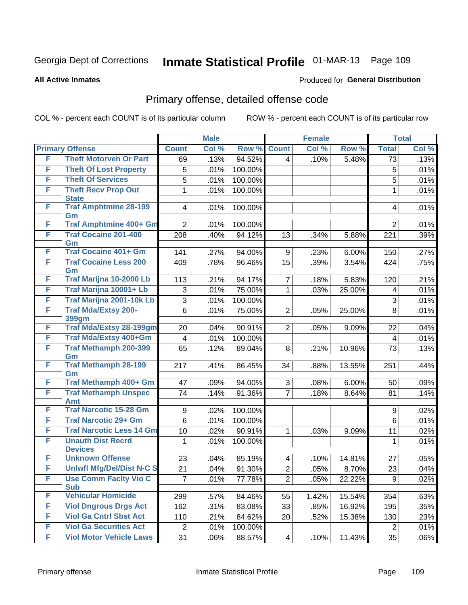**All Active Inmates**

### Produced for **General Distribution**

## Primary offense, detailed offense code

|   |                                            |                  | <b>Male</b> |         |                | <b>Female</b> |        |                | <b>Total</b> |
|---|--------------------------------------------|------------------|-------------|---------|----------------|---------------|--------|----------------|--------------|
|   | <b>Primary Offense</b>                     | <b>Count</b>     | Col %       | Row %   | <b>Count</b>   | Col %         | Row %  | <b>Total</b>   | Col %        |
| F | <b>Theft Motorveh Or Part</b>              | 69               | .13%        | 94.52%  | 4              | .10%          | 5.48%  | 73             | .13%         |
| F | <b>Theft Of Lost Property</b>              | 5                | .01%        | 100.00% |                |               |        | 5              | .01%         |
| F | <b>Theft Of Services</b>                   | 5                | .01%        | 100.00% |                |               |        | 5              | .01%         |
| F | <b>Theft Recv Prop Out</b>                 | 1                | .01%        | 100.00% |                |               |        | $\mathbf{1}$   | .01%         |
|   | <b>State</b>                               |                  |             |         |                |               |        |                |              |
| F | <b>Traf Amphtmine 28-199</b><br>Gm         | 4                | .01%        | 100.00% |                |               |        | 4              | .01%         |
| F | <b>Traf Amphtmine 400+ Gm</b>              | $\overline{2}$   | .01%        | 100.00% |                |               |        | $\overline{2}$ | .01%         |
| F | <b>Traf Cocaine 201-400</b>                | 208              | .40%        | 94.12%  | 13             | .34%          | 5.88%  | 221            | .39%         |
|   | Gm                                         |                  |             |         |                |               |        |                |              |
| F | <b>Traf Cocaine 401+ Gm</b>                | 141              | .27%        | 94.00%  | 9              | .23%          | 6.00%  | 150            | .27%         |
| F | <b>Traf Cocaine Less 200</b><br>Gm         | 409              | .78%        | 96.46%  | 15             | .39%          | 3.54%  | 424            | .75%         |
| F | Traf Marijna 10-2000 Lb                    | 113              | .21%        | 94.17%  | 7              | .18%          | 5.83%  | 120            | .21%         |
| F | Traf Marijna 10001+ Lb                     | 3                | .01%        | 75.00%  | 1              | .03%          | 25.00% | 4              | .01%         |
| F | <b>Traf Marijna 2001-10k Lb</b>            | 3                | .01%        | 100.00% |                |               |        | 3              | .01%         |
| F | <b>Traf Mda/Extsy 200-</b>                 | 6                | .01%        | 75.00%  | $\overline{2}$ | .05%          | 25.00% | 8              | .01%         |
|   | 399gm                                      |                  |             |         |                |               |        |                |              |
| F | <b>Traf Mda/Extsy 28-199gm</b>             | 20               | .04%        | 90.91%  | $\overline{2}$ | .05%          | 9.09%  | 22             | .04%         |
| F | Traf Mda/Extsy 400+Gm                      | 4                | .01%        | 100.00% |                |               |        | 4              | .01%         |
| F | <b>Traf Methamph 200-399</b><br>Gm         | 65               | .12%        | 89.04%  | 8              | .21%          | 10.96% | 73             | .13%         |
| F | <b>Traf Methamph 28-199</b><br>Gm          | 217              | .41%        | 86.45%  | 34             | .88%          | 13.55% | 251            | .44%         |
| F | Traf Methamph 400+ Gm                      | 47               | .09%        | 94.00%  | 3              | .08%          | 6.00%  | 50             | .09%         |
| F | <b>Traf Methamph Unspec</b>                | 74               | .14%        | 91.36%  | $\overline{7}$ | .18%          | 8.64%  | 81             | .14%         |
|   | <b>Amt</b>                                 |                  |             |         |                |               |        |                |              |
| F | <b>Traf Narcotic 15-28 Gm</b>              | $\boldsymbol{9}$ | .02%        | 100.00% |                |               |        | 9              | .02%         |
| F | <b>Traf Narcotic 29+ Gm</b>                | 6                | .01%        | 100.00% |                |               |        | 6              | .01%         |
| F | <b>Traf Narcotic Less 14 Gm</b>            | 10               | .02%        | 90.91%  | 1              | .03%          | 9.09%  | 11             | .02%         |
| F | <b>Unauth Dist Recrd</b>                   | 1                | .01%        | 100.00% |                |               |        | 1              | .01%         |
|   | <b>Devices</b>                             |                  |             |         |                |               |        |                |              |
| F | <b>Unknown Offense</b>                     | 23               | .04%        | 85.19%  | 4              | .10%          | 14.81% | 27             | .05%         |
| F | <b>Uniwfl Mfg/Del/Dist N-C S</b>           | 21               | .04%        | 91.30%  | $\overline{2}$ | .05%          | 8.70%  | 23             | .04%         |
| F | <b>Use Comm Facity Vio C</b><br><b>Sub</b> | $\overline{7}$   | .01%        | 77.78%  | $\overline{2}$ | .05%          | 22.22% | 9              | .02%         |
| F | <b>Vehicular Homicide</b>                  | 299              | .57%        | 84.46%  | 55             | 1.42%         | 15.54% | 354            | .63%         |
| F | <b>Viol Dngrous Drgs Act</b>               | 162              | .31%        | 83.08%  | 33             | .85%          | 16.92% | 195            | .35%         |
| F | <b>Viol Ga Cntrl Sbst Act</b>              | 110              | .21%        | 84.62%  | 20             | .52%          | 15.38% | 130            | .23%         |
| F | <b>Viol Ga Securities Act</b>              | $\overline{2}$   | .01%        | 100.00% |                |               |        | $\overline{2}$ | .01%         |
| F | <b>Viol Motor Vehicle Laws</b>             | 31               | .06%        | 88.57%  | 4              | .10%          | 11.43% | 35             | .06%         |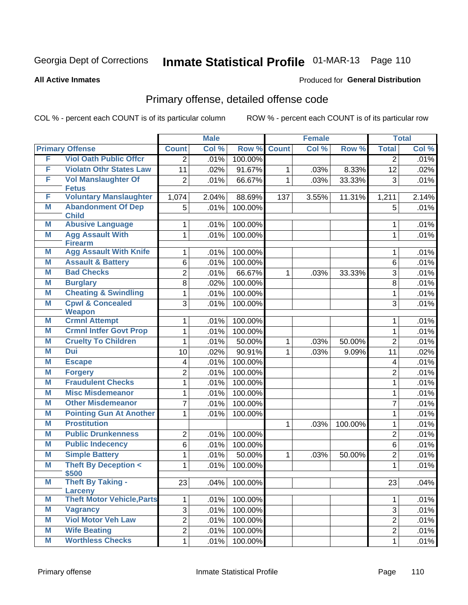#### **All Active Inmates**

### Produced for **General Distribution**

## Primary offense, detailed offense code

|   |                                              |                         | <b>Male</b> |         | <b>Female</b> |       |         |                         | <b>Total</b> |
|---|----------------------------------------------|-------------------------|-------------|---------|---------------|-------|---------|-------------------------|--------------|
|   | <b>Primary Offense</b>                       | <b>Count</b>            | Col %       | Row %   | <b>Count</b>  | Col%  | Row %   | <b>Total</b>            | Col %        |
| F | <b>Viol Oath Public Offcr</b>                | 2                       | .01%        | 100.00% |               |       |         | $\overline{2}$          | .01%         |
| F | <b>Violatn Othr States Law</b>               | 11                      | .02%        | 91.67%  | $\mathbf 1$   | .03%  | 8.33%   | 12                      | .02%         |
| F | <b>Vol Manslaughter Of</b>                   | $\overline{2}$          | .01%        | 66.67%  | $\mathbf{1}$  | .03%  | 33.33%  | 3                       | .01%         |
|   | <b>Fetus</b>                                 |                         |             |         |               |       |         |                         |              |
| F | <b>Voluntary Manslaughter</b>                | 1,074                   | 2.04%       | 88.69%  | 137           | 3.55% | 11.31%  | 1,211                   | 2.14%        |
| Μ | <b>Abandonment Of Dep</b><br><b>Child</b>    | 5                       | .01%        | 100.00% |               |       |         | 5                       | .01%         |
| M | <b>Abusive Language</b>                      | 1                       | .01%        | 100.00% |               |       |         | 1                       | .01%         |
| M | <b>Agg Assault With</b><br><b>Firearm</b>    | 1                       | .01%        | 100.00% |               |       |         | 1                       | .01%         |
| M | <b>Agg Assault With Knife</b>                | 1                       | .01%        | 100.00% |               |       |         | 1                       | .01%         |
| M | <b>Assault &amp; Battery</b>                 | 6                       | .01%        | 100.00% |               |       |         | 6                       | .01%         |
| M | <b>Bad Checks</b>                            | $\overline{2}$          | .01%        | 66.67%  | $\mathbf{1}$  | .03%  | 33.33%  | 3                       | .01%         |
| M | <b>Burglary</b>                              | 8                       | .02%        | 100.00% |               |       |         | 8                       | .01%         |
| M | <b>Cheating &amp; Swindling</b>              | $\mathbf 1$             | .01%        | 100.00% |               |       |         | 1                       | .01%         |
| M | <b>Cpwl &amp; Concealed</b><br><b>Weapon</b> | 3                       | .01%        | 100.00% |               |       |         | 3                       | .01%         |
| M | <b>Crmnl Attempt</b>                         | 1                       | .01%        | 100.00% |               |       |         | 1                       | .01%         |
| M | <b>Crmnl Intfer Govt Prop</b>                | 1                       | .01%        | 100.00% |               |       |         | $\mathbf{1}$            | .01%         |
| M | <b>Cruelty To Children</b>                   | 1                       | .01%        | 50.00%  | $\mathbf{1}$  | .03%  | 50.00%  | $\overline{2}$          | .01%         |
| M | <b>Dui</b>                                   | 10                      | .02%        | 90.91%  | $\mathbf{1}$  | .03%  | 9.09%   | 11                      | .02%         |
| M | <b>Escape</b>                                | 4                       | .01%        | 100.00% |               |       |         | $\overline{\mathbf{4}}$ | .01%         |
| M | <b>Forgery</b>                               | $\overline{c}$          | .01%        | 100.00% |               |       |         | $\overline{2}$          | .01%         |
| M | <b>Fraudulent Checks</b>                     | $\mathbf{1}$            | .01%        | 100.00% |               |       |         | 1                       | .01%         |
| M | <b>Misc Misdemeanor</b>                      | $\mathbf{1}$            | .01%        | 100.00% |               |       |         | 1                       | .01%         |
| M | <b>Other Misdemeanor</b>                     | $\overline{7}$          | .01%        | 100.00% |               |       |         | $\overline{7}$          | .01%         |
| M | <b>Pointing Gun At Another</b>               | 1                       | .01%        | 100.00% |               |       |         | $\mathbf{1}$            | .01%         |
| M | <b>Prostitution</b>                          |                         |             |         | $\mathbf{1}$  | .03%  | 100.00% | 1                       | .01%         |
| M | <b>Public Drunkenness</b>                    | 2                       | .01%        | 100.00% |               |       |         | $\overline{2}$          | .01%         |
| Μ | <b>Public Indecency</b>                      | 6                       | .01%        | 100.00% |               |       |         | 6                       | .01%         |
| M | <b>Simple Battery</b>                        | 1                       | .01%        | 50.00%  | $\mathbf{1}$  | .03%  | 50.00%  | $\overline{2}$          | .01%         |
| M | <b>Theft By Deception &lt;</b><br>\$500      | $\mathbf{1}$            | .01%        | 100.00% |               |       |         | 1                       | .01%         |
| M | <b>Theft By Taking -</b><br><b>Larceny</b>   | 23                      | .04%        | 100.00% |               |       |         | 23                      | .04%         |
| M | <b>Theft Motor Vehicle, Parts</b>            | 1                       | .01%        | 100.00% |               |       |         | $\mathbf{1}$            | .01%         |
| M | <b>Vagrancy</b>                              | 3                       | .01%        | 100.00% |               |       |         | 3                       | .01%         |
| M | <b>Viol Motor Veh Law</b>                    | $\overline{\mathbf{c}}$ | .01%        | 100.00% |               |       |         | $\overline{2}$          | .01%         |
| M | <b>Wife Beating</b>                          | $\overline{\mathbf{c}}$ | .01%        | 100.00% |               |       |         | $\overline{2}$          | .01%         |
| M | <b>Worthless Checks</b>                      | $\mathbf 1$             | .01%        | 100.00% |               |       |         | $\mathbf{1}$            | .01%         |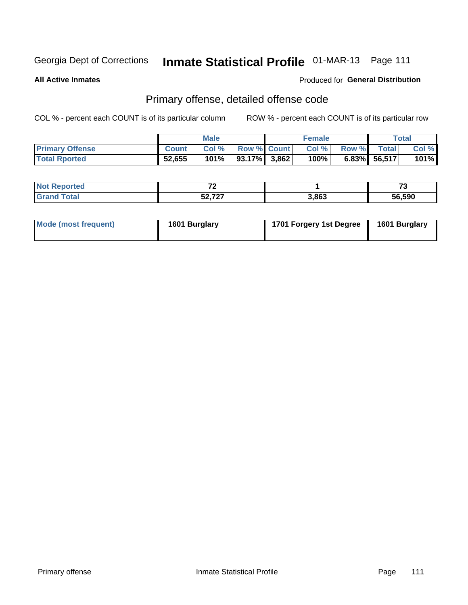**All Active Inmates**

### Produced for **General Distribution**

### Primary offense, detailed offense code

|                        |              | <b>Male</b> |                    | <b>Female</b> |              |                 | Total   |
|------------------------|--------------|-------------|--------------------|---------------|--------------|-----------------|---------|
| <b>Primary Offense</b> | <b>Count</b> | Col%        | <b>Row % Count</b> | Col%          | <b>Row %</b> | <b>Total</b>    | Col %   |
| <b>Total Rported</b>   | 52,655       | 101%        | $93.17\%$ 3,862    | 100%          |              | $6.83\%$ 56,517 | $101\%$ |

| rtea<br>'NI | $\rightarrow$                |       | --<br>. .        |
|-------------|------------------------------|-------|------------------|
|             | $E_2 = 727$<br>، ۲ ر.<br>JA. | 3,863 | 56.590<br>.<br>" |

| Mode (most frequent) | 1601 Burglary | 1701 Forgery 1st Degree | 1601 Burglary |
|----------------------|---------------|-------------------------|---------------|
|----------------------|---------------|-------------------------|---------------|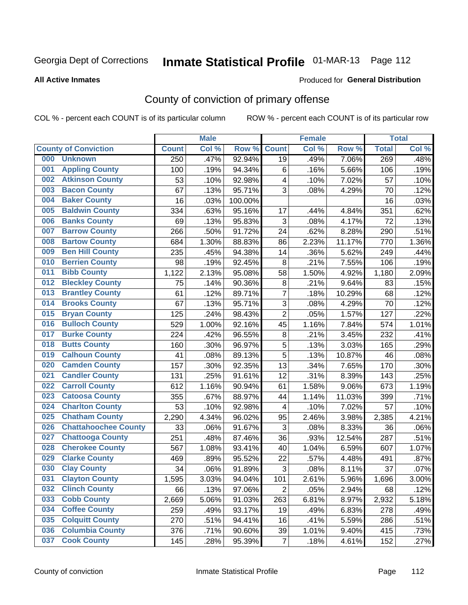#### **All Active Inmates**

### Produced for **General Distribution**

## County of conviction of primary offense

|     |                             |              | <b>Male</b> |         |                | <b>Female</b> |        |              | <b>Total</b> |
|-----|-----------------------------|--------------|-------------|---------|----------------|---------------|--------|--------------|--------------|
|     | <b>County of Conviction</b> | <b>Count</b> | Col %       | Row %   | <b>Count</b>   | Col %         | Row %  | <b>Total</b> | Col %        |
| 000 | <b>Unknown</b>              | 250          | .47%        | 92.94%  | 19             | .49%          | 7.06%  | 269          | .48%         |
| 001 | <b>Appling County</b>       | 100          | .19%        | 94.34%  | 6              | .16%          | 5.66%  | 106          | .19%         |
| 002 | <b>Atkinson County</b>      | 53           | .10%        | 92.98%  | 4              | .10%          | 7.02%  | 57           | .10%         |
| 003 | <b>Bacon County</b>         | 67           | .13%        | 95.71%  | 3              | .08%          | 4.29%  | 70           | .12%         |
| 004 | <b>Baker County</b>         | 16           | .03%        | 100.00% |                |               |        | 16           | .03%         |
| 005 | <b>Baldwin County</b>       | 334          | .63%        | 95.16%  | 17             | .44%          | 4.84%  | 351          | .62%         |
| 006 | <b>Banks County</b>         | 69           | .13%        | 95.83%  | 3              | .08%          | 4.17%  | 72           | .13%         |
| 007 | <b>Barrow County</b>        | 266          | .50%        | 91.72%  | 24             | .62%          | 8.28%  | 290          | .51%         |
| 008 | <b>Bartow County</b>        | 684          | 1.30%       | 88.83%  | 86             | 2.23%         | 11.17% | 770          | 1.36%        |
| 009 | <b>Ben Hill County</b>      | 235          | .45%        | 94.38%  | 14             | .36%          | 5.62%  | 249          | .44%         |
| 010 | <b>Berrien County</b>       | 98           | .19%        | 92.45%  | 8              | .21%          | 7.55%  | 106          | .19%         |
| 011 | <b>Bibb County</b>          | 1,122        | 2.13%       | 95.08%  | 58             | 1.50%         | 4.92%  | 1,180        | 2.09%        |
| 012 | <b>Bleckley County</b>      | 75           | .14%        | 90.36%  | 8              | .21%          | 9.64%  | 83           | .15%         |
| 013 | <b>Brantley County</b>      | 61           | .12%        | 89.71%  | $\overline{7}$ | .18%          | 10.29% | 68           | .12%         |
| 014 | <b>Brooks County</b>        | 67           | .13%        | 95.71%  | 3              | .08%          | 4.29%  | 70           | .12%         |
| 015 | <b>Bryan County</b>         | 125          | .24%        | 98.43%  | $\overline{2}$ | .05%          | 1.57%  | 127          | .22%         |
| 016 | <b>Bulloch County</b>       | 529          | 1.00%       | 92.16%  | 45             | 1.16%         | 7.84%  | 574          | 1.01%        |
| 017 | <b>Burke County</b>         | 224          | .42%        | 96.55%  | 8              | .21%          | 3.45%  | 232          | .41%         |
| 018 | <b>Butts County</b>         | 160          | .30%        | 96.97%  | 5              | .13%          | 3.03%  | 165          | .29%         |
| 019 | <b>Calhoun County</b>       | 41           | .08%        | 89.13%  | 5              | .13%          | 10.87% | 46           | .08%         |
| 020 | <b>Camden County</b>        | 157          | .30%        | 92.35%  | 13             | .34%          | 7.65%  | 170          | .30%         |
| 021 | <b>Candler County</b>       | 131          | .25%        | 91.61%  | 12             | .31%          | 8.39%  | 143          | .25%         |
| 022 | <b>Carroll County</b>       | 612          | 1.16%       | 90.94%  | 61             | 1.58%         | 9.06%  | 673          | 1.19%        |
| 023 | <b>Catoosa County</b>       | 355          | .67%        | 88.97%  | 44             | 1.14%         | 11.03% | 399          | .71%         |
| 024 | <b>Charlton County</b>      | 53           | .10%        | 92.98%  | 4              | .10%          | 7.02%  | 57           | .10%         |
| 025 | <b>Chatham County</b>       | 2,290        | 4.34%       | 96.02%  | 95             | 2.46%         | 3.98%  | 2,385        | 4.21%        |
| 026 | <b>Chattahoochee County</b> | 33           | .06%        | 91.67%  | 3              | .08%          | 8.33%  | 36           | .06%         |
| 027 | <b>Chattooga County</b>     | 251          | .48%        | 87.46%  | 36             | .93%          | 12.54% | 287          | .51%         |
| 028 | <b>Cherokee County</b>      | 567          | 1.08%       | 93.41%  | 40             | 1.04%         | 6.59%  | 607          | 1.07%        |
| 029 | <b>Clarke County</b>        | 469          | .89%        | 95.52%  | 22             | .57%          | 4.48%  | 491          | .87%         |
| 030 | <b>Clay County</b>          | 34           | .06%        | 91.89%  | 3              | .08%          | 8.11%  | 37           | .07%         |
| 031 | <b>Clayton County</b>       | 1,595        | 3.03%       | 94.04%  | 101            | 2.61%         | 5.96%  | 1,696        | 3.00%        |
| 032 | <b>Clinch County</b>        | 66           | .13%        | 97.06%  | $\overline{2}$ | .05%          | 2.94%  | 68           | .12%         |
| 033 | <b>Cobb County</b>          | 2,669        | 5.06%       | 91.03%  | 263            | 6.81%         | 8.97%  | 2,932        | 5.18%        |
| 034 | <b>Coffee County</b>        | 259          | .49%        | 93.17%  | 19             | .49%          | 6.83%  | 278          | .49%         |
| 035 | <b>Colquitt County</b>      | 270          | .51%        | 94.41%  | 16             | .41%          | 5.59%  | 286          | .51%         |
| 036 | <b>Columbia County</b>      | 376          | .71%        | 90.60%  | 39             | 1.01%         | 9.40%  | 415          | .73%         |
| 037 | <b>Cook County</b>          | 145          | .28%        | 95.39%  | $\overline{7}$ | .18%          | 4.61%  | 152          | .27%         |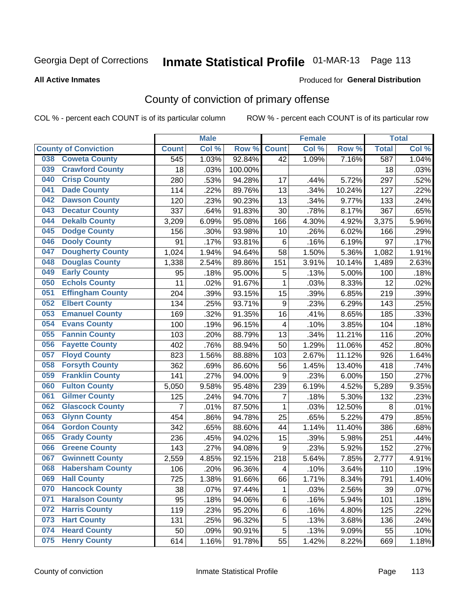#### **All Active Inmates**

#### Produced for **General Distribution**

## County of conviction of primary offense

|                                |                | <b>Male</b> |         |                         | <b>Female</b> |        |              | <b>Total</b> |
|--------------------------------|----------------|-------------|---------|-------------------------|---------------|--------|--------------|--------------|
| <b>County of Conviction</b>    | <b>Count</b>   | Col %       | Row %   | <b>Count</b>            | Col %         | Row %  | <b>Total</b> | Col %        |
| <b>Coweta County</b><br>038    | 545            | 1.03%       | 92.84%  | 42                      | 1.09%         | 7.16%  | 587          | 1.04%        |
| <b>Crawford County</b><br>039  | 18             | .03%        | 100.00% |                         |               |        | 18           | .03%         |
| <b>Crisp County</b><br>040     | 280            | .53%        | 94.28%  | 17                      | .44%          | 5.72%  | 297          | .52%         |
| <b>Dade County</b><br>041      | 114            | .22%        | 89.76%  | 13                      | .34%          | 10.24% | 127          | .22%         |
| <b>Dawson County</b><br>042    | 120            | .23%        | 90.23%  | 13                      | .34%          | 9.77%  | 133          | .24%         |
| 043<br><b>Decatur County</b>   | 337            | .64%        | 91.83%  | 30                      | .78%          | 8.17%  | 367          | .65%         |
| <b>Dekalb County</b><br>044    | 3,209          | 6.09%       | 95.08%  | 166                     | 4.30%         | 4.92%  | 3,375        | 5.96%        |
| <b>Dodge County</b><br>045     | 156            | .30%        | 93.98%  | 10                      | .26%          | 6.02%  | 166          | .29%         |
| <b>Dooly County</b><br>046     | 91             | .17%        | 93.81%  | $6\phantom{1}$          | .16%          | 6.19%  | 97           | .17%         |
| 047<br><b>Dougherty County</b> | 1,024          | 1.94%       | 94.64%  | 58                      | 1.50%         | 5.36%  | 1,082        | 1.91%        |
| <b>Douglas County</b><br>048   | 1,338          | 2.54%       | 89.86%  | 151                     | 3.91%         | 10.14% | 1,489        | 2.63%        |
| <b>Early County</b><br>049     | 95             | .18%        | 95.00%  | $\mathbf 5$             | .13%          | 5.00%  | 100          | .18%         |
| <b>Echols County</b><br>050    | 11             | .02%        | 91.67%  | $\mathbf{1}$            | .03%          | 8.33%  | 12           | .02%         |
| 051<br><b>Effingham County</b> | 204            | .39%        | 93.15%  | 15                      | .39%          | 6.85%  | 219          | .39%         |
| <b>Elbert County</b><br>052    | 134            | .25%        | 93.71%  | 9                       | .23%          | 6.29%  | 143          | .25%         |
| <b>Emanuel County</b><br>053   | 169            | .32%        | 91.35%  | 16                      | .41%          | 8.65%  | 185          | .33%         |
| <b>Evans County</b><br>054     | 100            | .19%        | 96.15%  | $\overline{\mathbf{4}}$ | .10%          | 3.85%  | 104          | .18%         |
| <b>Fannin County</b><br>055    | 103            | .20%        | 88.79%  | 13                      | .34%          | 11.21% | 116          | .20%         |
| <b>Fayette County</b><br>056   | 402            | .76%        | 88.94%  | 50                      | 1.29%         | 11.06% | 452          | .80%         |
| <b>Floyd County</b><br>057     | 823            | 1.56%       | 88.88%  | 103                     | 2.67%         | 11.12% | 926          | 1.64%        |
| <b>Forsyth County</b><br>058   | 362            | .69%        | 86.60%  | 56                      | 1.45%         | 13.40% | 418          | .74%         |
| <b>Franklin County</b><br>059  | 141            | .27%        | 94.00%  | 9                       | .23%          | 6.00%  | 150          | .27%         |
| <b>Fulton County</b><br>060    | 5,050          | 9.58%       | 95.48%  | 239                     | 6.19%         | 4.52%  | 5,289        | 9.35%        |
| <b>Gilmer County</b><br>061    | 125            | .24%        | 94.70%  | 7                       | .18%          | 5.30%  | 132          | .23%         |
| <b>Glascock County</b><br>062  | $\overline{7}$ | .01%        | 87.50%  | 1                       | .03%          | 12.50% | 8            | .01%         |
| 063<br><b>Glynn County</b>     | 454            | .86%        | 94.78%  | 25                      | .65%          | 5.22%  | 479          | .85%         |
| <b>Gordon County</b><br>064    | 342            | .65%        | 88.60%  | 44                      | 1.14%         | 11.40% | 386          | .68%         |
| <b>Grady County</b><br>065     | 236            | .45%        | 94.02%  | 15                      | .39%          | 5.98%  | 251          | .44%         |
| <b>Greene County</b><br>066    | 143            | .27%        | 94.08%  | $9\,$                   | .23%          | 5.92%  | 152          | .27%         |
| <b>Gwinnett County</b><br>067  | 2,559          | 4.85%       | 92.15%  | 218                     | 5.64%         | 7.85%  | 2,777        | 4.91%        |
| <b>Habersham County</b><br>068 | 106            | .20%        | 96.36%  | 4                       | .10%          | 3.64%  | 110          | .19%         |
| 069<br><b>Hall County</b>      | 725            | 1.38%       | 91.66%  | 66                      | 1.71%         | 8.34%  | 791          | 1.40%        |
| <b>Hancock County</b><br>070   | 38             | .07%        | 97.44%  | 1                       | .03%          | 2.56%  | 39           | .07%         |
| <b>Haralson County</b><br>071  | 95             | .18%        | 94.06%  | 6                       | .16%          | 5.94%  | 101          | .18%         |
| <b>Harris County</b><br>072    | 119            | .23%        | 95.20%  | 6                       | .16%          | 4.80%  | 125          | .22%         |
| <b>Hart County</b><br>073      | 131            | .25%        | 96.32%  | 5                       | .13%          | 3.68%  | 136          | .24%         |
| <b>Heard County</b><br>074     | 50             | .09%        | 90.91%  | 5                       | .13%          | 9.09%  | 55           | .10%         |
| <b>Henry County</b><br>075     | 614            | 1.16%       | 91.78%  | 55                      | 1.42%         | 8.22%  | 669          | 1.18%        |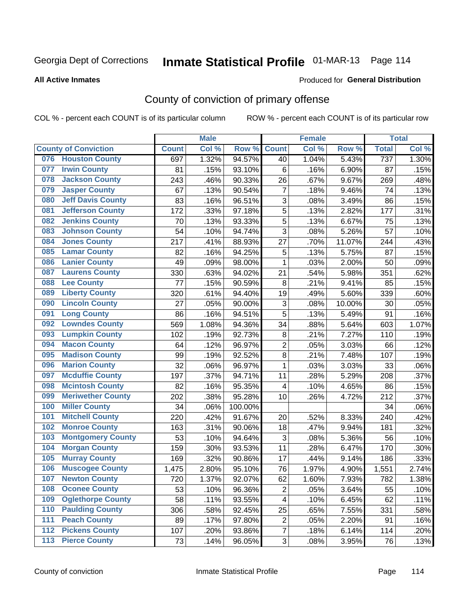#### **All Active Inmates**

### Produced for **General Distribution**

## County of conviction of primary offense

|                  |                             |              | <b>Male</b> |         |                         | <b>Female</b> |        |              | <b>Total</b> |
|------------------|-----------------------------|--------------|-------------|---------|-------------------------|---------------|--------|--------------|--------------|
|                  | <b>County of Conviction</b> | <b>Count</b> | Col %       | Row %   | <b>Count</b>            | Col %         | Row %  | <b>Total</b> | Col %        |
|                  | 076 Houston County          | 697          | 1.32%       | 94.57%  | 40                      | 1.04%         | 5.43%  | 737          | 1.30%        |
| 077              | <b>Irwin County</b>         | 81           | .15%        | 93.10%  | 6                       | .16%          | 6.90%  | 87           | .15%         |
| 078              | <b>Jackson County</b>       | 243          | .46%        | 90.33%  | 26                      | .67%          | 9.67%  | 269          | .48%         |
| 079              | <b>Jasper County</b>        | 67           | .13%        | 90.54%  | $\overline{7}$          | .18%          | 9.46%  | 74           | .13%         |
| 080              | <b>Jeff Davis County</b>    | 83           | .16%        | 96.51%  | 3                       | .08%          | 3.49%  | 86           | .15%         |
| 081              | <b>Jefferson County</b>     | 172          | .33%        | 97.18%  | 5                       | .13%          | 2.82%  | 177          | .31%         |
| 082              | <b>Jenkins County</b>       | 70           | .13%        | 93.33%  | 5                       | .13%          | 6.67%  | 75           | .13%         |
| 083              | <b>Johnson County</b>       | 54           | .10%        | 94.74%  | 3                       | .08%          | 5.26%  | 57           | .10%         |
| 084              | <b>Jones County</b>         | 217          | .41%        | 88.93%  | 27                      | .70%          | 11.07% | 244          | .43%         |
| 085              | <b>Lamar County</b>         | 82           | .16%        | 94.25%  | 5                       | .13%          | 5.75%  | 87           | .15%         |
| 086              | <b>Lanier County</b>        | 49           | .09%        | 98.00%  | 1                       | .03%          | 2.00%  | 50           | .09%         |
| 087              | <b>Laurens County</b>       | 330          | .63%        | 94.02%  | 21                      | .54%          | 5.98%  | 351          | .62%         |
| 088              | <b>Lee County</b>           | 77           | .15%        | 90.59%  | 8                       | .21%          | 9.41%  | 85           | .15%         |
| 089              | <b>Liberty County</b>       | 320          | .61%        | 94.40%  | 19                      | .49%          | 5.60%  | 339          | .60%         |
| 090              | <b>Lincoln County</b>       | 27           | .05%        | 90.00%  | 3                       | .08%          | 10.00% | 30           | .05%         |
| 091              | <b>Long County</b>          | 86           | .16%        | 94.51%  | 5                       | .13%          | 5.49%  | 91           | .16%         |
| 092              | <b>Lowndes County</b>       | 569          | 1.08%       | 94.36%  | 34                      | .88%          | 5.64%  | 603          | 1.07%        |
| 093              | <b>Lumpkin County</b>       | 102          | .19%        | 92.73%  | 8                       | .21%          | 7.27%  | 110          | .19%         |
| 094              | <b>Macon County</b>         | 64           | .12%        | 96.97%  | $\overline{2}$          | .05%          | 3.03%  | 66           | .12%         |
| 095              | <b>Madison County</b>       | 99           | .19%        | 92.52%  | 8                       | .21%          | 7.48%  | 107          | .19%         |
| 096              | <b>Marion County</b>        | 32           | .06%        | 96.97%  | $\mathbf{1}$            | .03%          | 3.03%  | 33           | .06%         |
| 097              | <b>Mcduffie County</b>      | 197          | .37%        | 94.71%  | 11                      | .28%          | 5.29%  | 208          | .37%         |
| 098              | <b>Mcintosh County</b>      | 82           | .16%        | 95.35%  | 4                       | .10%          | 4.65%  | 86           | .15%         |
| 099              | <b>Meriwether County</b>    | 202          | .38%        | 95.28%  | 10                      | .26%          | 4.72%  | 212          | .37%         |
| 100              | <b>Miller County</b>        | 34           | .06%        | 100.00% |                         |               |        | 34           | .06%         |
| 101              | <b>Mitchell County</b>      | 220          | .42%        | 91.67%  | 20                      | .52%          | 8.33%  | 240          | .42%         |
| 102              | <b>Monroe County</b>        | 163          | .31%        | 90.06%  | 18                      | .47%          | 9.94%  | 181          | .32%         |
| 103              | <b>Montgomery County</b>    | 53           | .10%        | 94.64%  | 3                       | .08%          | 5.36%  | 56           | .10%         |
| 104              | <b>Morgan County</b>        | 159          | .30%        | 93.53%  | 11                      | .28%          | 6.47%  | 170          | .30%         |
| 105              | <b>Murray County</b>        | 169          | .32%        | 90.86%  | 17                      | .44%          | 9.14%  | 186          | .33%         |
| 106              | <b>Muscogee County</b>      | 1,475        | 2.80%       | 95.10%  | 76                      | 1.97%         | 4.90%  | 1,551        | 2.74%        |
| 107              | <b>Newton County</b>        | 720          | 1.37%       | 92.07%  | 62                      | 1.60%         | 7.93%  | 782          | 1.38%        |
| 108              | <b>Oconee County</b>        | 53           | .10%        | 96.36%  | 2                       | .05%          | 3.64%  | 55           | .10%         |
| 109              | <b>Oglethorpe County</b>    | 58           | .11%        | 93.55%  | $\overline{\mathbf{4}}$ | .10%          | 6.45%  | 62           | .11%         |
| 110              | <b>Paulding County</b>      | 306          | .58%        | 92.45%  | 25                      | .65%          | 7.55%  | 331          | .58%         |
| 111              | <b>Peach County</b>         | 89           | .17%        | 97.80%  | $\overline{c}$          | .05%          | 2.20%  | 91           | .16%         |
| $\overline{112}$ | <b>Pickens County</b>       | 107          | .20%        | 93.86%  | $\overline{7}$          | .18%          | 6.14%  | 114          | .20%         |
| 113              | <b>Pierce County</b>        | 73           | .14%        | 96.05%  | 3                       | .08%          | 3.95%  | 76           | .13%         |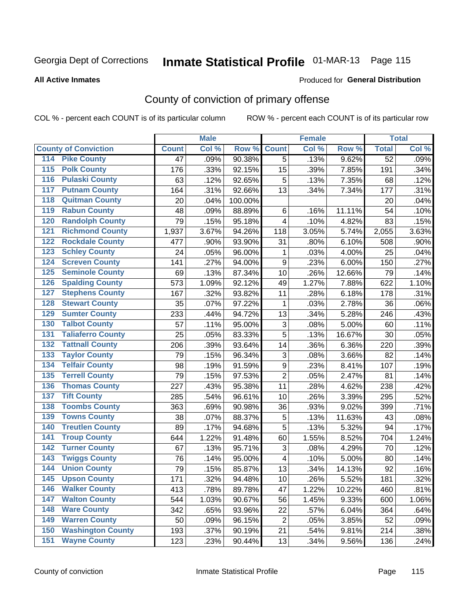#### **All Active Inmates**

#### Produced for **General Distribution**

## County of conviction of primary offense

|                                        |                 | <b>Male</b> |         |                           | <b>Female</b> |        |                 | <b>Total</b> |
|----------------------------------------|-----------------|-------------|---------|---------------------------|---------------|--------|-----------------|--------------|
| <b>County of Conviction</b>            | <b>Count</b>    | Col %       | Row %   | <b>Count</b>              | Col %         | Row %  | <b>Total</b>    | Col %        |
| <b>Pike County</b><br>114              | $\overline{47}$ | .09%        | 90.38%  | 5                         | .13%          | 9.62%  | $\overline{52}$ | .09%         |
| <b>Polk County</b><br>$\overline{115}$ | 176             | .33%        | 92.15%  | 15                        | .39%          | 7.85%  | 191             | .34%         |
| <b>Pulaski County</b><br>116           | 63              | .12%        | 92.65%  | 5                         | .13%          | 7.35%  | 68              | .12%         |
| <b>Putnam County</b><br>117            | 164             | .31%        | 92.66%  | 13                        | .34%          | 7.34%  | 177             | .31%         |
| 118<br><b>Quitman County</b>           | 20              | .04%        | 100.00% |                           |               |        | 20              | .04%         |
| <b>Rabun County</b><br>119             | 48              | .09%        | 88.89%  | 6                         | .16%          | 11.11% | 54              | .10%         |
| <b>Randolph County</b><br>120          | 79              | .15%        | 95.18%  | 4                         | .10%          | 4.82%  | 83              | .15%         |
| <b>Richmond County</b><br>121          | 1,937           | 3.67%       | 94.26%  | 118                       | 3.05%         | 5.74%  | 2,055           | 3.63%        |
| <b>Rockdale County</b><br>122          | 477             | .90%        | 93.90%  | 31                        | .80%          | 6.10%  | 508             | .90%         |
| <b>Schley County</b><br>123            | 24              | .05%        | 96.00%  | $\mathbf 1$               | .03%          | 4.00%  | 25              | .04%         |
| <b>Screven County</b><br>124           | 141             | .27%        | 94.00%  | $\boldsymbol{9}$          | .23%          | 6.00%  | 150             | .27%         |
| <b>Seminole County</b><br>125          | 69              | .13%        | 87.34%  | 10                        | .26%          | 12.66% | 79              | .14%         |
| 126<br><b>Spalding County</b>          | 573             | 1.09%       | 92.12%  | 49                        | 1.27%         | 7.88%  | 622             | 1.10%        |
| 127<br><b>Stephens County</b>          | 167             | .32%        | 93.82%  | 11                        | .28%          | 6.18%  | 178             | .31%         |
| <b>Stewart County</b><br>128           | 35              | .07%        | 97.22%  | 1                         | .03%          | 2.78%  | 36              | .06%         |
| <b>Sumter County</b><br>129            | 233             | .44%        | 94.72%  | 13                        | .34%          | 5.28%  | 246             | .43%         |
| <b>Talbot County</b><br>130            | 57              | .11%        | 95.00%  | 3                         | .08%          | 5.00%  | 60              | .11%         |
| <b>Taliaferro County</b><br>131        | 25              | .05%        | 83.33%  | 5                         | .13%          | 16.67% | 30              | .05%         |
| <b>Tattnall County</b><br>132          | 206             | .39%        | 93.64%  | 14                        | .36%          | 6.36%  | 220             | .39%         |
| <b>Taylor County</b><br>133            | 79              | .15%        | 96.34%  | $\ensuremath{\mathsf{3}}$ | .08%          | 3.66%  | 82              | .14%         |
| <b>Telfair County</b><br>134           | 98              | .19%        | 91.59%  | $\mathsf g$               | .23%          | 8.41%  | 107             | .19%         |
| <b>Terrell County</b><br>135           | 79              | .15%        | 97.53%  | $\overline{2}$            | .05%          | 2.47%  | 81              | .14%         |
| <b>Thomas County</b><br>136            | 227             | .43%        | 95.38%  | 11                        | .28%          | 4.62%  | 238             | .42%         |
| <b>Tift County</b><br>137              | 285             | .54%        | 96.61%  | 10                        | .26%          | 3.39%  | 295             | .52%         |
| <b>Toombs County</b><br>138            | 363             | .69%        | 90.98%  | 36                        | .93%          | 9.02%  | 399             | .71%         |
| <b>Towns County</b><br>139             | 38              | .07%        | 88.37%  | $\mathbf 5$               | .13%          | 11.63% | 43              | .08%         |
| <b>Treutlen County</b><br>140          | 89              | .17%        | 94.68%  | $\overline{5}$            | .13%          | 5.32%  | 94              | .17%         |
| <b>Troup County</b><br>141             | 644             | 1.22%       | 91.48%  | 60                        | 1.55%         | 8.52%  | 704             | 1.24%        |
| <b>Turner County</b><br>142            | 67              | .13%        | 95.71%  | 3                         | .08%          | 4.29%  | 70              | .12%         |
| <b>Twiggs County</b><br>143            | 76              | .14%        | 95.00%  | $\overline{\mathbf{4}}$   | .10%          | 5.00%  | 80              | .14%         |
| <b>Union County</b><br>144             | 79              | .15%        | 85.87%  | 13                        | .34%          | 14.13% | 92              | .16%         |
| 145<br><b>Upson County</b>             | 171             | .32%        | 94.48%  | 10                        | .26%          | 5.52%  | 181             | .32%         |
| <b>Walker County</b><br>146            | 413             | .78%        | 89.78%  | 47                        | 1.22%         | 10.22% | 460             | .81%         |
| <b>Walton County</b><br>147            | 544             | 1.03%       | 90.67%  | 56                        | 1.45%         | 9.33%  | 600             | 1.06%        |
| <b>Ware County</b><br>148              | 342             | .65%        | 93.96%  | 22                        | .57%          | 6.04%  | 364             | .64%         |
| <b>Warren County</b><br>149            | 50              | .09%        | 96.15%  | $\overline{2}$            | .05%          | 3.85%  | 52              | .09%         |
| <b>Washington County</b><br>150        | 193             | .37%        | 90.19%  | 21                        | .54%          | 9.81%  | 214             | .38%         |
| <b>Wayne County</b><br>151             | 123             | .23%        | 90.44%  | 13                        | .34%          | 9.56%  | 136             | .24%         |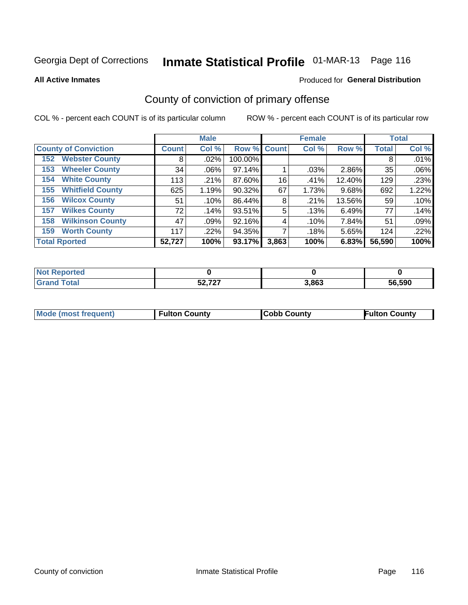**All Active Inmates**

### Produced for **General Distribution**

## County of conviction of primary offense

|                                |              | <b>Male</b> |             |       | <b>Female</b> |        |              | <b>Total</b> |
|--------------------------------|--------------|-------------|-------------|-------|---------------|--------|--------------|--------------|
| <b>County of Conviction</b>    | <b>Count</b> | Col %       | Row % Count |       | Col %         | Row %  | <b>Total</b> | Col %        |
| <b>Webster County</b><br>152   | 8            | $.02\%$     | 100.00%     |       |               |        | 8            | .01%         |
| <b>Wheeler County</b><br>153   | 34           | $.06\%$     | 97.14%      |       | .03%          | 2.86%  | 35           | .06%         |
| <b>White County</b><br>154     | 113          | .21%        | 87.60%      | 16    | .41%          | 12.40% | 129          | .23%         |
| <b>Whitfield County</b><br>155 | 625          | 1.19%       | 90.32%      | 67    | 1.73%         | 9.68%  | 692          | 1.22%        |
| <b>Wilcox County</b><br>156    | 51           | .10%        | 86.44%      | 8     | .21%          | 13.56% | 59           | .10%         |
| <b>Wilkes County</b><br>157    | 72           | .14%        | 93.51%      | 5     | .13%          | 6.49%  | 77           | .14%         |
| <b>Wilkinson County</b><br>158 | 47           | .09%        | 92.16%      | 4     | .10%          | 7.84%  | 51           | .09%         |
| <b>Worth County</b><br>159     | 117          | .22%        | 94.35%      |       | .18%          | 5.65%  | 124          | .22%         |
| <b>Total Rported</b>           | 52,727       | 100%        | 93.17%      | 3,863 | 100%          | 6.83%  | 56,590       | 100%         |

| <b>Not Reported</b> |        |       |        |
|---------------------|--------|-------|--------|
| <b>Grand Total</b>  | 52,727 | 3,863 | 56,590 |

| Mode (most frequent) | <b>Fulton County</b> | <b>Cobb County</b> | <b>Fulton County</b> |
|----------------------|----------------------|--------------------|----------------------|
|                      |                      |                    |                      |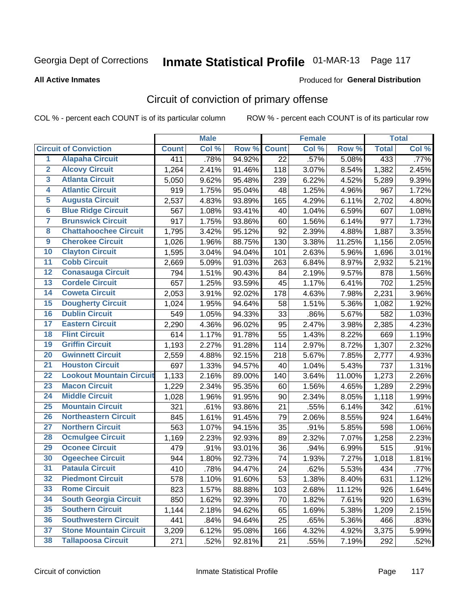#### **All Active Inmates**

### Produced for **General Distribution**

## Circuit of conviction of primary offense

|                         |                                 |              | <b>Male</b> |        |              | <b>Female</b> |        |              | <b>Total</b> |
|-------------------------|---------------------------------|--------------|-------------|--------|--------------|---------------|--------|--------------|--------------|
|                         | <b>Circuit of Conviction</b>    | <b>Count</b> | Col %       | Row %  | <b>Count</b> | Col %         | Row %  | <b>Total</b> | Col %        |
| $\overline{1}$          | <b>Alapaha Circuit</b>          | 411          | .78%        | 94.92% | 22           | .57%          | 5.08%  | 433          | .77%         |
| $\overline{2}$          | <b>Alcovy Circuit</b>           | 1,264        | 2.41%       | 91.46% | 118          | 3.07%         | 8.54%  | 1,382        | 2.45%        |
| 3                       | <b>Atlanta Circuit</b>          | 5,050        | 9.62%       | 95.48% | 239          | 6.22%         | 4.52%  | 5,289        | 9.39%        |
| 4                       | <b>Atlantic Circuit</b>         | 919          | 1.75%       | 95.04% | 48           | 1.25%         | 4.96%  | 967          | 1.72%        |
| 5                       | <b>Augusta Circuit</b>          | 2,537        | 4.83%       | 93.89% | 165          | 4.29%         | 6.11%  | 2,702        | 4.80%        |
| $6\overline{6}$         | <b>Blue Ridge Circuit</b>       | 567          | 1.08%       | 93.41% | 40           | 1.04%         | 6.59%  | 607          | 1.08%        |
| $\overline{\mathbf{7}}$ | <b>Brunswick Circuit</b>        | 917          | 1.75%       | 93.86% | 60           | 1.56%         | 6.14%  | 977          | 1.73%        |
| 8                       | <b>Chattahoochee Circuit</b>    | 1,795        | 3.42%       | 95.12% | 92           | 2.39%         | 4.88%  | 1,887        | 3.35%        |
| $\overline{9}$          | <b>Cherokee Circuit</b>         | 1,026        | 1.96%       | 88.75% | 130          | 3.38%         | 11.25% | 1,156        | 2.05%        |
| 10                      | <b>Clayton Circuit</b>          | 1,595        | 3.04%       | 94.04% | 101          | 2.63%         | 5.96%  | 1,696        | 3.01%        |
| 11                      | <b>Cobb Circuit</b>             | 2,669        | 5.09%       | 91.03% | 263          | 6.84%         | 8.97%  | 2,932        | 5.21%        |
| 12                      | <b>Conasauga Circuit</b>        | 794          | 1.51%       | 90.43% | 84           | 2.19%         | 9.57%  | 878          | 1.56%        |
| 13                      | <b>Cordele Circuit</b>          | 657          | 1.25%       | 93.59% | 45           | 1.17%         | 6.41%  | 702          | 1.25%        |
| 14                      | <b>Coweta Circuit</b>           | 2,053        | 3.91%       | 92.02% | 178          | 4.63%         | 7.98%  | 2,231        | 3.96%        |
| 15                      | <b>Dougherty Circuit</b>        | 1,024        | 1.95%       | 94.64% | 58           | 1.51%         | 5.36%  | 1,082        | 1.92%        |
| 16                      | <b>Dublin Circuit</b>           | 549          | 1.05%       | 94.33% | 33           | .86%          | 5.67%  | 582          | 1.03%        |
| 17                      | <b>Eastern Circuit</b>          | 2,290        | 4.36%       | 96.02% | 95           | 2.47%         | 3.98%  | 2,385        | 4.23%        |
| 18                      | <b>Flint Circuit</b>            | 614          | 1.17%       | 91.78% | 55           | 1.43%         | 8.22%  | 669          | 1.19%        |
| 19                      | <b>Griffin Circuit</b>          | 1,193        | 2.27%       | 91.28% | 114          | 2.97%         | 8.72%  | 1,307        | 2.32%        |
| 20                      | <b>Gwinnett Circuit</b>         | 2,559        | 4.88%       | 92.15% | 218          | 5.67%         | 7.85%  | 2,777        | 4.93%        |
| $\overline{21}$         | <b>Houston Circuit</b>          | 697          | 1.33%       | 94.57% | 40           | 1.04%         | 5.43%  | 737          | 1.31%        |
| $\overline{22}$         | <b>Lookout Mountain Circuit</b> | 1,133        | 2.16%       | 89.00% | 140          | 3.64%         | 11.00% | 1,273        | 2.26%        |
| 23                      | <b>Macon Circuit</b>            | 1,229        | 2.34%       | 95.35% | 60           | 1.56%         | 4.65%  | 1,289        | 2.29%        |
| 24                      | <b>Middle Circuit</b>           | 1,028        | 1.96%       | 91.95% | 90           | 2.34%         | 8.05%  | 1,118        | 1.99%        |
| 25                      | <b>Mountain Circuit</b>         | 321          | .61%        | 93.86% | 21           | .55%          | 6.14%  | 342          | .61%         |
| 26                      | <b>Northeastern Circuit</b>     | 845          | 1.61%       | 91.45% | 79           | 2.06%         | 8.55%  | 924          | 1.64%        |
| $\overline{27}$         | <b>Northern Circuit</b>         | 563          | 1.07%       | 94.15% | 35           | .91%          | 5.85%  | 598          | 1.06%        |
| 28                      | <b>Ocmulgee Circuit</b>         | 1,169        | 2.23%       | 92.93% | 89           | 2.32%         | 7.07%  | 1,258        | 2.23%        |
| 29                      | <b>Oconee Circuit</b>           | 479          | .91%        | 93.01% | 36           | .94%          | 6.99%  | 515          | .91%         |
| 30                      | <b>Ogeechee Circuit</b>         | 944          | 1.80%       | 92.73% | 74           | 1.93%         | 7.27%  | 1,018        | 1.81%        |
| $\overline{31}$         | <b>Pataula Circuit</b>          | 410          | .78%        | 94.47% | 24           | .62%          | 5.53%  | 434          | .77%         |
| 32                      | <b>Piedmont Circuit</b>         | 578          | 1.10%       | 91.60% | 53           | 1.38%         | 8.40%  | 631          | 1.12%        |
| 33                      | <b>Rome Circuit</b>             | 823          | 1.57%       | 88.88% | 103          | 2.68%         | 11.12% | 926          | 1.64%        |
| 34                      | <b>South Georgia Circuit</b>    | 850          | 1.62%       | 92.39% | 70           | 1.82%         | 7.61%  | 920          | 1.63%        |
| 35                      | <b>Southern Circuit</b>         | 1,144        | 2.18%       | 94.62% | 65           | 1.69%         | 5.38%  | 1,209        | 2.15%        |
| 36                      | <b>Southwestern Circuit</b>     | 441          | .84%        | 94.64% | 25           | .65%          | 5.36%  | 466          | .83%         |
| 37                      | <b>Stone Mountain Circuit</b>   | 3,209        | 6.12%       | 95.08% | 166          | 4.32%         | 4.92%  | 3,375        | 5.99%        |
| 38                      | <b>Tallapoosa Circuit</b>       | 271          | .52%        | 92.81% | 21           | .55%          | 7.19%  | 292          | .52%         |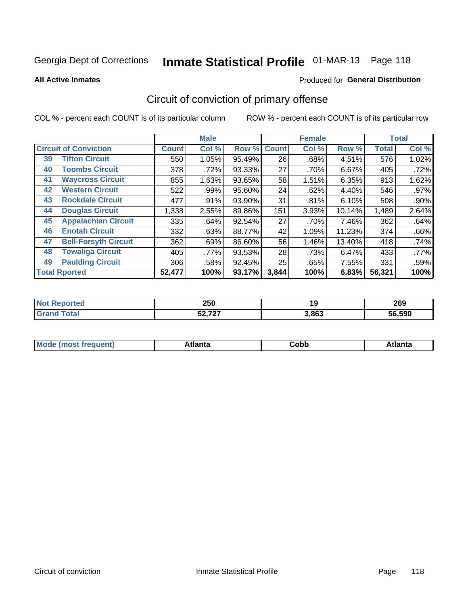#### **All Active Inmates**

#### Produced for **General Distribution**

## Circuit of conviction of primary offense

|                                   |              | <b>Male</b> |        |              | <b>Female</b> |        |              | <b>Total</b> |
|-----------------------------------|--------------|-------------|--------|--------------|---------------|--------|--------------|--------------|
| <b>Circuit of Conviction</b>      | <b>Count</b> | Col %       | Row %  | <b>Count</b> | Col %         | Row %  | <b>Total</b> | Col %        |
| <b>Tifton Circuit</b><br>39       | 550          | 1.05%       | 95.49% | 26           | .68%          | 4.51%  | 576          | 1.02%        |
| <b>Toombs Circuit</b><br>40       | 378          | .72%        | 93.33% | 27           | .70%          | 6.67%  | 405          | .72%         |
| <b>Waycross Circuit</b><br>41     | 855          | 1.63%       | 93.65% | 58           | 1.51%         | 6.35%  | 913          | 1.62%        |
| <b>Western Circuit</b><br>42      | 522          | .99%        | 95.60% | 24           | .62%          | 4.40%  | 546          | .97%         |
| <b>Rockdale Circuit</b><br>43     | 477          | .91%        | 93.90% | 31           | .81%          | 6.10%  | 508          | .90%         |
| <b>Douglas Circuit</b><br>44      | 1,338        | 2.55%       | 89.86% | 151          | 3.93%         | 10.14% | 1,489        | 2.64%        |
| 45<br><b>Appalachian Circuit</b>  | 335          | .64%        | 92.54% | 27           | .70%          | 7.46%  | 362          | .64%         |
| <b>Enotah Circuit</b><br>46       | 332          | .63%        | 88.77% | 42           | 1.09%         | 11.23% | 374          | .66%         |
| <b>Bell-Forsyth Circuit</b><br>47 | 362          | .69%        | 86.60% | 56           | 1.46%         | 13.40% | 418          | .74%         |
| <b>Towaliga Circuit</b><br>48     | 405          | .77%        | 93.53% | 28           | .73%          | 6.47%  | 433          | .77%         |
| <b>Paulding Circuit</b><br>49     | 306          | .58%        | 92.45% | 25           | .65%          | 7.55%  | 331          | .59%         |
| <b>Total Rported</b>              | 52,477       | 100%        | 93.17% | 3,844        | 100%          | 6.83%  | 56,321       | 100%         |

| 250    | 19    | 269    |
|--------|-------|--------|
| E0.707 | 3,863 | 56.590 |

| M<br>- - -<br>.<br>.<br>∪opp<br>нс |
|------------------------------------|
|------------------------------------|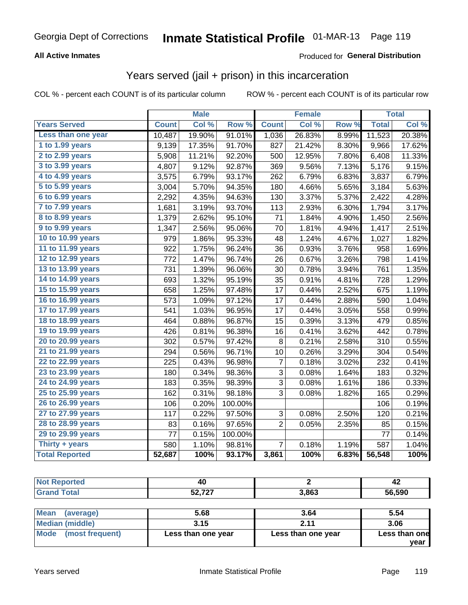### **All Active Inmates**

### Produced for **General Distribution**

### Years served (jail + prison) in this incarceration

|                        |              | <b>Male</b> |         |                | <b>Female</b> |       |              | <b>Total</b> |
|------------------------|--------------|-------------|---------|----------------|---------------|-------|--------------|--------------|
| <b>Years Served</b>    | <b>Count</b> | Col %       | Row %   | <b>Count</b>   | Col %         | Row % | <b>Total</b> | Col %        |
| Less than one year     | 10,487       | 19.90%      | 91.01%  | 1,036          | 26.83%        | 8.99% | 11,523       | 20.38%       |
| 1 to 1.99 years        | 9,139        | 17.35%      | 91.70%  | 827            | 21.42%        | 8.30% | 9,966        | 17.62%       |
| 2 to 2.99 years        | 5,908        | 11.21%      | 92.20%  | 500            | 12.95%        | 7.80% | 6,408        | 11.33%       |
| 3 to 3.99 years        | 4,807        | 9.12%       | 92.87%  | 369            | 9.56%         | 7.13% | 5,176        | 9.15%        |
| 4 to 4.99 years        | 3,575        | 6.79%       | 93.17%  | 262            | 6.79%         | 6.83% | 3,837        | 6.79%        |
| 5 to 5.99 years        | 3,004        | 5.70%       | 94.35%  | 180            | 4.66%         | 5.65% | 3,184        | 5.63%        |
| 6 to 6.99 years        | 2,292        | 4.35%       | 94.63%  | 130            | 3.37%         | 5.37% | 2,422        | 4.28%        |
| 7 to 7.99 years        | 1,681        | 3.19%       | 93.70%  | 113            | 2.93%         | 6.30% | 1,794        | 3.17%        |
| <b>8 to 8.99 years</b> | 1,379        | 2.62%       | 95.10%  | 71             | 1.84%         | 4.90% | 1,450        | 2.56%        |
| 9 to 9.99 years        | 1,347        | 2.56%       | 95.06%  | 70             | 1.81%         | 4.94% | 1,417        | 2.51%        |
| 10 to 10.99 years      | 979          | 1.86%       | 95.33%  | 48             | 1.24%         | 4.67% | 1,027        | 1.82%        |
| 11 to 11.99 years      | 922          | 1.75%       | 96.24%  | 36             | 0.93%         | 3.76% | 958          | 1.69%        |
| 12 to 12.99 years      | 772          | 1.47%       | 96.74%  | 26             | 0.67%         | 3.26% | 798          | 1.41%        |
| 13 to 13.99 years      | 731          | 1.39%       | 96.06%  | 30             | 0.78%         | 3.94% | 761          | 1.35%        |
| 14 to 14.99 years      | 693          | 1.32%       | 95.19%  | 35             | 0.91%         | 4.81% | 728          | 1.29%        |
| 15 to 15.99 years      | 658          | 1.25%       | 97.48%  | 17             | 0.44%         | 2.52% | 675          | 1.19%        |
| 16 to 16.99 years      | 573          | 1.09%       | 97.12%  | 17             | 0.44%         | 2.88% | 590          | 1.04%        |
| 17 to 17.99 years      | 541          | 1.03%       | 96.95%  | 17             | 0.44%         | 3.05% | 558          | 0.99%        |
| 18 to 18.99 years      | 464          | 0.88%       | 96.87%  | 15             | 0.39%         | 3.13% | 479          | 0.85%        |
| 19 to 19.99 years      | 426          | 0.81%       | 96.38%  | 16             | 0.41%         | 3.62% | 442          | 0.78%        |
| 20 to 20.99 years      | 302          | 0.57%       | 97.42%  | 8              | 0.21%         | 2.58% | 310          | 0.55%        |
| 21 to 21.99 years      | 294          | 0.56%       | 96.71%  | 10             | 0.26%         | 3.29% | 304          | 0.54%        |
| 22 to 22.99 years      | 225          | 0.43%       | 96.98%  | 7              | 0.18%         | 3.02% | 232          | 0.41%        |
| 23 to 23.99 years      | 180          | 0.34%       | 98.36%  | 3              | 0.08%         | 1.64% | 183          | 0.32%        |
| 24 to 24.99 years      | 183          | 0.35%       | 98.39%  | 3              | 0.08%         | 1.61% | 186          | 0.33%        |
| 25 to 25.99 years      | 162          | 0.31%       | 98.18%  | 3              | 0.08%         | 1.82% | 165          | 0.29%        |
| 26 to 26.99 years      | 106          | 0.20%       | 100.00% |                |               |       | 106          | 0.19%        |
| 27 to 27.99 years      | 117          | 0.22%       | 97.50%  | 3              | 0.08%         | 2.50% | 120          | 0.21%        |
| 28 to 28.99 years      | 83           | 0.16%       | 97.65%  | $\overline{2}$ | 0.05%         | 2.35% | 85           | 0.15%        |
| 29 to 29.99 years      | 77           | 0.15%       | 100.00% |                |               |       | 77           | 0.14%        |
| Thirty + years         | 580          | 1.10%       | 98.81%  | $\overline{7}$ | 0.18%         | 1.19% | 587          | 1.04%        |
| <b>Total Reported</b>  | 52,687       | 100%        | 93.17%  | 3,861          | 100%          | 6.83% | 56,548       | 100%         |

| rted         | 40                  |       | 42     |
|--------------|---------------------|-------|--------|
| <b>Total</b> | よの フクフ<br>JZ, I Z I | 3,863 | 56,590 |
|              |                     |       |        |

| Mean<br>(average)    | 5.68               | 3.64               | 5.54          |
|----------------------|--------------------|--------------------|---------------|
| Median (middle)      | 3.15               | C 11               | 3.06          |
| Mode (most frequent) | Less than one year | Less than one year | Less than one |
|                      |                    |                    | year          |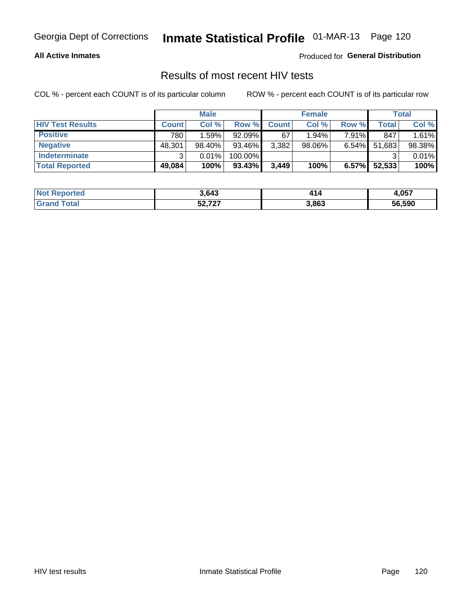### **All Active Inmates**

Produced for **General Distribution**

### Results of most recent HIV tests

|                         | <b>Male</b>  |        |           | <b>Female</b> |           |          | Total  |        |
|-------------------------|--------------|--------|-----------|---------------|-----------|----------|--------|--------|
| <b>HIV Test Results</b> | <b>Count</b> | Col %  | Row %I    | <b>Count</b>  | Col %     | Row %    | Total  | Col %  |
| <b>Positive</b>         | 780          | 1.59%  | 92.09%    | 67            | $1.94\%$  | $7.91\%$ | 847    | 1.61%  |
| <b>Negative</b>         | 48,301       | 98.40% | 93.46%    | 3,382         | $98.06\%$ | $6.54\%$ | 51,683 | 98.38% |
| Indeterminate           | ົ            | 0.01%  | 100.00%   |               |           |          |        | 0.01%  |
| <b>Total Reported</b>   | 49,084       | 100%   | $93.43\%$ | 3,449         | 100%      | $6.57\%$ | 52,533 | 100%   |

| <b>Not Reported</b> | 3,643                 | 414   | 1,057  |
|---------------------|-----------------------|-------|--------|
| ⊺otal               | $E_2 = 727$<br>22.121 | 3,863 | 56,590 |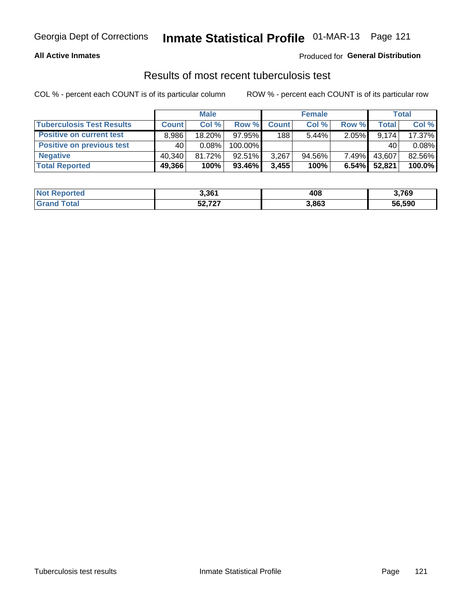### **All Active Inmates**

### Produced for **General Distribution**

### Results of most recent tuberculosis test

|                                  | <b>Male</b>  |           |           | <b>Female</b> |           |          | Total        |        |
|----------------------------------|--------------|-----------|-----------|---------------|-----------|----------|--------------|--------|
| <b>Tuberculosis Test Results</b> | <b>Count</b> | Col%      | Row %     | <b>Count</b>  | Col %     | Row %    | <b>Total</b> | Col %  |
| <b>Positive on current test</b>  | 8,986        | $18.20\%$ | 97.95%    | 188           | $5.44\%$  | 2.05%    | 9,174        | 17.37% |
| <b>Positive on previous test</b> | 40           | $0.08\%$  | 100.00%   |               |           |          | 40           | 0.08%  |
| <b>Negative</b>                  | 40.340       | 81.72%    | $92.51\%$ | 3,267         | $94.56\%$ | $7.49\%$ | 43,607       | 82.56% |
| <b>Total Reported</b>            | 49,366       | 100%      | 93.46%    | 3,455         | 100%      | 6.54%    | 52,821       | 100.0% |

| <b>Not Reported</b> | 3,361                 | . מ<br>40ŏ | 3,769  |
|---------------------|-----------------------|------------|--------|
| Total               | $E_2 = 727$<br>34.IZI | 3,863      | 56,590 |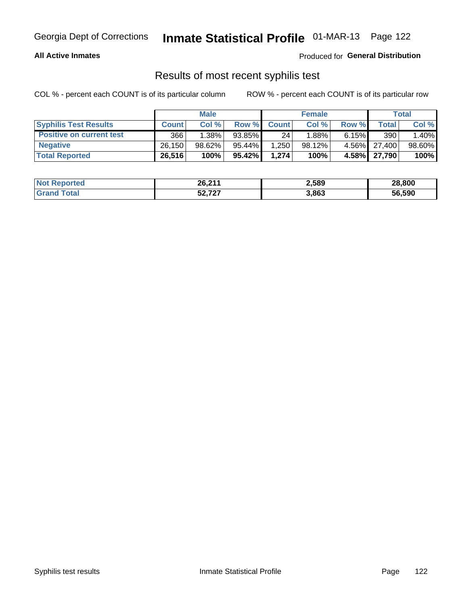### **All Active Inmates**

Produced for **General Distribution**

### Results of most recent syphilis test

|                                 | <b>Male</b>  |        |        | <b>Female</b> |           |       | Total        |        |
|---------------------------------|--------------|--------|--------|---------------|-----------|-------|--------------|--------|
| <b>Syphilis Test Results</b>    | <b>Count</b> | Col%   | Row %  | <b>Count</b>  | Col %     | Row % | Total I      | Col %  |
| <b>Positive on current test</b> | 366          | 1.38%  | 93.85% | 24            | $1.88\%$  | 6.15% | 390          | 1.40%  |
| <b>Negative</b>                 | 26,150       | 98.62% | 95.44% | .250          | $98.12\%$ |       | 4.56% 27,400 | 98.60% |
| <b>Total Reported</b>           | 26,516       | 100%   | 95.42% | 1,274         | 100%      |       | 4.58% 27,790 | 100%   |

| <b>Not Reported</b> | 26,211           | 2,589 | 28,800 |
|---------------------|------------------|-------|--------|
| <b>Grand Total</b>  | ヒヘ フヘフ<br>34.IZI | 3,863 | 56,590 |